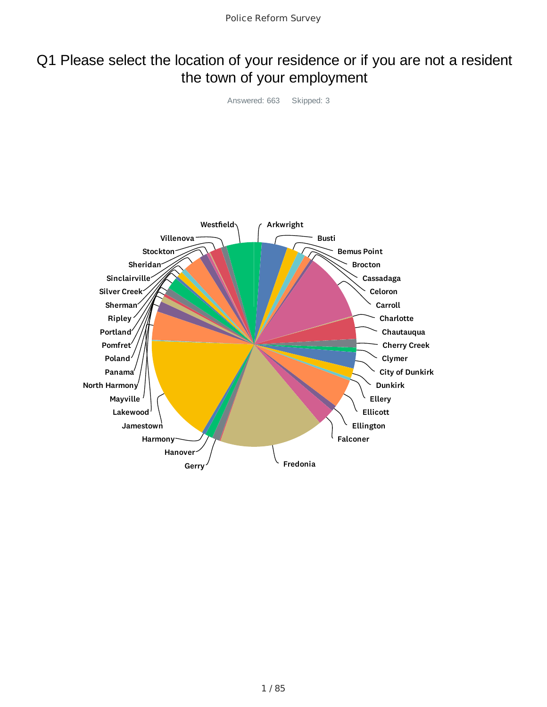### Q1 Please select the location of your residence or if you are not a resident the town of your employment

Answered: 663 Skipped: 3

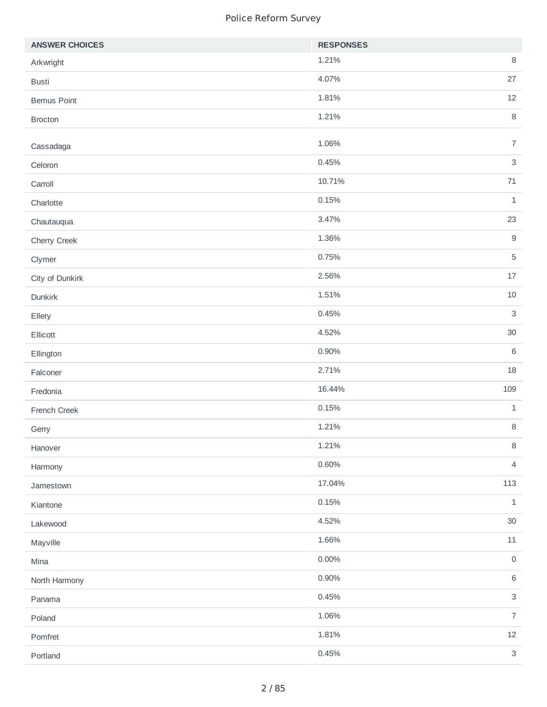| 1.21%<br>$\, 8$<br>Arkwright<br>27<br>4.07%<br><b>Busti</b><br>1.81%<br>12<br><b>Bemus Point</b><br>$\, 8$<br>1.21%<br><b>Brocton</b> |
|---------------------------------------------------------------------------------------------------------------------------------------|
|                                                                                                                                       |
|                                                                                                                                       |
|                                                                                                                                       |
|                                                                                                                                       |
| $\overline{7}$<br>1.06%<br>Cassadaga                                                                                                  |
| $\sqrt{3}$<br>0.45%<br>Celoron                                                                                                        |
| 71<br>10.71%<br>Carroll                                                                                                               |
| $\mathbf 1$<br>0.15%<br>Charlotte                                                                                                     |
| 23<br>3.47%<br>Chautauqua                                                                                                             |
| $\boldsymbol{9}$<br>1.36%<br>Cherry Creek                                                                                             |
| $\mathbf 5$<br>0.75%<br>Clymer                                                                                                        |
| 2.56%<br>17<br>City of Dunkirk                                                                                                        |
| 1.51%<br>10<br>Dunkirk                                                                                                                |
| $\mathsf{3}$<br>0.45%<br>Ellery                                                                                                       |
| 4.52%<br>$30\,$<br>Ellicott                                                                                                           |
| $\,6\,$<br>0.90%<br>Ellington                                                                                                         |
| 2.71%<br>18<br>Falconer                                                                                                               |
| 109<br>16.44%<br>Fredonia                                                                                                             |
| 0.15%<br>$\mathbf{1}$<br>French Creek                                                                                                 |
| 1.21%<br>$\, 8$<br>Gerry                                                                                                              |
| 1.21%<br>$\, 8$<br>Hanover                                                                                                            |
| 0.60%<br>$\overline{4}$<br>Harmony                                                                                                    |
| 17.04%<br>113<br>Jamestown                                                                                                            |
| 0.15%<br>$\mathbf 1$<br>Kiantone                                                                                                      |
| 4.52%<br>$30\,$<br>Lakewood                                                                                                           |
| 1.66%<br>$11\,$<br>Mayville                                                                                                           |
| 0.00%<br>$\mathsf O$<br>Mina                                                                                                          |
| $\,6\,$<br>0.90%<br>North Harmony                                                                                                     |
| $\sqrt{3}$<br>0.45%<br>Panama                                                                                                         |
| $\overline{7}$<br>1.06%<br>Poland                                                                                                     |
| 12<br>1.81%<br>Pomfret                                                                                                                |
| 0.45%<br>$\mathsf{3}$<br>Portland                                                                                                     |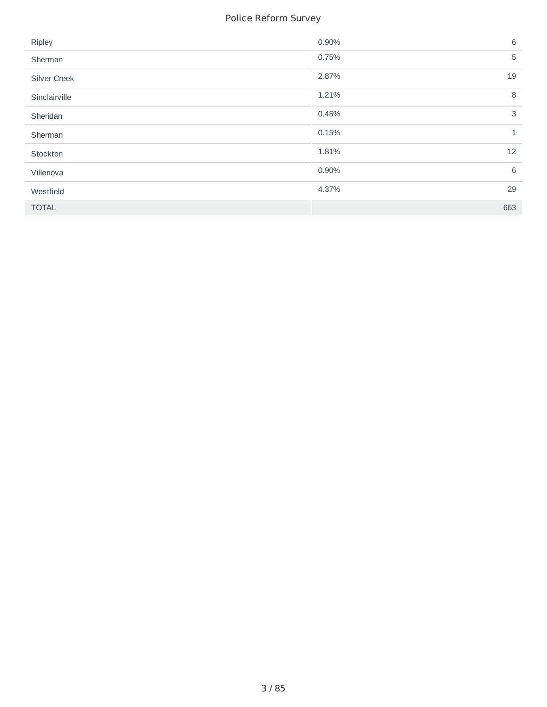| Ripley        | 0.90% | 6            |
|---------------|-------|--------------|
| Sherman       | 0.75% | 5            |
| Silver Creek  | 2.87% | 19           |
| Sinclairville | 1.21% | 8            |
| Sheridan      | 0.45% | 3            |
| Sherman       | 0.15% | $\mathbf{1}$ |
| Stockton      | 1.81% | 12           |
| Villenova     | 0.90% | 6            |
| Westfield     | 4.37% | 29           |
| <b>TOTAL</b>  |       | 663          |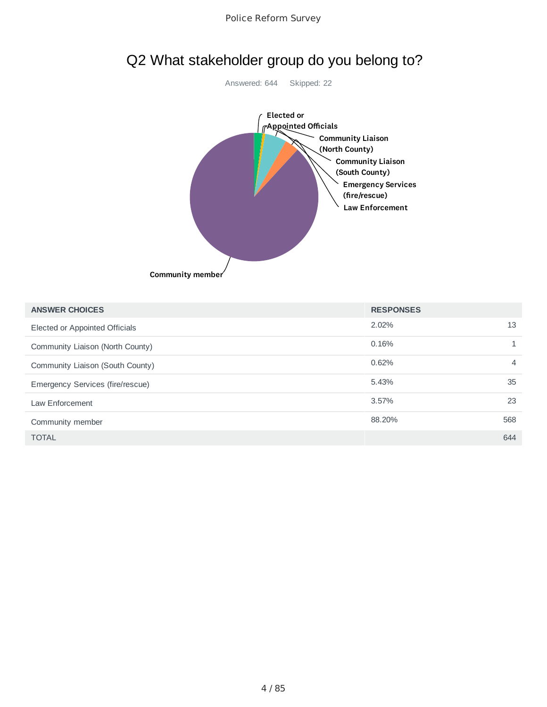

### Q2 What stakeholder group do you belong to?

| <b>ANSWER CHOICES</b>            | <b>RESPONSES</b> |                |
|----------------------------------|------------------|----------------|
| Elected or Appointed Officials   | 2.02%            | 13             |
| Community Liaison (North County) | 0.16%            |                |
| Community Liaison (South County) | 0.62%            | $\overline{4}$ |
| Emergency Services (fire/rescue) | 5.43%            | 35             |
| Law Enforcement                  | 3.57%            | 23             |
| Community member                 | 88.20%           | 568            |
| <b>TOTAL</b>                     |                  | 644            |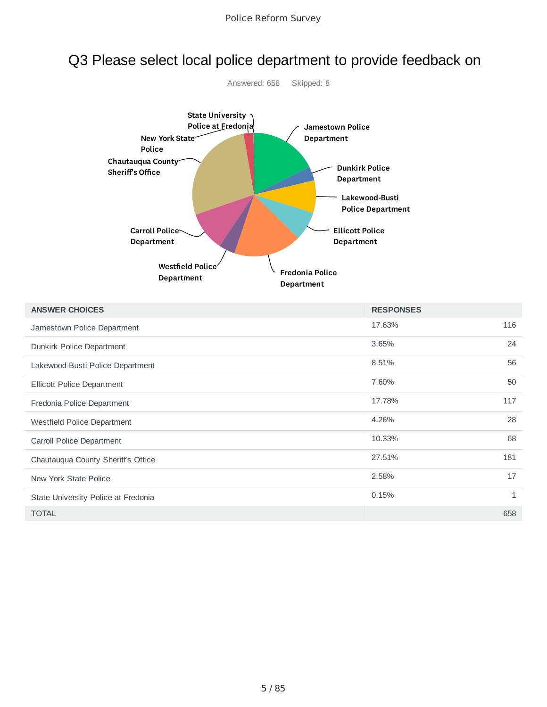# Q3 Please select local police department to provide feedback on



| <b>ANSWER CHOICES</b>               | <b>RESPONSES</b> |              |
|-------------------------------------|------------------|--------------|
| Jamestown Police Department         | 17.63%           | 116          |
| Dunkirk Police Department           | 3.65%            | 24           |
| Lakewood-Busti Police Department    | 8.51%            | 56           |
| Ellicott Police Department          | 7.60%            | 50           |
| Fredonia Police Department          | 17.78%           | 117          |
| Westfield Police Department         | 4.26%            | 28           |
| Carroll Police Department           | 10.33%           | 68           |
| Chautauqua County Sheriff's Office  | 27.51%           | 181          |
| New York State Police               | 2.58%            | 17           |
| State University Police at Fredonia | 0.15%            | $\mathbf{1}$ |
| <b>TOTAL</b>                        |                  | 658          |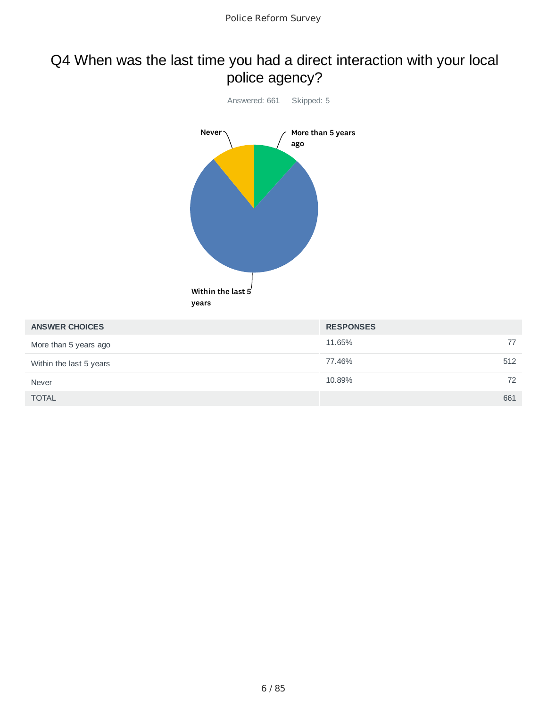### Q4 When was the last time you had a direct interaction with your local police agency?



| <b>ANSWER CHOICES</b>   | <b>RESPONSES</b> |
|-------------------------|------------------|
| More than 5 years ago   | 77<br>11.65%     |
| Within the last 5 years | 77.46%<br>512    |
| <b>Never</b>            | 10.89%<br>72     |
| <b>TOTAL</b>            | 661              |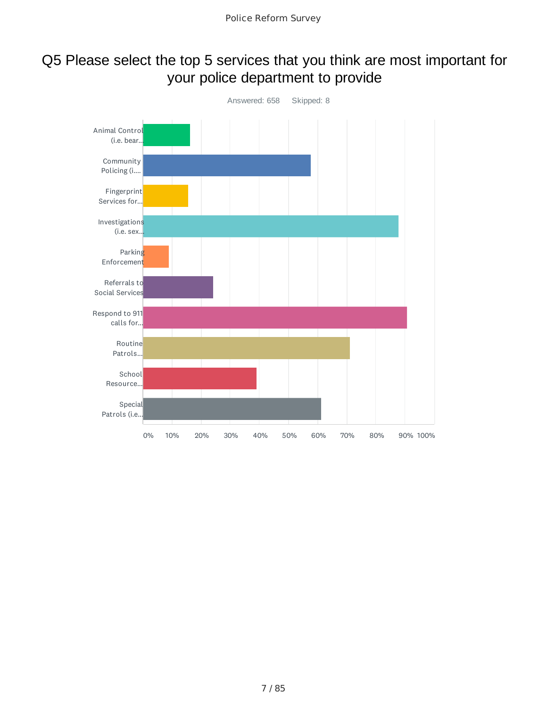### Q5 Please select the top 5 services that you think are most important for your police department to provide

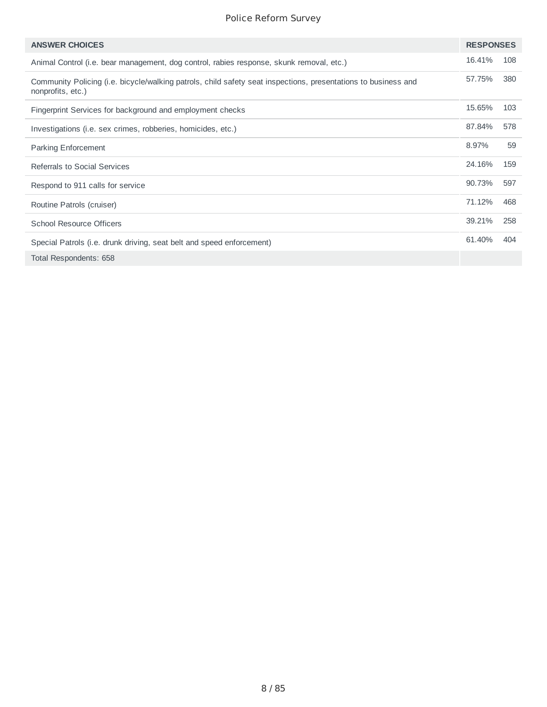| <b>ANSWER CHOICES</b>                                                                                                               | <b>RESPONSES</b> |     |
|-------------------------------------------------------------------------------------------------------------------------------------|------------------|-----|
| Animal Control (i.e. bear management, dog control, rabies response, skunk removal, etc.)                                            | 16.41%           | 108 |
| Community Policing (i.e. bicycle/walking patrols, child safety seat inspections, presentations to business and<br>nonprofits, etc.) | 57.75%           | 380 |
| Fingerprint Services for background and employment checks                                                                           | 15.65%           | 103 |
| Investigations (i.e. sex crimes, robberies, homicides, etc.)                                                                        | 87.84%           | 578 |
| <b>Parking Enforcement</b>                                                                                                          | 8.97%            | 59  |
| Referrals to Social Services                                                                                                        | 24.16%           | 159 |
| Respond to 911 calls for service                                                                                                    | 90.73%           | 597 |
| Routine Patrols (cruiser)                                                                                                           | 71.12%           | 468 |
| <b>School Resource Officers</b>                                                                                                     | 39.21%           | 258 |
| Special Patrols (i.e. drunk driving, seat belt and speed enforcement)                                                               | 61.40%           | 404 |
| Total Respondents: 658                                                                                                              |                  |     |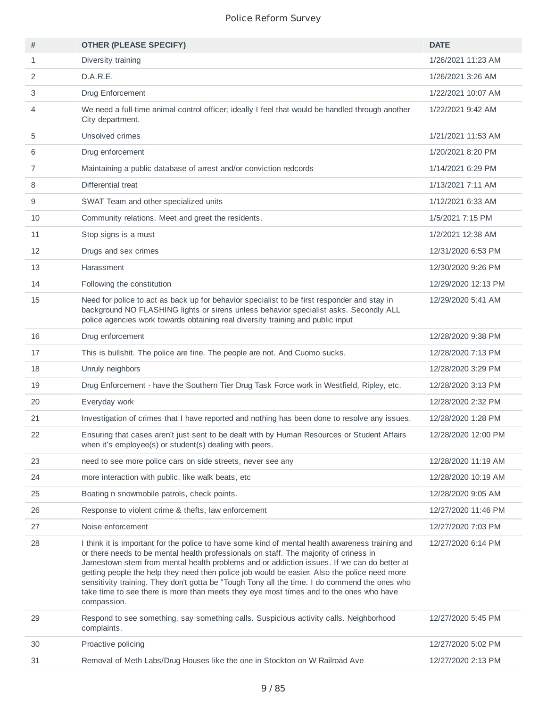| #              | <b>OTHER (PLEASE SPECIFY)</b>                                                                                                                                                                                                                                                                                                                                                                                                                                                                                                                                                                     | <b>DATE</b>         |
|----------------|---------------------------------------------------------------------------------------------------------------------------------------------------------------------------------------------------------------------------------------------------------------------------------------------------------------------------------------------------------------------------------------------------------------------------------------------------------------------------------------------------------------------------------------------------------------------------------------------------|---------------------|
| $\mathbf{1}$   | Diversity training                                                                                                                                                                                                                                                                                                                                                                                                                                                                                                                                                                                | 1/26/2021 11:23 AM  |
| 2              | D.A.R.E.                                                                                                                                                                                                                                                                                                                                                                                                                                                                                                                                                                                          | 1/26/2021 3:26 AM   |
| 3              | Drug Enforcement                                                                                                                                                                                                                                                                                                                                                                                                                                                                                                                                                                                  | 1/22/2021 10:07 AM  |
| 4              | We need a full-time animal control officer; ideally I feel that would be handled through another<br>City department.                                                                                                                                                                                                                                                                                                                                                                                                                                                                              | 1/22/2021 9:42 AM   |
| 5              | Unsolved crimes                                                                                                                                                                                                                                                                                                                                                                                                                                                                                                                                                                                   | 1/21/2021 11:53 AM  |
| 6              | Drug enforcement                                                                                                                                                                                                                                                                                                                                                                                                                                                                                                                                                                                  | 1/20/2021 8:20 PM   |
| $\overline{7}$ | Maintaining a public database of arrest and/or conviction redcords                                                                                                                                                                                                                                                                                                                                                                                                                                                                                                                                | 1/14/2021 6:29 PM   |
| 8              | Differential treat                                                                                                                                                                                                                                                                                                                                                                                                                                                                                                                                                                                | 1/13/2021 7:11 AM   |
| 9              | SWAT Team and other specialized units                                                                                                                                                                                                                                                                                                                                                                                                                                                                                                                                                             | 1/12/2021 6:33 AM   |
| 10             | Community relations. Meet and greet the residents.                                                                                                                                                                                                                                                                                                                                                                                                                                                                                                                                                | 1/5/2021 7:15 PM    |
| 11             | Stop signs is a must                                                                                                                                                                                                                                                                                                                                                                                                                                                                                                                                                                              | 1/2/2021 12:38 AM   |
| 12             | Drugs and sex crimes                                                                                                                                                                                                                                                                                                                                                                                                                                                                                                                                                                              | 12/31/2020 6:53 PM  |
| 13             | Harassment                                                                                                                                                                                                                                                                                                                                                                                                                                                                                                                                                                                        | 12/30/2020 9:26 PM  |
| 14             | Following the constitution                                                                                                                                                                                                                                                                                                                                                                                                                                                                                                                                                                        | 12/29/2020 12:13 PM |
| 15             | Need for police to act as back up for behavior specialist to be first responder and stay in<br>background NO FLASHING lights or sirens unless behavior specialist asks. Secondly ALL<br>police agencies work towards obtaining real diversity training and public input                                                                                                                                                                                                                                                                                                                           | 12/29/2020 5:41 AM  |
| 16             | Drug enforcement                                                                                                                                                                                                                                                                                                                                                                                                                                                                                                                                                                                  | 12/28/2020 9:38 PM  |
| 17             | This is bullshit. The police are fine. The people are not. And Cuomo sucks.                                                                                                                                                                                                                                                                                                                                                                                                                                                                                                                       | 12/28/2020 7:13 PM  |
| 18             | Unruly neighbors                                                                                                                                                                                                                                                                                                                                                                                                                                                                                                                                                                                  | 12/28/2020 3:29 PM  |
| 19             | Drug Enforcement - have the Southern Tier Drug Task Force work in Westfield, Ripley, etc.                                                                                                                                                                                                                                                                                                                                                                                                                                                                                                         | 12/28/2020 3:13 PM  |
| 20             | Everyday work                                                                                                                                                                                                                                                                                                                                                                                                                                                                                                                                                                                     | 12/28/2020 2:32 PM  |
| 21             | Investigation of crimes that I have reported and nothing has been done to resolve any issues.                                                                                                                                                                                                                                                                                                                                                                                                                                                                                                     | 12/28/2020 1:28 PM  |
| 22             | Ensuring that cases aren't just sent to be dealt with by Human Resources or Student Affairs<br>when it's employee(s) or student(s) dealing with peers.                                                                                                                                                                                                                                                                                                                                                                                                                                            | 12/28/2020 12:00 PM |
| 23             | need to see more police cars on side streets, never see any                                                                                                                                                                                                                                                                                                                                                                                                                                                                                                                                       | 12/28/2020 11:19 AM |
| 24             | more interaction with public, like walk beats, etc.                                                                                                                                                                                                                                                                                                                                                                                                                                                                                                                                               | 12/28/2020 10:19 AM |
| 25             | Boating n snowmobile patrols, check points.                                                                                                                                                                                                                                                                                                                                                                                                                                                                                                                                                       | 12/28/2020 9:05 AM  |
| 26             | Response to violent crime & thefts, law enforcement                                                                                                                                                                                                                                                                                                                                                                                                                                                                                                                                               | 12/27/2020 11:46 PM |
| 27             | Noise enforcement                                                                                                                                                                                                                                                                                                                                                                                                                                                                                                                                                                                 | 12/27/2020 7:03 PM  |
| 28             | I think it is important for the police to have some kind of mental health awareness training and<br>or there needs to be mental health professionals on staff. The majority of criness in<br>Jamestown stem from mental health problems and or addiction issues. If we can do better at<br>getting people the help they need then police job would be easier. Also the police need more<br>sensitivity training. They don't gotta be "Tough Tony all the time. I do commend the ones who<br>take time to see there is more than meets they eye most times and to the ones who have<br>compassion. | 12/27/2020 6:14 PM  |
| 29             | Respond to see something, say something calls. Suspicious activity calls. Neighborhood<br>complaints.                                                                                                                                                                                                                                                                                                                                                                                                                                                                                             | 12/27/2020 5:45 PM  |
| 30             | Proactive policing                                                                                                                                                                                                                                                                                                                                                                                                                                                                                                                                                                                | 12/27/2020 5:02 PM  |
| 31             | Removal of Meth Labs/Drug Houses like the one in Stockton on W Railroad Ave                                                                                                                                                                                                                                                                                                                                                                                                                                                                                                                       | 12/27/2020 2:13 PM  |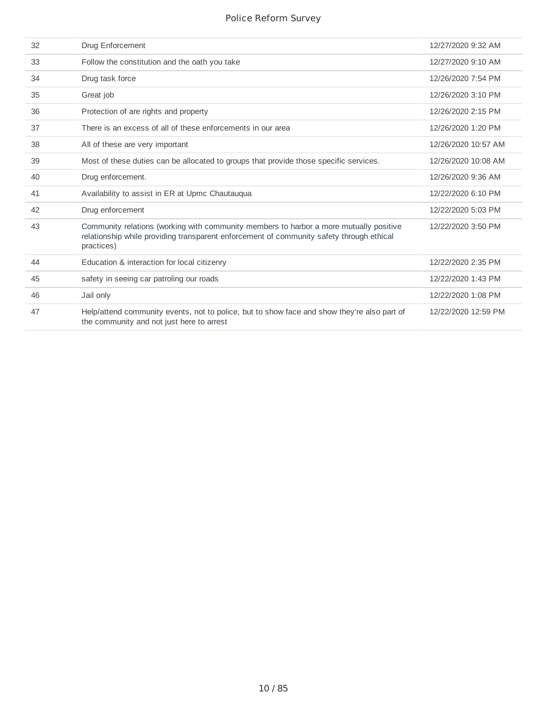| 32 | Drug Enforcement                                                                                                                                                                                 | 12/27/2020 9:32 AM  |
|----|--------------------------------------------------------------------------------------------------------------------------------------------------------------------------------------------------|---------------------|
| 33 | Follow the constitution and the oath you take                                                                                                                                                    | 12/27/2020 9:10 AM  |
| 34 | Drug task force                                                                                                                                                                                  | 12/26/2020 7:54 PM  |
| 35 | Great job                                                                                                                                                                                        | 12/26/2020 3:10 PM  |
| 36 | Protection of are rights and property                                                                                                                                                            | 12/26/2020 2:15 PM  |
| 37 | There is an excess of all of these enforcements in our area                                                                                                                                      | 12/26/2020 1:20 PM  |
| 38 | All of these are very important                                                                                                                                                                  | 12/26/2020 10:57 AM |
| 39 | Most of these duties can be allocated to groups that provide those specific services.                                                                                                            | 12/26/2020 10:08 AM |
| 40 | Drug enforcement.                                                                                                                                                                                | 12/26/2020 9:36 AM  |
| 41 | Availability to assist in ER at Upmc Chautauqua                                                                                                                                                  | 12/22/2020 6:10 PM  |
| 42 | Drug enforcement                                                                                                                                                                                 | 12/22/2020 5:03 PM  |
| 43 | Community relations (working with community members to harbor a more mutually positive<br>relationship while providing transparent enforcement of community safety through ethical<br>practices) | 12/22/2020 3:50 PM  |
| 44 | Education & interaction for local citizenry                                                                                                                                                      | 12/22/2020 2:35 PM  |
| 45 | safety in seeing car patroling our roads                                                                                                                                                         | 12/22/2020 1:43 PM  |
| 46 | Jail only                                                                                                                                                                                        | 12/22/2020 1:08 PM  |
| 47 | Help/attend community events, not to police, but to show face and show they're also part of<br>the community and not just here to arrest                                                         | 12/22/2020 12:59 PM |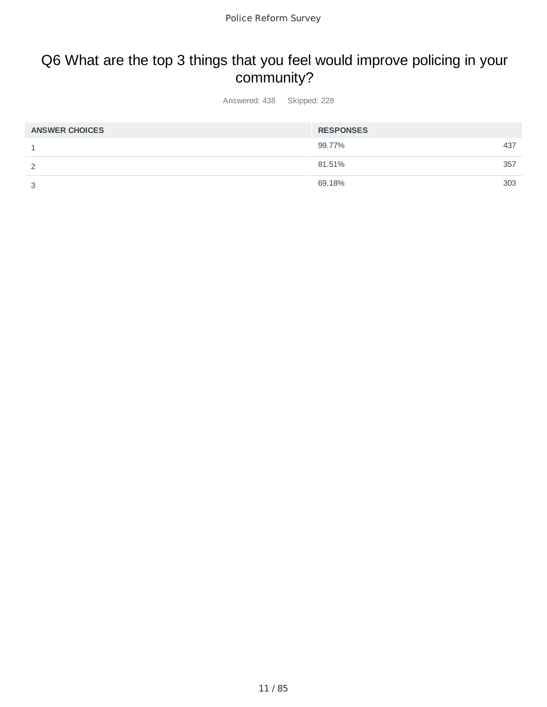## Q6 What are the top 3 things that you feel would improve policing in your community?

Answered: 438 Skipped: 228

| <b>ANSWER CHOICES</b> | <b>RESPONSES</b> |     |
|-----------------------|------------------|-----|
|                       | 99.77%           | 437 |
|                       | 81.51%           | 357 |
| っ                     | 69.18%           | 303 |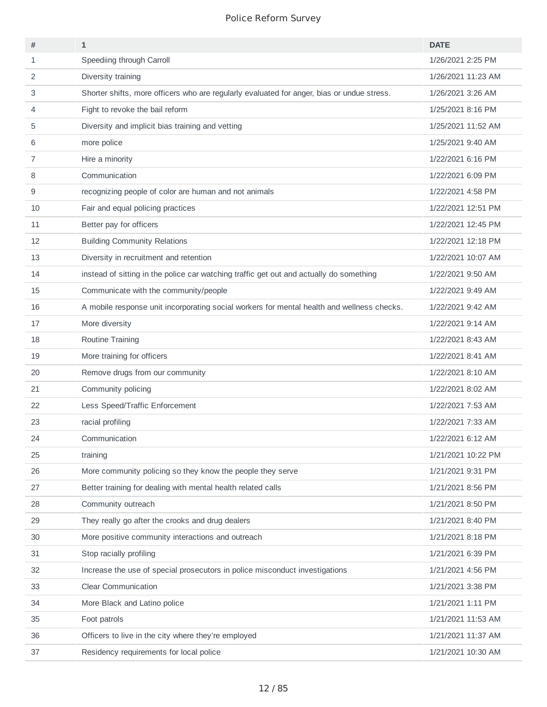| #  | $\mathbf{1}$                                                                               | <b>DATE</b>        |
|----|--------------------------------------------------------------------------------------------|--------------------|
| 1  | Speediing through Carroll                                                                  | 1/26/2021 2:25 PM  |
| 2  | Diversity training                                                                         | 1/26/2021 11:23 AM |
| 3  | Shorter shifts, more officers who are regularly evaluated for anger, bias or undue stress. | 1/26/2021 3:26 AM  |
| 4  | Fight to revoke the bail reform                                                            | 1/25/2021 8:16 PM  |
| 5  | Diversity and implicit bias training and vetting                                           | 1/25/2021 11:52 AM |
| 6  | more police                                                                                | 1/25/2021 9:40 AM  |
| 7  | Hire a minority                                                                            | 1/22/2021 6:16 PM  |
| 8  | Communication                                                                              | 1/22/2021 6:09 PM  |
| 9  | recognizing people of color are human and not animals                                      | 1/22/2021 4:58 PM  |
| 10 | Fair and equal policing practices                                                          | 1/22/2021 12:51 PM |
| 11 | Better pay for officers                                                                    | 1/22/2021 12:45 PM |
| 12 | <b>Building Community Relations</b>                                                        | 1/22/2021 12:18 PM |
| 13 | Diversity in recruitment and retention                                                     | 1/22/2021 10:07 AM |
| 14 | instead of sitting in the police car watching traffic get out and actually do something    | 1/22/2021 9:50 AM  |
| 15 | Communicate with the community/people                                                      | 1/22/2021 9:49 AM  |
| 16 | A mobile response unit incorporating social workers for mental health and wellness checks. | 1/22/2021 9:42 AM  |
| 17 | More diversity                                                                             | 1/22/2021 9:14 AM  |
| 18 | Routine Training                                                                           | 1/22/2021 8:43 AM  |
| 19 | More training for officers                                                                 | 1/22/2021 8:41 AM  |
| 20 | Remove drugs from our community                                                            | 1/22/2021 8:10 AM  |
| 21 | Community policing                                                                         | 1/22/2021 8:02 AM  |
| 22 | Less Speed/Traffic Enforcement                                                             | 1/22/2021 7:53 AM  |
| 23 | racial profiling                                                                           | 1/22/2021 7:33 AM  |
| 24 | Communication                                                                              | 1/22/2021 6:12 AM  |
| 25 | training                                                                                   | 1/21/2021 10:22 PM |
| 26 | More community policing so they know the people they serve                                 | 1/21/2021 9:31 PM  |
| 27 | Better training for dealing with mental health related calls                               | 1/21/2021 8:56 PM  |
| 28 | Community outreach                                                                         | 1/21/2021 8:50 PM  |
| 29 | They really go after the crooks and drug dealers                                           | 1/21/2021 8:40 PM  |
| 30 | More positive community interactions and outreach                                          | 1/21/2021 8:18 PM  |
| 31 | Stop racially profiling                                                                    | 1/21/2021 6:39 PM  |
| 32 | Increase the use of special prosecutors in police misconduct investigations                | 1/21/2021 4:56 PM  |
| 33 | Clear Communication                                                                        | 1/21/2021 3:38 PM  |
| 34 | More Black and Latino police                                                               | 1/21/2021 1:11 PM  |
| 35 | Foot patrols                                                                               | 1/21/2021 11:53 AM |
| 36 | Officers to live in the city where they're employed                                        | 1/21/2021 11:37 AM |
| 37 | Residency requirements for local police                                                    | 1/21/2021 10:30 AM |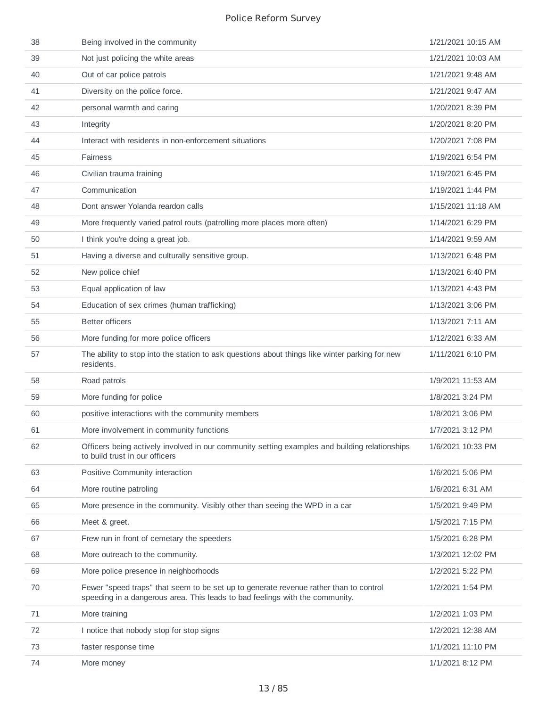| 38 | Being involved in the community                                                                                                                                       | 1/21/2021 10:15 AM |
|----|-----------------------------------------------------------------------------------------------------------------------------------------------------------------------|--------------------|
| 39 | Not just policing the white areas                                                                                                                                     | 1/21/2021 10:03 AM |
| 40 | Out of car police patrols                                                                                                                                             | 1/21/2021 9:48 AM  |
| 41 | Diversity on the police force.                                                                                                                                        | 1/21/2021 9:47 AM  |
| 42 | personal warmth and caring                                                                                                                                            | 1/20/2021 8:39 PM  |
| 43 | Integrity                                                                                                                                                             | 1/20/2021 8:20 PM  |
| 44 | Interact with residents in non-enforcement situations                                                                                                                 | 1/20/2021 7:08 PM  |
| 45 | <b>Fairness</b>                                                                                                                                                       | 1/19/2021 6:54 PM  |
| 46 | Civilian trauma training                                                                                                                                              | 1/19/2021 6:45 PM  |
| 47 | Communication                                                                                                                                                         | 1/19/2021 1:44 PM  |
| 48 | Dont answer Yolanda reardon calls                                                                                                                                     | 1/15/2021 11:18 AM |
| 49 | More frequently varied patrol routs (patrolling more places more often)                                                                                               | 1/14/2021 6:29 PM  |
| 50 | I think you're doing a great job.                                                                                                                                     | 1/14/2021 9:59 AM  |
| 51 | Having a diverse and culturally sensitive group.                                                                                                                      | 1/13/2021 6:48 PM  |
| 52 | New police chief                                                                                                                                                      | 1/13/2021 6:40 PM  |
| 53 | Equal application of law                                                                                                                                              | 1/13/2021 4:43 PM  |
| 54 | Education of sex crimes (human trafficking)                                                                                                                           | 1/13/2021 3:06 PM  |
| 55 | <b>Better officers</b>                                                                                                                                                | 1/13/2021 7:11 AM  |
| 56 | More funding for more police officers                                                                                                                                 | 1/12/2021 6:33 AM  |
| 57 | The ability to stop into the station to ask questions about things like winter parking for new<br>residents.                                                          | 1/11/2021 6:10 PM  |
| 58 | Road patrols                                                                                                                                                          | 1/9/2021 11:53 AM  |
| 59 | More funding for police                                                                                                                                               | 1/8/2021 3:24 PM   |
| 60 | positive interactions with the community members                                                                                                                      | 1/8/2021 3:06 PM   |
| 61 | More involvement in community functions                                                                                                                               | 1/7/2021 3:12 PM   |
| 62 | Officers being actively involved in our community setting examples and building relationships<br>to build trust in our officers                                       | 1/6/2021 10:33 PM  |
| 63 | Positive Community interaction                                                                                                                                        | 1/6/2021 5:06 PM   |
| 64 | More routine patroling                                                                                                                                                | 1/6/2021 6:31 AM   |
| 65 | More presence in the community. Visibly other than seeing the WPD in a car                                                                                            | 1/5/2021 9:49 PM   |
| 66 | Meet & greet.                                                                                                                                                         | 1/5/2021 7:15 PM   |
| 67 | Frew run in front of cemetary the speeders                                                                                                                            | 1/5/2021 6:28 PM   |
| 68 | More outreach to the community.                                                                                                                                       | 1/3/2021 12:02 PM  |
| 69 | More police presence in neighborhoods                                                                                                                                 | 1/2/2021 5:22 PM   |
| 70 | Fewer "speed traps" that seem to be set up to generate revenue rather than to control<br>speeding in a dangerous area. This leads to bad feelings with the community. | 1/2/2021 1:54 PM   |
| 71 | More training                                                                                                                                                         | 1/2/2021 1:03 PM   |
| 72 | I notice that nobody stop for stop signs                                                                                                                              | 1/2/2021 12:38 AM  |
| 73 | faster response time                                                                                                                                                  | 1/1/2021 11:10 PM  |
| 74 | More money                                                                                                                                                            | 1/1/2021 8:12 PM   |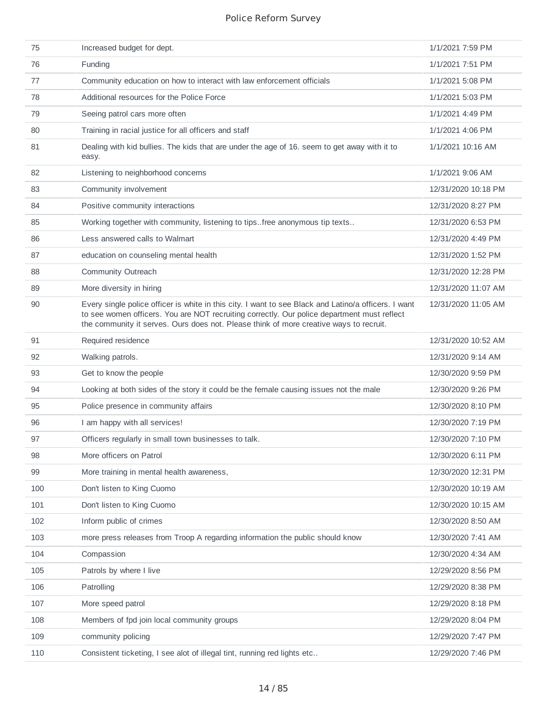| 75  | Increased budget for dept.                                                                                                                                                                                                                                                                    | 1/1/2021 7:59 PM    |
|-----|-----------------------------------------------------------------------------------------------------------------------------------------------------------------------------------------------------------------------------------------------------------------------------------------------|---------------------|
| 76  | Funding                                                                                                                                                                                                                                                                                       | 1/1/2021 7:51 PM    |
| 77  | Community education on how to interact with law enforcement officials                                                                                                                                                                                                                         | 1/1/2021 5:08 PM    |
| 78  | Additional resources for the Police Force                                                                                                                                                                                                                                                     | 1/1/2021 5:03 PM    |
| 79  | Seeing patrol cars more often                                                                                                                                                                                                                                                                 | 1/1/2021 4:49 PM    |
| 80  | Training in racial justice for all officers and staff                                                                                                                                                                                                                                         | 1/1/2021 4:06 PM    |
| 81  | Dealing with kid bullies. The kids that are under the age of 16. seem to get away with it to<br>easy.                                                                                                                                                                                         | 1/1/2021 10:16 AM   |
| 82  | Listening to neighborhood concerns                                                                                                                                                                                                                                                            | 1/1/2021 9:06 AM    |
| 83  | Community involvement                                                                                                                                                                                                                                                                         | 12/31/2020 10:18 PM |
| 84  | Positive community interactions                                                                                                                                                                                                                                                               | 12/31/2020 8:27 PM  |
| 85  | Working together with community, listening to tipsfree anonymous tip texts                                                                                                                                                                                                                    | 12/31/2020 6:53 PM  |
| 86  | Less answered calls to Walmart                                                                                                                                                                                                                                                                | 12/31/2020 4:49 PM  |
| 87  | education on counseling mental health                                                                                                                                                                                                                                                         | 12/31/2020 1:52 PM  |
| 88  | Community Outreach                                                                                                                                                                                                                                                                            | 12/31/2020 12:28 PM |
| 89  | More diversity in hiring                                                                                                                                                                                                                                                                      | 12/31/2020 11:07 AM |
| 90  | Every single police officer is white in this city. I want to see Black and Latino/a officers. I want<br>to see women officers. You are NOT recruiting correctly. Our police department must reflect<br>the community it serves. Ours does not. Please think of more creative ways to recruit. | 12/31/2020 11:05 AM |
| 91  | Required residence                                                                                                                                                                                                                                                                            | 12/31/2020 10:52 AM |
| 92  | Walking patrols.                                                                                                                                                                                                                                                                              | 12/31/2020 9:14 AM  |
| 93  | Get to know the people                                                                                                                                                                                                                                                                        | 12/30/2020 9:59 PM  |
| 94  | Looking at both sides of the story it could be the female causing issues not the male                                                                                                                                                                                                         | 12/30/2020 9:26 PM  |
| 95  | Police presence in community affairs                                                                                                                                                                                                                                                          | 12/30/2020 8:10 PM  |
| 96  | I am happy with all services!                                                                                                                                                                                                                                                                 | 12/30/2020 7:19 PM  |
| 97  | Officers regularly in small town businesses to talk.                                                                                                                                                                                                                                          | 12/30/2020 7:10 PM  |
| 98  | More officers on Patrol                                                                                                                                                                                                                                                                       | 12/30/2020 6:11 PM  |
| 99  | More training in mental health awareness,                                                                                                                                                                                                                                                     | 12/30/2020 12:31 PM |
| 100 | Don't listen to King Cuomo                                                                                                                                                                                                                                                                    | 12/30/2020 10:19 AM |
| 101 | Don't listen to King Cuomo                                                                                                                                                                                                                                                                    | 12/30/2020 10:15 AM |
| 102 | Inform public of crimes                                                                                                                                                                                                                                                                       | 12/30/2020 8:50 AM  |
| 103 | more press releases from Troop A regarding information the public should know                                                                                                                                                                                                                 | 12/30/2020 7:41 AM  |
| 104 | Compassion                                                                                                                                                                                                                                                                                    | 12/30/2020 4:34 AM  |
| 105 | Patrols by where I live                                                                                                                                                                                                                                                                       | 12/29/2020 8:56 PM  |
| 106 | Patrolling                                                                                                                                                                                                                                                                                    | 12/29/2020 8:38 PM  |
| 107 | More speed patrol                                                                                                                                                                                                                                                                             | 12/29/2020 8:18 PM  |
| 108 | Members of fpd join local community groups                                                                                                                                                                                                                                                    | 12/29/2020 8:04 PM  |
| 109 | community policing                                                                                                                                                                                                                                                                            | 12/29/2020 7:47 PM  |
| 110 | Consistent ticketing, I see alot of illegal tint, running red lights etc                                                                                                                                                                                                                      | 12/29/2020 7:46 PM  |
|     |                                                                                                                                                                                                                                                                                               |                     |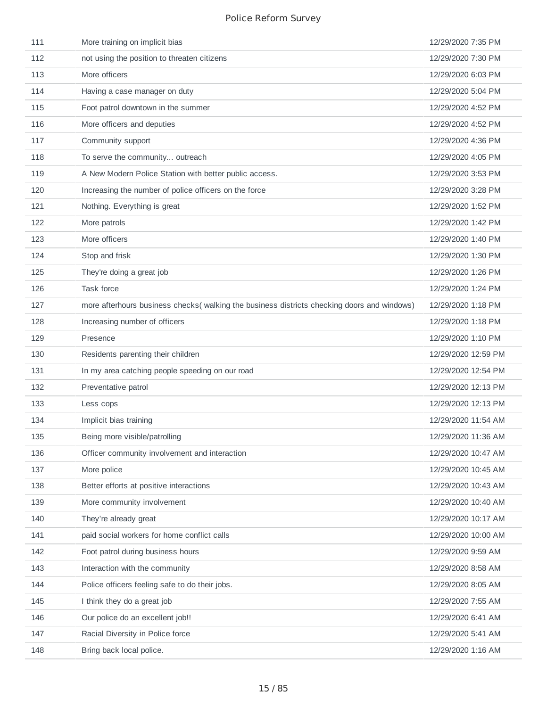| 111 | More training on implicit bias                                                              | 12/29/2020 7:35 PM  |
|-----|---------------------------------------------------------------------------------------------|---------------------|
| 112 | not using the position to threaten citizens                                                 | 12/29/2020 7:30 PM  |
| 113 | More officers                                                                               | 12/29/2020 6:03 PM  |
| 114 | Having a case manager on duty                                                               | 12/29/2020 5:04 PM  |
| 115 | Foot patrol downtown in the summer                                                          | 12/29/2020 4:52 PM  |
| 116 | More officers and deputies                                                                  | 12/29/2020 4:52 PM  |
| 117 | Community support                                                                           | 12/29/2020 4:36 PM  |
| 118 | To serve the community outreach                                                             | 12/29/2020 4:05 PM  |
| 119 | A New Modern Police Station with better public access.                                      | 12/29/2020 3:53 PM  |
| 120 | Increasing the number of police officers on the force                                       | 12/29/2020 3:28 PM  |
| 121 | Nothing. Everything is great                                                                | 12/29/2020 1:52 PM  |
| 122 | More patrols                                                                                | 12/29/2020 1:42 PM  |
| 123 | More officers                                                                               | 12/29/2020 1:40 PM  |
| 124 | Stop and frisk                                                                              | 12/29/2020 1:30 PM  |
| 125 | They're doing a great job                                                                   | 12/29/2020 1:26 PM  |
| 126 | Task force                                                                                  | 12/29/2020 1:24 PM  |
| 127 | more afterhours business checks( walking the business districts checking doors and windows) | 12/29/2020 1:18 PM  |
| 128 | Increasing number of officers                                                               | 12/29/2020 1:18 PM  |
| 129 | Presence                                                                                    | 12/29/2020 1:10 PM  |
| 130 | Residents parenting their children                                                          | 12/29/2020 12:59 PM |
| 131 | In my area catching people speeding on our road                                             | 12/29/2020 12:54 PM |
| 132 | Preventative patrol                                                                         | 12/29/2020 12:13 PM |
| 133 | Less cops                                                                                   | 12/29/2020 12:13 PM |
| 134 | Implicit bias training                                                                      | 12/29/2020 11:54 AM |
| 135 | Being more visible/patrolling                                                               | 12/29/2020 11:36 AM |
| 136 | Officer community involvement and interaction                                               | 12/29/2020 10:47 AM |
| 137 | More police                                                                                 | 12/29/2020 10:45 AM |
| 138 | Better efforts at positive interactions                                                     | 12/29/2020 10:43 AM |
| 139 | More community involvement                                                                  | 12/29/2020 10:40 AM |
| 140 | They're already great                                                                       | 12/29/2020 10:17 AM |
| 141 | paid social workers for home conflict calls                                                 | 12/29/2020 10:00 AM |
| 142 | Foot patrol during business hours                                                           | 12/29/2020 9:59 AM  |
| 143 | Interaction with the community                                                              | 12/29/2020 8:58 AM  |
| 144 | Police officers feeling safe to do their jobs.                                              | 12/29/2020 8:05 AM  |
| 145 | I think they do a great job                                                                 | 12/29/2020 7:55 AM  |
| 146 | Our police do an excellent job!!                                                            | 12/29/2020 6:41 AM  |
| 147 | Racial Diversity in Police force                                                            | 12/29/2020 5:41 AM  |
| 148 | Bring back local police.                                                                    | 12/29/2020 1:16 AM  |
|     |                                                                                             |                     |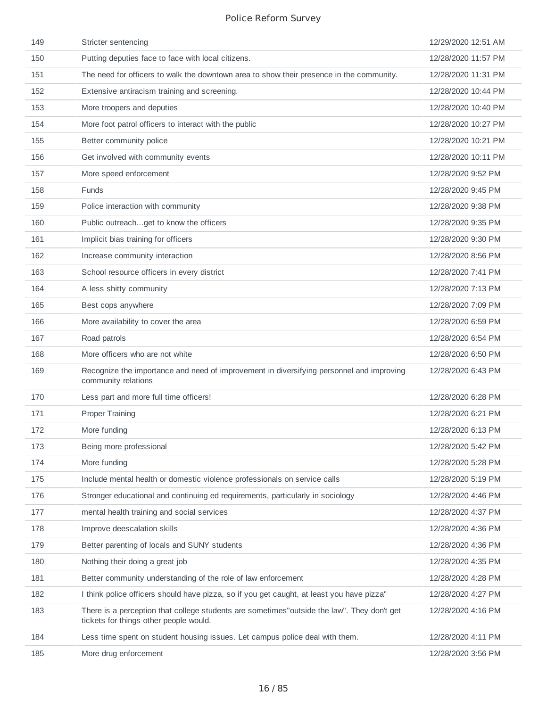| 149 | Stricter sentencing                                                                                                                  | 12/29/2020 12:51 AM |
|-----|--------------------------------------------------------------------------------------------------------------------------------------|---------------------|
| 150 | Putting deputies face to face with local citizens.                                                                                   | 12/28/2020 11:57 PM |
| 151 | The need for officers to walk the downtown area to show their presence in the community.                                             | 12/28/2020 11:31 PM |
| 152 | Extensive antiracism training and screening.                                                                                         | 12/28/2020 10:44 PM |
| 153 | More troopers and deputies                                                                                                           | 12/28/2020 10:40 PM |
| 154 | More foot patrol officers to interact with the public                                                                                | 12/28/2020 10:27 PM |
| 155 | Better community police                                                                                                              | 12/28/2020 10:21 PM |
| 156 | Get involved with community events                                                                                                   | 12/28/2020 10:11 PM |
| 157 | More speed enforcement                                                                                                               | 12/28/2020 9:52 PM  |
| 158 | <b>Funds</b>                                                                                                                         | 12/28/2020 9:45 PM  |
| 159 | Police interaction with community                                                                                                    | 12/28/2020 9:38 PM  |
| 160 | Public outreachget to know the officers                                                                                              | 12/28/2020 9:35 PM  |
| 161 | Implicit bias training for officers                                                                                                  | 12/28/2020 9:30 PM  |
| 162 | Increase community interaction                                                                                                       | 12/28/2020 8:56 PM  |
| 163 | School resource officers in every district                                                                                           | 12/28/2020 7:41 PM  |
| 164 | A less shitty community                                                                                                              | 12/28/2020 7:13 PM  |
| 165 | Best cops anywhere                                                                                                                   | 12/28/2020 7:09 PM  |
| 166 | More availability to cover the area                                                                                                  | 12/28/2020 6:59 PM  |
| 167 | Road patrols                                                                                                                         | 12/28/2020 6:54 PM  |
| 168 | More officers who are not white                                                                                                      | 12/28/2020 6:50 PM  |
| 169 | Recognize the importance and need of improvement in diversifying personnel and improving<br>community relations                      | 12/28/2020 6:43 PM  |
| 170 | Less part and more full time officers!                                                                                               | 12/28/2020 6:28 PM  |
| 171 | <b>Proper Training</b>                                                                                                               | 12/28/2020 6:21 PM  |
| 172 |                                                                                                                                      |                     |
|     | More funding                                                                                                                         | 12/28/2020 6:13 PM  |
| 173 | Being more professional                                                                                                              | 12/28/2020 5:42 PM  |
| 174 | More funding                                                                                                                         | 12/28/2020 5:28 PM  |
| 175 | Include mental health or domestic violence professionals on service calls                                                            | 12/28/2020 5:19 PM  |
| 176 | Stronger educational and continuing ed requirements, particularly in sociology                                                       | 12/28/2020 4:46 PM  |
| 177 | mental health training and social services                                                                                           | 12/28/2020 4:37 PM  |
| 178 | Improve deescalation skills                                                                                                          | 12/28/2020 4:36 PM  |
| 179 | Better parenting of locals and SUNY students                                                                                         | 12/28/2020 4:36 PM  |
| 180 | Nothing their doing a great job                                                                                                      | 12/28/2020 4:35 PM  |
| 181 | Better community understanding of the role of law enforcement                                                                        | 12/28/2020 4:28 PM  |
| 182 | I think police officers should have pizza, so if you get caught, at least you have pizza"                                            | 12/28/2020 4:27 PM  |
| 183 | There is a perception that college students are sometimes"outside the law". They don't get<br>tickets for things other people would. | 12/28/2020 4:16 PM  |
| 184 | Less time spent on student housing issues. Let campus police deal with them.                                                         | 12/28/2020 4:11 PM  |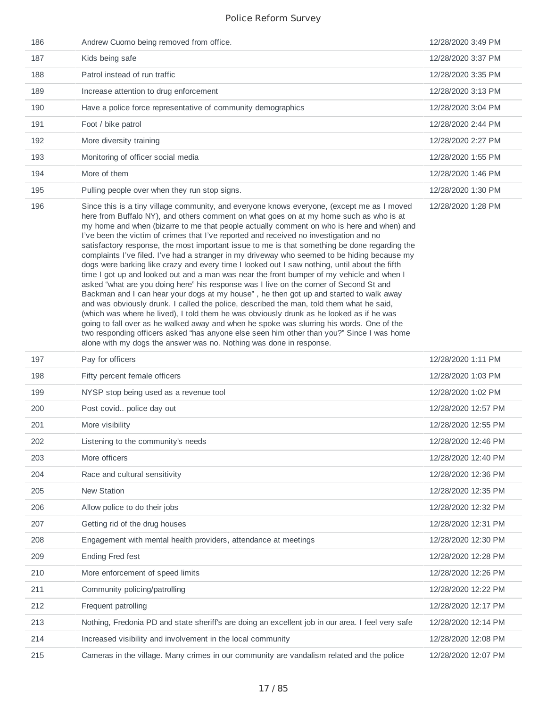| 186 | Andrew Cuomo being removed from office.                                                                                                                                                                                                                                                                                                                                                                                                                                                                                                                                                                                                                                                                                                                                                                                                                                                                                                                                                                                                                                                                                                                                                                                                                                                                                                                                                                                 | 12/28/2020 3:49 PM  |
|-----|-------------------------------------------------------------------------------------------------------------------------------------------------------------------------------------------------------------------------------------------------------------------------------------------------------------------------------------------------------------------------------------------------------------------------------------------------------------------------------------------------------------------------------------------------------------------------------------------------------------------------------------------------------------------------------------------------------------------------------------------------------------------------------------------------------------------------------------------------------------------------------------------------------------------------------------------------------------------------------------------------------------------------------------------------------------------------------------------------------------------------------------------------------------------------------------------------------------------------------------------------------------------------------------------------------------------------------------------------------------------------------------------------------------------------|---------------------|
| 187 | Kids being safe                                                                                                                                                                                                                                                                                                                                                                                                                                                                                                                                                                                                                                                                                                                                                                                                                                                                                                                                                                                                                                                                                                                                                                                                                                                                                                                                                                                                         | 12/28/2020 3:37 PM  |
| 188 | Patrol instead of run traffic                                                                                                                                                                                                                                                                                                                                                                                                                                                                                                                                                                                                                                                                                                                                                                                                                                                                                                                                                                                                                                                                                                                                                                                                                                                                                                                                                                                           | 12/28/2020 3:35 PM  |
| 189 | Increase attention to drug enforcement                                                                                                                                                                                                                                                                                                                                                                                                                                                                                                                                                                                                                                                                                                                                                                                                                                                                                                                                                                                                                                                                                                                                                                                                                                                                                                                                                                                  | 12/28/2020 3:13 PM  |
| 190 | Have a police force representative of community demographics                                                                                                                                                                                                                                                                                                                                                                                                                                                                                                                                                                                                                                                                                                                                                                                                                                                                                                                                                                                                                                                                                                                                                                                                                                                                                                                                                            | 12/28/2020 3:04 PM  |
| 191 | Foot / bike patrol                                                                                                                                                                                                                                                                                                                                                                                                                                                                                                                                                                                                                                                                                                                                                                                                                                                                                                                                                                                                                                                                                                                                                                                                                                                                                                                                                                                                      | 12/28/2020 2:44 PM  |
| 192 | More diversity training                                                                                                                                                                                                                                                                                                                                                                                                                                                                                                                                                                                                                                                                                                                                                                                                                                                                                                                                                                                                                                                                                                                                                                                                                                                                                                                                                                                                 | 12/28/2020 2:27 PM  |
| 193 | Monitoring of officer social media                                                                                                                                                                                                                                                                                                                                                                                                                                                                                                                                                                                                                                                                                                                                                                                                                                                                                                                                                                                                                                                                                                                                                                                                                                                                                                                                                                                      | 12/28/2020 1:55 PM  |
| 194 | More of them                                                                                                                                                                                                                                                                                                                                                                                                                                                                                                                                                                                                                                                                                                                                                                                                                                                                                                                                                                                                                                                                                                                                                                                                                                                                                                                                                                                                            | 12/28/2020 1:46 PM  |
| 195 | Pulling people over when they run stop signs.                                                                                                                                                                                                                                                                                                                                                                                                                                                                                                                                                                                                                                                                                                                                                                                                                                                                                                                                                                                                                                                                                                                                                                                                                                                                                                                                                                           | 12/28/2020 1:30 PM  |
| 196 | Since this is a tiny village community, and everyone knows everyone, (except me as I moved<br>here from Buffalo NY), and others comment on what goes on at my home such as who is at<br>my home and when (bizarre to me that people actually comment on who is here and when) and<br>I've been the victim of crimes that I've reported and received no investigation and no<br>satisfactory response, the most important issue to me is that something be done regarding the<br>complaints I've filed. I've had a stranger in my driveway who seemed to be hiding because my<br>dogs were barking like crazy and every time I looked out I saw nothing, until about the fifth<br>time I got up and looked out and a man was near the front bumper of my vehicle and when I<br>asked "what are you doing here" his response was I live on the corner of Second St and<br>Backman and I can hear your dogs at my house", he then got up and started to walk away<br>and was obviously drunk. I called the police, described the man, told them what he said,<br>(which was where he lived), I told them he was obviously drunk as he looked as if he was<br>going to fall over as he walked away and when he spoke was slurring his words. One of the<br>two responding officers asked "has anyone else seen him other than you?" Since I was home<br>alone with my dogs the answer was no. Nothing was done in response. | 12/28/2020 1:28 PM  |
| 197 | Pay for officers                                                                                                                                                                                                                                                                                                                                                                                                                                                                                                                                                                                                                                                                                                                                                                                                                                                                                                                                                                                                                                                                                                                                                                                                                                                                                                                                                                                                        | 12/28/2020 1:11 PM  |
| 198 | Fifty percent female officers                                                                                                                                                                                                                                                                                                                                                                                                                                                                                                                                                                                                                                                                                                                                                                                                                                                                                                                                                                                                                                                                                                                                                                                                                                                                                                                                                                                           | 12/28/2020 1:03 PM  |
| 199 | NYSP stop being used as a revenue tool                                                                                                                                                                                                                                                                                                                                                                                                                                                                                                                                                                                                                                                                                                                                                                                                                                                                                                                                                                                                                                                                                                                                                                                                                                                                                                                                                                                  | 12/28/2020 1:02 PM  |
| 200 | Post covid police day out                                                                                                                                                                                                                                                                                                                                                                                                                                                                                                                                                                                                                                                                                                                                                                                                                                                                                                                                                                                                                                                                                                                                                                                                                                                                                                                                                                                               | 12/28/2020 12:57 PM |
| 201 | More visibility                                                                                                                                                                                                                                                                                                                                                                                                                                                                                                                                                                                                                                                                                                                                                                                                                                                                                                                                                                                                                                                                                                                                                                                                                                                                                                                                                                                                         | 12/28/2020 12:55 PM |
| 202 | Listening to the community's needs                                                                                                                                                                                                                                                                                                                                                                                                                                                                                                                                                                                                                                                                                                                                                                                                                                                                                                                                                                                                                                                                                                                                                                                                                                                                                                                                                                                      | 12/28/2020 12:46 PM |
| 203 | More officers                                                                                                                                                                                                                                                                                                                                                                                                                                                                                                                                                                                                                                                                                                                                                                                                                                                                                                                                                                                                                                                                                                                                                                                                                                                                                                                                                                                                           | 12/28/2020 12:40 PM |
| 204 | Race and cultural sensitivity                                                                                                                                                                                                                                                                                                                                                                                                                                                                                                                                                                                                                                                                                                                                                                                                                                                                                                                                                                                                                                                                                                                                                                                                                                                                                                                                                                                           | 12/28/2020 12:36 PM |
| 205 |                                                                                                                                                                                                                                                                                                                                                                                                                                                                                                                                                                                                                                                                                                                                                                                                                                                                                                                                                                                                                                                                                                                                                                                                                                                                                                                                                                                                                         |                     |
| 206 | New Station                                                                                                                                                                                                                                                                                                                                                                                                                                                                                                                                                                                                                                                                                                                                                                                                                                                                                                                                                                                                                                                                                                                                                                                                                                                                                                                                                                                                             | 12/28/2020 12:35 PM |
|     | Allow police to do their jobs                                                                                                                                                                                                                                                                                                                                                                                                                                                                                                                                                                                                                                                                                                                                                                                                                                                                                                                                                                                                                                                                                                                                                                                                                                                                                                                                                                                           | 12/28/2020 12:32 PM |
| 207 | Getting rid of the drug houses                                                                                                                                                                                                                                                                                                                                                                                                                                                                                                                                                                                                                                                                                                                                                                                                                                                                                                                                                                                                                                                                                                                                                                                                                                                                                                                                                                                          | 12/28/2020 12:31 PM |
| 208 | Engagement with mental health providers, attendance at meetings                                                                                                                                                                                                                                                                                                                                                                                                                                                                                                                                                                                                                                                                                                                                                                                                                                                                                                                                                                                                                                                                                                                                                                                                                                                                                                                                                         | 12/28/2020 12:30 PM |
| 209 | <b>Ending Fred fest</b>                                                                                                                                                                                                                                                                                                                                                                                                                                                                                                                                                                                                                                                                                                                                                                                                                                                                                                                                                                                                                                                                                                                                                                                                                                                                                                                                                                                                 | 12/28/2020 12:28 PM |
| 210 | More enforcement of speed limits                                                                                                                                                                                                                                                                                                                                                                                                                                                                                                                                                                                                                                                                                                                                                                                                                                                                                                                                                                                                                                                                                                                                                                                                                                                                                                                                                                                        | 12/28/2020 12:26 PM |
| 211 | Community policing/patrolling                                                                                                                                                                                                                                                                                                                                                                                                                                                                                                                                                                                                                                                                                                                                                                                                                                                                                                                                                                                                                                                                                                                                                                                                                                                                                                                                                                                           | 12/28/2020 12:22 PM |
| 212 | Frequent patrolling                                                                                                                                                                                                                                                                                                                                                                                                                                                                                                                                                                                                                                                                                                                                                                                                                                                                                                                                                                                                                                                                                                                                                                                                                                                                                                                                                                                                     | 12/28/2020 12:17 PM |
| 213 | Nothing, Fredonia PD and state sheriff's are doing an excellent job in our area. I feel very safe                                                                                                                                                                                                                                                                                                                                                                                                                                                                                                                                                                                                                                                                                                                                                                                                                                                                                                                                                                                                                                                                                                                                                                                                                                                                                                                       | 12/28/2020 12:14 PM |
| 214 | Increased visibility and involvement in the local community                                                                                                                                                                                                                                                                                                                                                                                                                                                                                                                                                                                                                                                                                                                                                                                                                                                                                                                                                                                                                                                                                                                                                                                                                                                                                                                                                             | 12/28/2020 12:08 PM |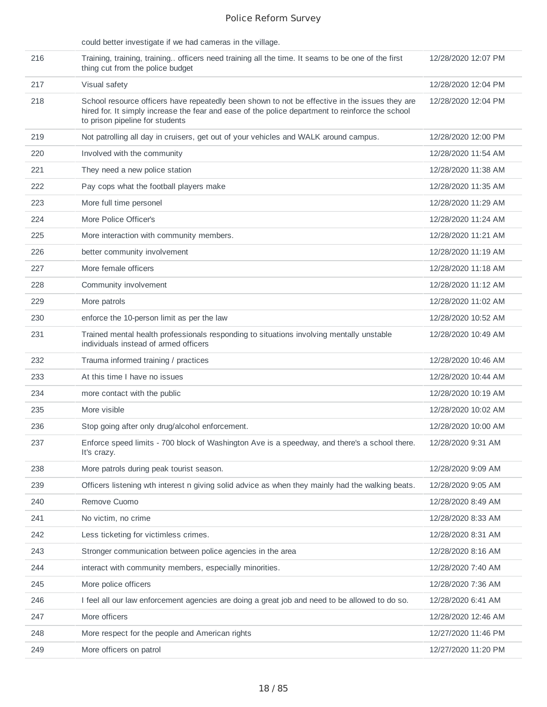|     | could better investigate if we had cameras in the village.                                                                                                                                                                            |                     |
|-----|---------------------------------------------------------------------------------------------------------------------------------------------------------------------------------------------------------------------------------------|---------------------|
| 216 | Training, training, training officers need training all the time. It seams to be one of the first<br>thing cut from the police budget                                                                                                 | 12/28/2020 12:07 PM |
| 217 | Visual safety                                                                                                                                                                                                                         | 12/28/2020 12:04 PM |
| 218 | School resource officers have repeatedly been shown to not be effective in the issues they are<br>hired for. It simply increase the fear and ease of the police department to reinforce the school<br>to prison pipeline for students | 12/28/2020 12:04 PM |
| 219 | Not patrolling all day in cruisers, get out of your vehicles and WALK around campus.                                                                                                                                                  | 12/28/2020 12:00 PM |
| 220 | Involved with the community                                                                                                                                                                                                           | 12/28/2020 11:54 AM |
| 221 | They need a new police station                                                                                                                                                                                                        | 12/28/2020 11:38 AM |
| 222 | Pay cops what the football players make                                                                                                                                                                                               | 12/28/2020 11:35 AM |
| 223 | More full time personel                                                                                                                                                                                                               | 12/28/2020 11:29 AM |
| 224 | More Police Officer's                                                                                                                                                                                                                 | 12/28/2020 11:24 AM |
| 225 | More interaction with community members.                                                                                                                                                                                              | 12/28/2020 11:21 AM |
| 226 | better community involvement                                                                                                                                                                                                          | 12/28/2020 11:19 AM |
| 227 | More female officers                                                                                                                                                                                                                  | 12/28/2020 11:18 AM |
| 228 | Community involvement                                                                                                                                                                                                                 | 12/28/2020 11:12 AM |
| 229 | More patrols                                                                                                                                                                                                                          | 12/28/2020 11:02 AM |
| 230 | enforce the 10-person limit as per the law                                                                                                                                                                                            | 12/28/2020 10:52 AM |
| 231 | Trained mental health professionals responding to situations involving mentally unstable<br>individuals instead of armed officers                                                                                                     | 12/28/2020 10:49 AM |
| 232 | Trauma informed training / practices                                                                                                                                                                                                  | 12/28/2020 10:46 AM |
| 233 | At this time I have no issues                                                                                                                                                                                                         | 12/28/2020 10:44 AM |
| 234 | more contact with the public                                                                                                                                                                                                          | 12/28/2020 10:19 AM |
| 235 | More visible                                                                                                                                                                                                                          | 12/28/2020 10:02 AM |
| 236 | Stop going after only drug/alcohol enforcement.                                                                                                                                                                                       | 12/28/2020 10:00 AM |
| 237 | Enforce speed limits - 700 block of Washington Ave is a speedway, and there's a school there.<br>It's crazy.                                                                                                                          | 12/28/2020 9:31 AM  |
| 238 | More patrols during peak tourist season.                                                                                                                                                                                              | 12/28/2020 9:09 AM  |
| 239 | Officers listening wth interest n giving solid advice as when they mainly had the walking beats.                                                                                                                                      | 12/28/2020 9:05 AM  |
| 240 | Remove Cuomo                                                                                                                                                                                                                          | 12/28/2020 8:49 AM  |
| 241 | No victim, no crime                                                                                                                                                                                                                   | 12/28/2020 8:33 AM  |
| 242 | Less ticketing for victimless crimes.                                                                                                                                                                                                 | 12/28/2020 8:31 AM  |
| 243 | Stronger communication between police agencies in the area                                                                                                                                                                            | 12/28/2020 8:16 AM  |
| 244 | interact with community members, especially minorities.                                                                                                                                                                               | 12/28/2020 7:40 AM  |
| 245 | More police officers                                                                                                                                                                                                                  | 12/28/2020 7:36 AM  |
| 246 | I feel all our law enforcement agencies are doing a great job and need to be allowed to do so.                                                                                                                                        | 12/28/2020 6:41 AM  |
| 247 | More officers                                                                                                                                                                                                                         | 12/28/2020 12:46 AM |
| 248 | More respect for the people and American rights                                                                                                                                                                                       | 12/27/2020 11:46 PM |
| 249 | More officers on patrol                                                                                                                                                                                                               | 12/27/2020 11:20 PM |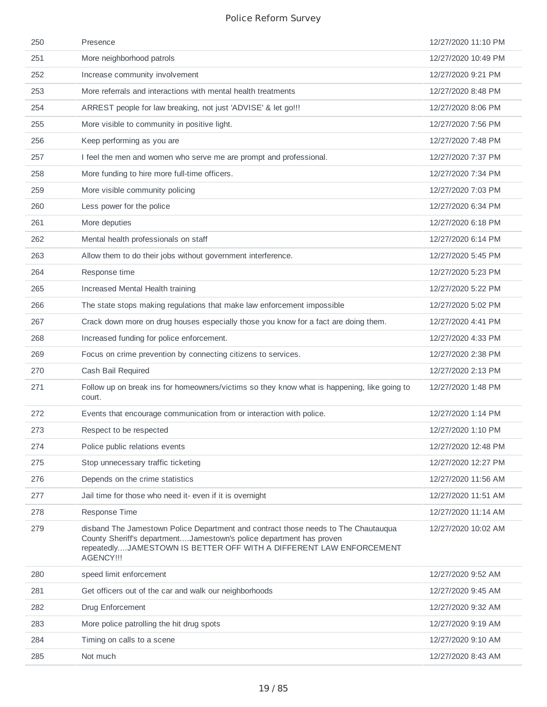| 250 | Presence                                                                                                                                                                                                                                      | 12/27/2020 11:10 PM |
|-----|-----------------------------------------------------------------------------------------------------------------------------------------------------------------------------------------------------------------------------------------------|---------------------|
| 251 | More neighborhood patrols                                                                                                                                                                                                                     | 12/27/2020 10:49 PM |
| 252 | Increase community involvement                                                                                                                                                                                                                | 12/27/2020 9:21 PM  |
| 253 | More referrals and interactions with mental health treatments                                                                                                                                                                                 | 12/27/2020 8:48 PM  |
| 254 | ARREST people for law breaking, not just 'ADVISE' & let go!!!                                                                                                                                                                                 | 12/27/2020 8:06 PM  |
| 255 | More visible to community in positive light.                                                                                                                                                                                                  | 12/27/2020 7:56 PM  |
| 256 | Keep performing as you are                                                                                                                                                                                                                    | 12/27/2020 7:48 PM  |
| 257 | I feel the men and women who serve me are prompt and professional.                                                                                                                                                                            | 12/27/2020 7:37 PM  |
| 258 | More funding to hire more full-time officers.                                                                                                                                                                                                 | 12/27/2020 7:34 PM  |
| 259 | More visible community policing                                                                                                                                                                                                               | 12/27/2020 7:03 PM  |
| 260 | Less power for the police                                                                                                                                                                                                                     | 12/27/2020 6:34 PM  |
| 261 | More deputies                                                                                                                                                                                                                                 | 12/27/2020 6:18 PM  |
| 262 | Mental health professionals on staff                                                                                                                                                                                                          | 12/27/2020 6:14 PM  |
| 263 | Allow them to do their jobs without government interference.                                                                                                                                                                                  | 12/27/2020 5:45 PM  |
| 264 | Response time                                                                                                                                                                                                                                 | 12/27/2020 5:23 PM  |
| 265 | Increased Mental Health training                                                                                                                                                                                                              | 12/27/2020 5:22 PM  |
| 266 | The state stops making regulations that make law enforcement impossible                                                                                                                                                                       | 12/27/2020 5:02 PM  |
| 267 | Crack down more on drug houses especially those you know for a fact are doing them.                                                                                                                                                           | 12/27/2020 4:41 PM  |
| 268 | Increased funding for police enforcement.                                                                                                                                                                                                     | 12/27/2020 4:33 PM  |
| 269 | Focus on crime prevention by connecting citizens to services.                                                                                                                                                                                 | 12/27/2020 2:38 PM  |
| 270 | Cash Bail Required                                                                                                                                                                                                                            | 12/27/2020 2:13 PM  |
| 271 | Follow up on break ins for homeowners/victims so they know what is happening, like going to<br>court.                                                                                                                                         | 12/27/2020 1:48 PM  |
| 272 | Events that encourage communication from or interaction with police.                                                                                                                                                                          | 12/27/2020 1:14 PM  |
| 273 | Respect to be respected                                                                                                                                                                                                                       | 12/27/2020 1:10 PM  |
| 274 | Police public relations events                                                                                                                                                                                                                | 12/27/2020 12:48 PM |
| 275 | Stop unnecessary traffic ticketing                                                                                                                                                                                                            | 12/27/2020 12:27 PM |
| 276 | Depends on the crime statistics                                                                                                                                                                                                               | 12/27/2020 11:56 AM |
| 277 | Jail time for those who need it- even if it is overnight                                                                                                                                                                                      | 12/27/2020 11:51 AM |
| 278 | Response Time                                                                                                                                                                                                                                 | 12/27/2020 11:14 AM |
| 279 | disband The Jamestown Police Department and contract those needs to The Chautauqua<br>County Sheriff's departmentJamestown's police department has proven<br>repeatedlyJAMESTOWN IS BETTER OFF WITH A DIFFERENT LAW ENFORCEMENT<br>AGENCY !!! | 12/27/2020 10:02 AM |
| 280 | speed limit enforcement                                                                                                                                                                                                                       | 12/27/2020 9:52 AM  |
| 281 | Get officers out of the car and walk our neighborhoods                                                                                                                                                                                        | 12/27/2020 9:45 AM  |
| 282 | Drug Enforcement                                                                                                                                                                                                                              | 12/27/2020 9:32 AM  |
| 283 | More police patrolling the hit drug spots                                                                                                                                                                                                     | 12/27/2020 9:19 AM  |
| 284 | Timing on calls to a scene                                                                                                                                                                                                                    | 12/27/2020 9:10 AM  |
| 285 | Not much                                                                                                                                                                                                                                      | 12/27/2020 8:43 AM  |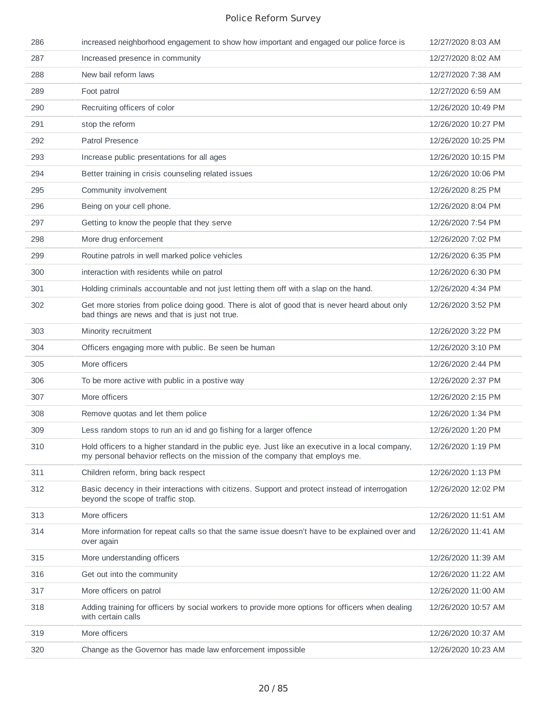| 286 | increased neighborhood engagement to show how important and engaged our police force is                                                                                          | 12/27/2020 8:03 AM  |
|-----|----------------------------------------------------------------------------------------------------------------------------------------------------------------------------------|---------------------|
| 287 | Increased presence in community                                                                                                                                                  | 12/27/2020 8:02 AM  |
| 288 | New bail reform laws                                                                                                                                                             | 12/27/2020 7:38 AM  |
| 289 | Foot patrol                                                                                                                                                                      | 12/27/2020 6:59 AM  |
| 290 | Recruiting officers of color                                                                                                                                                     | 12/26/2020 10:49 PM |
| 291 | stop the reform                                                                                                                                                                  | 12/26/2020 10:27 PM |
| 292 | <b>Patrol Presence</b>                                                                                                                                                           | 12/26/2020 10:25 PM |
| 293 | Increase public presentations for all ages                                                                                                                                       | 12/26/2020 10:15 PM |
| 294 | Better training in crisis counseling related issues                                                                                                                              | 12/26/2020 10:06 PM |
| 295 | Community involvement                                                                                                                                                            | 12/26/2020 8:25 PM  |
| 296 | Being on your cell phone.                                                                                                                                                        | 12/26/2020 8:04 PM  |
| 297 | Getting to know the people that they serve                                                                                                                                       | 12/26/2020 7:54 PM  |
| 298 | More drug enforcement                                                                                                                                                            | 12/26/2020 7:02 PM  |
| 299 | Routine patrols in well marked police vehicles                                                                                                                                   | 12/26/2020 6:35 PM  |
| 300 | interaction with residents while on patrol                                                                                                                                       | 12/26/2020 6:30 PM  |
| 301 | Holding criminals accountable and not just letting them off with a slap on the hand.                                                                                             | 12/26/2020 4:34 PM  |
| 302 | Get more stories from police doing good. There is alot of good that is never heard about only<br>bad things are news and that is just not true.                                  | 12/26/2020 3:52 PM  |
| 303 | Minority recruitment                                                                                                                                                             | 12/26/2020 3:22 PM  |
| 304 | Officers engaging more with public. Be seen be human                                                                                                                             | 12/26/2020 3:10 PM  |
| 305 | More officers                                                                                                                                                                    | 12/26/2020 2:44 PM  |
| 306 | To be more active with public in a postive way                                                                                                                                   | 12/26/2020 2:37 PM  |
| 307 | More officers                                                                                                                                                                    | 12/26/2020 2:15 PM  |
| 308 | Remove quotas and let them police                                                                                                                                                | 12/26/2020 1:34 PM  |
| 309 | Less random stops to run an id and go fishing for a larger offence                                                                                                               | 12/26/2020 1:20 PM  |
| 310 | Hold officers to a higher standard in the public eye. Just like an executive in a local company,<br>my personal behavior reflects on the mission of the company that employs me. | 12/26/2020 1:19 PM  |
| 311 | Children reform, bring back respect                                                                                                                                              | 12/26/2020 1:13 PM  |
| 312 | Basic decency in their interactions with citizens. Support and protect instead of interrogation<br>beyond the scope of traffic stop.                                             | 12/26/2020 12:02 PM |
| 313 | More officers                                                                                                                                                                    | 12/26/2020 11:51 AM |
| 314 | More information for repeat calls so that the same issue doesn't have to be explained over and<br>over again                                                                     | 12/26/2020 11:41 AM |
| 315 | More understanding officers                                                                                                                                                      | 12/26/2020 11:39 AM |
| 316 | Get out into the community                                                                                                                                                       | 12/26/2020 11:22 AM |
| 317 | More officers on patrol                                                                                                                                                          | 12/26/2020 11:00 AM |
| 318 | Adding training for officers by social workers to provide more options for officers when dealing<br>with certain calls                                                           | 12/26/2020 10:57 AM |
| 319 | More officers                                                                                                                                                                    | 12/26/2020 10:37 AM |
| 320 | Change as the Governor has made law enforcement impossible                                                                                                                       | 12/26/2020 10:23 AM |
|     |                                                                                                                                                                                  |                     |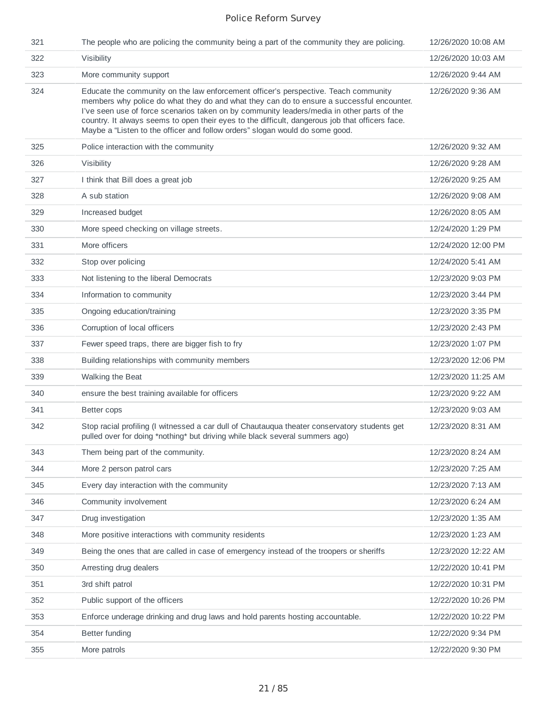| 321 | The people who are policing the community being a part of the community they are policing.                                                                                                                                                                                                                                                                                                                                                                        | 12/26/2020 10:08 AM |
|-----|-------------------------------------------------------------------------------------------------------------------------------------------------------------------------------------------------------------------------------------------------------------------------------------------------------------------------------------------------------------------------------------------------------------------------------------------------------------------|---------------------|
| 322 | Visibility                                                                                                                                                                                                                                                                                                                                                                                                                                                        | 12/26/2020 10:03 AM |
| 323 | More community support                                                                                                                                                                                                                                                                                                                                                                                                                                            | 12/26/2020 9:44 AM  |
| 324 | Educate the community on the law enforcement officer's perspective. Teach community<br>members why police do what they do and what they can do to ensure a successful encounter.<br>I've seen use of force scenarios taken on by community leaders/media in other parts of the<br>country. It always seems to open their eyes to the difficult, dangerous job that officers face.<br>Maybe a "Listen to the officer and follow orders" slogan would do some good. | 12/26/2020 9:36 AM  |
| 325 | Police interaction with the community                                                                                                                                                                                                                                                                                                                                                                                                                             | 12/26/2020 9:32 AM  |
| 326 | Visibility                                                                                                                                                                                                                                                                                                                                                                                                                                                        | 12/26/2020 9:28 AM  |
| 327 | I think that Bill does a great job                                                                                                                                                                                                                                                                                                                                                                                                                                | 12/26/2020 9:25 AM  |
| 328 | A sub station                                                                                                                                                                                                                                                                                                                                                                                                                                                     | 12/26/2020 9:08 AM  |
| 329 | Increased budget                                                                                                                                                                                                                                                                                                                                                                                                                                                  | 12/26/2020 8:05 AM  |
| 330 | More speed checking on village streets.                                                                                                                                                                                                                                                                                                                                                                                                                           | 12/24/2020 1:29 PM  |
| 331 | More officers                                                                                                                                                                                                                                                                                                                                                                                                                                                     | 12/24/2020 12:00 PM |
| 332 | Stop over policing                                                                                                                                                                                                                                                                                                                                                                                                                                                | 12/24/2020 5:41 AM  |
| 333 | Not listening to the liberal Democrats                                                                                                                                                                                                                                                                                                                                                                                                                            | 12/23/2020 9:03 PM  |
| 334 | Information to community                                                                                                                                                                                                                                                                                                                                                                                                                                          | 12/23/2020 3:44 PM  |
| 335 | Ongoing education/training                                                                                                                                                                                                                                                                                                                                                                                                                                        | 12/23/2020 3:35 PM  |
| 336 | Corruption of local officers                                                                                                                                                                                                                                                                                                                                                                                                                                      | 12/23/2020 2:43 PM  |
| 337 | Fewer speed traps, there are bigger fish to fry                                                                                                                                                                                                                                                                                                                                                                                                                   | 12/23/2020 1:07 PM  |
| 338 | Building relationships with community members                                                                                                                                                                                                                                                                                                                                                                                                                     | 12/23/2020 12:06 PM |
| 339 | Walking the Beat                                                                                                                                                                                                                                                                                                                                                                                                                                                  | 12/23/2020 11:25 AM |
| 340 | ensure the best training available for officers                                                                                                                                                                                                                                                                                                                                                                                                                   | 12/23/2020 9:22 AM  |
| 341 | Better cops                                                                                                                                                                                                                                                                                                                                                                                                                                                       | 12/23/2020 9:03 AM  |
| 342 | Stop racial profiling (I witnessed a car dull of Chautaugua theater conservatory students get<br>pulled over for doing *nothing* but driving while black several summers ago)                                                                                                                                                                                                                                                                                     | 12/23/2020 8:31 AM  |
| 343 | Them being part of the community.                                                                                                                                                                                                                                                                                                                                                                                                                                 | 12/23/2020 8:24 AM  |
| 344 | More 2 person patrol cars                                                                                                                                                                                                                                                                                                                                                                                                                                         | 12/23/2020 7:25 AM  |
| 345 | Every day interaction with the community                                                                                                                                                                                                                                                                                                                                                                                                                          | 12/23/2020 7:13 AM  |
| 346 | Community involvement                                                                                                                                                                                                                                                                                                                                                                                                                                             | 12/23/2020 6:24 AM  |
| 347 | Drug investigation                                                                                                                                                                                                                                                                                                                                                                                                                                                | 12/23/2020 1:35 AM  |
| 348 | More positive interactions with community residents                                                                                                                                                                                                                                                                                                                                                                                                               | 12/23/2020 1:23 AM  |
| 349 | Being the ones that are called in case of emergency instead of the troopers or sheriffs                                                                                                                                                                                                                                                                                                                                                                           | 12/23/2020 12:22 AM |
| 350 | Arresting drug dealers                                                                                                                                                                                                                                                                                                                                                                                                                                            | 12/22/2020 10:41 PM |
| 351 | 3rd shift patrol                                                                                                                                                                                                                                                                                                                                                                                                                                                  | 12/22/2020 10:31 PM |
| 352 | Public support of the officers                                                                                                                                                                                                                                                                                                                                                                                                                                    | 12/22/2020 10:26 PM |
| 353 | Enforce underage drinking and drug laws and hold parents hosting accountable.                                                                                                                                                                                                                                                                                                                                                                                     | 12/22/2020 10:22 PM |
| 354 | Better funding                                                                                                                                                                                                                                                                                                                                                                                                                                                    | 12/22/2020 9:34 PM  |
| 355 | More patrols                                                                                                                                                                                                                                                                                                                                                                                                                                                      | 12/22/2020 9:30 PM  |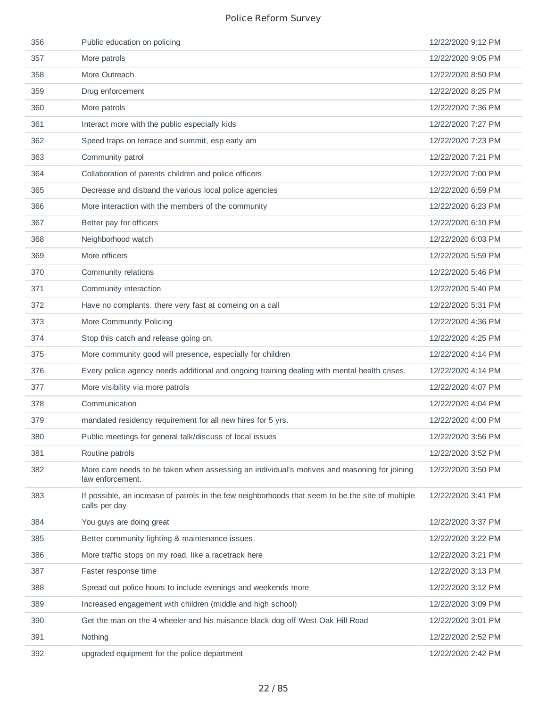| 356 | Public education on policing                                                                                       | 12/22/2020 9:12 PM |
|-----|--------------------------------------------------------------------------------------------------------------------|--------------------|
| 357 | More patrols                                                                                                       | 12/22/2020 9:05 PM |
| 358 | More Outreach                                                                                                      | 12/22/2020 8:50 PM |
| 359 | Drug enforcement                                                                                                   | 12/22/2020 8:25 PM |
| 360 | More patrols                                                                                                       | 12/22/2020 7:36 PM |
| 361 | Interact more with the public especially kids                                                                      | 12/22/2020 7:27 PM |
| 362 | Speed traps on terrace and summit, esp early am                                                                    | 12/22/2020 7:23 PM |
| 363 | Community patrol                                                                                                   | 12/22/2020 7:21 PM |
| 364 | Collaboration of parents children and police officers                                                              | 12/22/2020 7:00 PM |
| 365 | Decrease and disband the various local police agencies                                                             | 12/22/2020 6:59 PM |
| 366 | More interaction with the members of the community                                                                 | 12/22/2020 6:23 PM |
| 367 | Better pay for officers                                                                                            | 12/22/2020 6:10 PM |
| 368 | Neighborhood watch                                                                                                 | 12/22/2020 6:03 PM |
| 369 | More officers                                                                                                      | 12/22/2020 5:59 PM |
| 370 | Community relations                                                                                                | 12/22/2020 5:46 PM |
| 371 | Community interaction                                                                                              | 12/22/2020 5:40 PM |
| 372 | Have no complants. there very fast at comeing on a call                                                            | 12/22/2020 5:31 PM |
| 373 | More Community Policing                                                                                            | 12/22/2020 4:36 PM |
| 374 | Stop this catch and release going on.                                                                              | 12/22/2020 4:25 PM |
| 375 | More community good will presence, especially for children                                                         | 12/22/2020 4:14 PM |
| 376 | Every police agency needs additional and ongoing training dealing with mental health crises.                       | 12/22/2020 4:14 PM |
| 377 | More visibility via more patrols                                                                                   | 12/22/2020 4:07 PM |
| 378 | Communication                                                                                                      | 12/22/2020 4:04 PM |
| 379 | mandated residency requirement for all new hires for 5 yrs.                                                        | 12/22/2020 4:00 PM |
| 380 | Public meetings for general talk/discuss of local issues                                                           | 12/22/2020 3:56 PM |
| 381 | Routine patrols                                                                                                    | 12/22/2020 3:52 PM |
| 382 | More care needs to be taken when assessing an individual's motives and reasoning for joining<br>law enforcement.   | 12/22/2020 3:50 PM |
| 383 | If possible, an increase of patrols in the few neighborhoods that seem to be the site of multiple<br>calls per day | 12/22/2020 3:41 PM |
| 384 | You guys are doing great                                                                                           | 12/22/2020 3:37 PM |
| 385 | Better community lighting & maintenance issues.                                                                    | 12/22/2020 3:22 PM |
| 386 | More traffic stops on my road, like a racetrack here                                                               | 12/22/2020 3:21 PM |
| 387 | Faster response time                                                                                               | 12/22/2020 3:13 PM |
| 388 | Spread out police hours to include evenings and weekends more                                                      | 12/22/2020 3:12 PM |
| 389 | Increased engagement with children (middle and high school)                                                        | 12/22/2020 3:09 PM |
| 390 | Get the man on the 4 wheeler and his nuisance black dog off West Oak Hill Road                                     | 12/22/2020 3:01 PM |
| 391 | Nothing                                                                                                            | 12/22/2020 2:52 PM |
| 392 | upgraded equipment for the police department                                                                       | 12/22/2020 2:42 PM |
|     |                                                                                                                    |                    |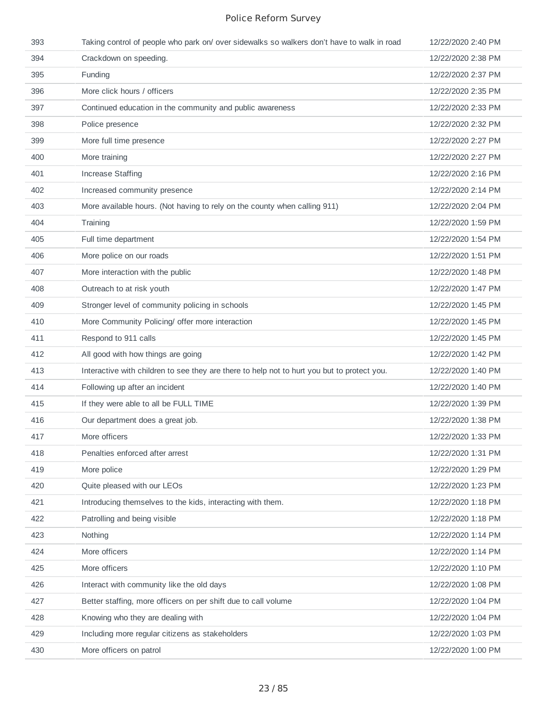| 393 | Taking control of people who park on/ over sidewalks so walkers don't have to walk in road  | 12/22/2020 2:40 PM |
|-----|---------------------------------------------------------------------------------------------|--------------------|
| 394 | Crackdown on speeding.                                                                      | 12/22/2020 2:38 PM |
| 395 | Funding                                                                                     | 12/22/2020 2:37 PM |
| 396 | More click hours / officers                                                                 | 12/22/2020 2:35 PM |
| 397 | Continued education in the community and public awareness                                   | 12/22/2020 2:33 PM |
| 398 | Police presence                                                                             | 12/22/2020 2:32 PM |
| 399 | More full time presence                                                                     | 12/22/2020 2:27 PM |
| 400 | More training                                                                               | 12/22/2020 2:27 PM |
| 401 | <b>Increase Staffing</b>                                                                    | 12/22/2020 2:16 PM |
| 402 | Increased community presence                                                                | 12/22/2020 2:14 PM |
| 403 | More available hours. (Not having to rely on the county when calling 911)                   | 12/22/2020 2:04 PM |
| 404 | Training                                                                                    | 12/22/2020 1:59 PM |
| 405 | Full time department                                                                        | 12/22/2020 1:54 PM |
| 406 | More police on our roads                                                                    | 12/22/2020 1:51 PM |
| 407 | More interaction with the public                                                            | 12/22/2020 1:48 PM |
| 408 | Outreach to at risk youth                                                                   | 12/22/2020 1:47 PM |
| 409 | Stronger level of community policing in schools                                             | 12/22/2020 1:45 PM |
| 410 | More Community Policing/ offer more interaction                                             | 12/22/2020 1:45 PM |
| 411 | Respond to 911 calls                                                                        | 12/22/2020 1:45 PM |
| 412 | All good with how things are going                                                          | 12/22/2020 1:42 PM |
| 413 | Interactive with children to see they are there to help not to hurt you but to protect you. | 12/22/2020 1:40 PM |
| 414 | Following up after an incident                                                              | 12/22/2020 1:40 PM |
| 415 | If they were able to all be FULL TIME                                                       | 12/22/2020 1:39 PM |
| 416 | Our department does a great job.                                                            | 12/22/2020 1:38 PM |
| 417 | More officers                                                                               | 12/22/2020 1:33 PM |
| 418 | Penalties enforced after arrest                                                             | 12/22/2020 1:31 PM |
| 419 | More police                                                                                 | 12/22/2020 1:29 PM |
| 420 | Quite pleased with our LEOs                                                                 | 12/22/2020 1:23 PM |
| 421 | Introducing themselves to the kids, interacting with them.                                  | 12/22/2020 1:18 PM |
| 422 | Patrolling and being visible                                                                | 12/22/2020 1:18 PM |
| 423 | Nothing                                                                                     | 12/22/2020 1:14 PM |
| 424 | More officers                                                                               | 12/22/2020 1:14 PM |
| 425 | More officers                                                                               | 12/22/2020 1:10 PM |
| 426 | Interact with community like the old days                                                   | 12/22/2020 1:08 PM |
| 427 | Better staffing, more officers on per shift due to call volume                              | 12/22/2020 1:04 PM |
| 428 | Knowing who they are dealing with                                                           | 12/22/2020 1:04 PM |
| 429 | Including more regular citizens as stakeholders                                             | 12/22/2020 1:03 PM |
| 430 | More officers on patrol                                                                     | 12/22/2020 1:00 PM |
|     |                                                                                             |                    |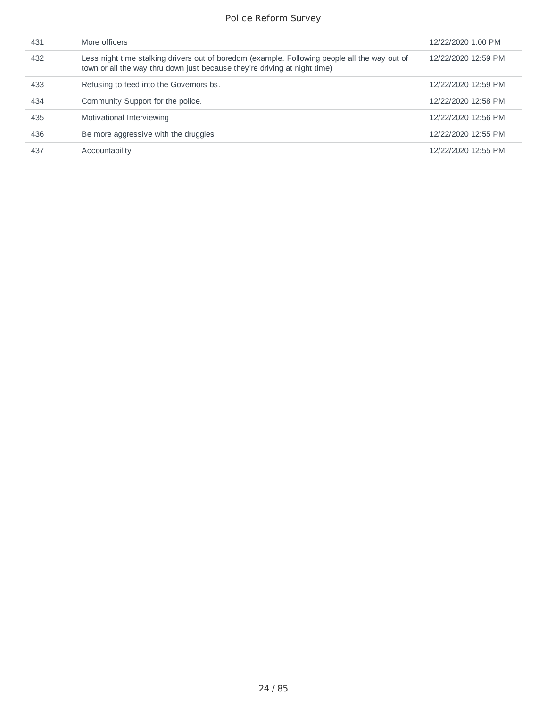| 431 | More officers                                                                                                                                                              | 12/22/2020 1:00 PM  |
|-----|----------------------------------------------------------------------------------------------------------------------------------------------------------------------------|---------------------|
| 432 | Less night time stalking drivers out of boredom (example. Following people all the way out of<br>town or all the way thru down just because they're driving at night time) | 12/22/2020 12:59 PM |
| 433 | Refusing to feed into the Governors bs.                                                                                                                                    | 12/22/2020 12:59 PM |
| 434 | Community Support for the police.                                                                                                                                          | 12/22/2020 12:58 PM |
| 435 | Motivational Interviewing                                                                                                                                                  | 12/22/2020 12:56 PM |
| 436 | Be more aggressive with the druggies                                                                                                                                       | 12/22/2020 12:55 PM |
| 437 | Accountability                                                                                                                                                             | 12/22/2020 12:55 PM |
|     |                                                                                                                                                                            |                     |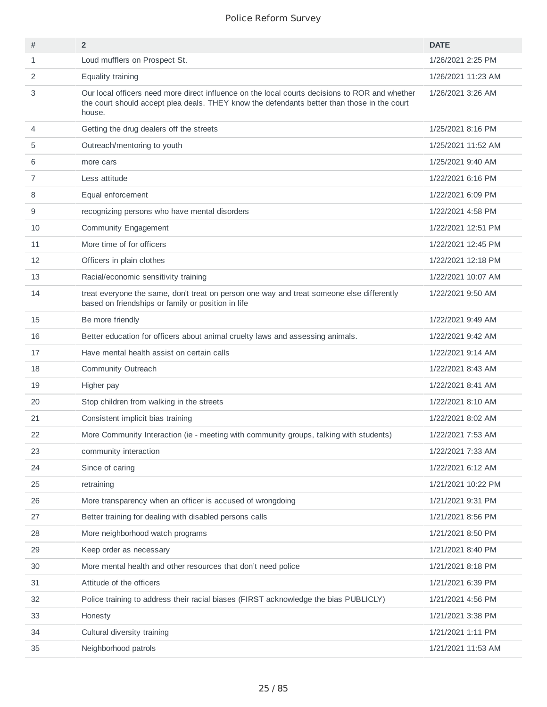| #              | $\overline{2}$                                                                                                                                                                                          | <b>DATE</b>        |
|----------------|---------------------------------------------------------------------------------------------------------------------------------------------------------------------------------------------------------|--------------------|
| 1              | Loud mufflers on Prospect St.                                                                                                                                                                           | 1/26/2021 2:25 PM  |
| 2              | Equality training                                                                                                                                                                                       | 1/26/2021 11:23 AM |
| 3              | Our local officers need more direct influence on the local courts decisions to ROR and whether<br>the court should accept plea deals. THEY know the defendants better than those in the court<br>house. | 1/26/2021 3:26 AM  |
| 4              | Getting the drug dealers off the streets                                                                                                                                                                | 1/25/2021 8:16 PM  |
| 5              | Outreach/mentoring to youth                                                                                                                                                                             | 1/25/2021 11:52 AM |
| 6              | more cars                                                                                                                                                                                               | 1/25/2021 9:40 AM  |
| $\overline{7}$ | Less attitude                                                                                                                                                                                           | 1/22/2021 6:16 PM  |
| 8              | Equal enforcement                                                                                                                                                                                       | 1/22/2021 6:09 PM  |
| 9              | recognizing persons who have mental disorders                                                                                                                                                           | 1/22/2021 4:58 PM  |
| 10             | Community Engagement                                                                                                                                                                                    | 1/22/2021 12:51 PM |
| 11             | More time of for officers                                                                                                                                                                               | 1/22/2021 12:45 PM |
| 12             | Officers in plain clothes                                                                                                                                                                               | 1/22/2021 12:18 PM |
| 13             | Racial/economic sensitivity training                                                                                                                                                                    | 1/22/2021 10:07 AM |
| 14             | treat everyone the same, don't treat on person one way and treat someone else differently<br>based on friendships or family or position in life                                                         | 1/22/2021 9:50 AM  |
| 15             | Be more friendly                                                                                                                                                                                        | 1/22/2021 9:49 AM  |
| 16             | Better education for officers about animal cruelty laws and assessing animals.                                                                                                                          | 1/22/2021 9:42 AM  |
| 17             | Have mental health assist on certain calls                                                                                                                                                              | 1/22/2021 9:14 AM  |
| 18             | Community Outreach                                                                                                                                                                                      | 1/22/2021 8:43 AM  |
| 19             | Higher pay                                                                                                                                                                                              | 1/22/2021 8:41 AM  |
| 20             | Stop children from walking in the streets                                                                                                                                                               | 1/22/2021 8:10 AM  |
| 21             | Consistent implicit bias training                                                                                                                                                                       | 1/22/2021 8:02 AM  |
| 22             | More Community Interaction (ie - meeting with community groups, talking with students)                                                                                                                  | 1/22/2021 7:53 AM  |
| 23             | community interaction                                                                                                                                                                                   | 1/22/2021 7:33 AM  |
| 24             | Since of caring                                                                                                                                                                                         | 1/22/2021 6:12 AM  |
| 25             | retraining                                                                                                                                                                                              | 1/21/2021 10:22 PM |
| 26             | More transparency when an officer is accused of wrongdoing                                                                                                                                              | 1/21/2021 9:31 PM  |
| 27             | Better training for dealing with disabled persons calls                                                                                                                                                 | 1/21/2021 8:56 PM  |
| 28             | More neighborhood watch programs                                                                                                                                                                        | 1/21/2021 8:50 PM  |
| 29             | Keep order as necessary                                                                                                                                                                                 | 1/21/2021 8:40 PM  |
| 30             | More mental health and other resources that don't need police                                                                                                                                           | 1/21/2021 8:18 PM  |
| 31             | Attitude of the officers                                                                                                                                                                                | 1/21/2021 6:39 PM  |
| 32             | Police training to address their racial biases (FIRST acknowledge the bias PUBLICLY)                                                                                                                    | 1/21/2021 4:56 PM  |
| 33             | Honesty                                                                                                                                                                                                 | 1/21/2021 3:38 PM  |
| 34             | Cultural diversity training                                                                                                                                                                             | 1/21/2021 1:11 PM  |
| 35             | Neighborhood patrols                                                                                                                                                                                    | 1/21/2021 11:53 AM |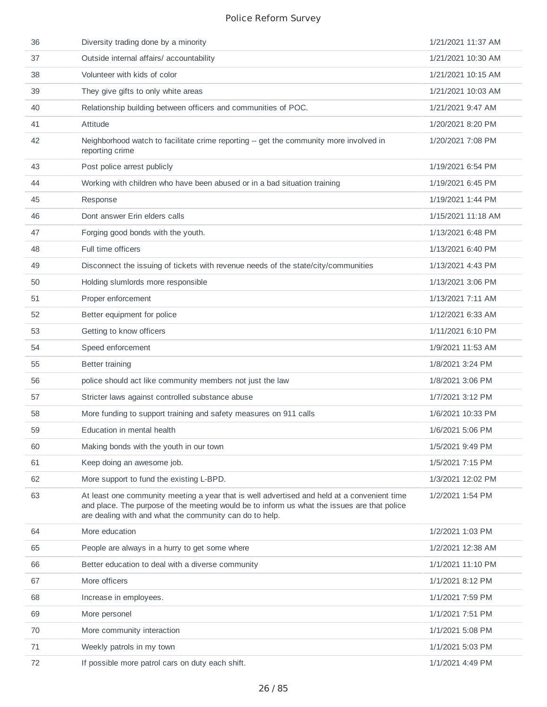| 36 | Diversity trading done by a minority                                                                                                                                                                                                                  | 1/21/2021 11:37 AM |
|----|-------------------------------------------------------------------------------------------------------------------------------------------------------------------------------------------------------------------------------------------------------|--------------------|
| 37 | Outside internal affairs/ accountability                                                                                                                                                                                                              | 1/21/2021 10:30 AM |
| 38 | Volunteer with kids of color                                                                                                                                                                                                                          | 1/21/2021 10:15 AM |
| 39 | They give gifts to only white areas                                                                                                                                                                                                                   | 1/21/2021 10:03 AM |
| 40 | Relationship building between officers and communities of POC.                                                                                                                                                                                        | 1/21/2021 9:47 AM  |
| 41 | Attitude                                                                                                                                                                                                                                              | 1/20/2021 8:20 PM  |
| 42 | Neighborhood watch to facilitate crime reporting -- get the community more involved in<br>reporting crime                                                                                                                                             | 1/20/2021 7:08 PM  |
| 43 | Post police arrest publicly                                                                                                                                                                                                                           | 1/19/2021 6:54 PM  |
| 44 | Working with children who have been abused or in a bad situation training                                                                                                                                                                             | 1/19/2021 6:45 PM  |
| 45 | Response                                                                                                                                                                                                                                              | 1/19/2021 1:44 PM  |
| 46 | Dont answer Erin elders calls                                                                                                                                                                                                                         | 1/15/2021 11:18 AM |
| 47 | Forging good bonds with the youth.                                                                                                                                                                                                                    | 1/13/2021 6:48 PM  |
| 48 | Full time officers                                                                                                                                                                                                                                    | 1/13/2021 6:40 PM  |
| 49 | Disconnect the issuing of tickets with revenue needs of the state/city/communities                                                                                                                                                                    | 1/13/2021 4:43 PM  |
| 50 | Holding slumlords more responsible                                                                                                                                                                                                                    | 1/13/2021 3:06 PM  |
| 51 | Proper enforcement                                                                                                                                                                                                                                    | 1/13/2021 7:11 AM  |
| 52 | Better equipment for police                                                                                                                                                                                                                           | 1/12/2021 6:33 AM  |
| 53 | Getting to know officers                                                                                                                                                                                                                              | 1/11/2021 6:10 PM  |
| 54 | Speed enforcement                                                                                                                                                                                                                                     | 1/9/2021 11:53 AM  |
| 55 | <b>Better training</b>                                                                                                                                                                                                                                | 1/8/2021 3:24 PM   |
| 56 | police should act like community members not just the law                                                                                                                                                                                             | 1/8/2021 3:06 PM   |
| 57 | Stricter laws against controlled substance abuse                                                                                                                                                                                                      | 1/7/2021 3:12 PM   |
| 58 | More funding to support training and safety measures on 911 calls                                                                                                                                                                                     | 1/6/2021 10:33 PM  |
| 59 | Education in mental health                                                                                                                                                                                                                            | 1/6/2021 5:06 PM   |
| 60 | Making bonds with the youth in our town                                                                                                                                                                                                               | 1/5/2021 9:49 PM   |
| 61 | Keep doing an awesome job.                                                                                                                                                                                                                            | 1/5/2021 7:15 PM   |
| 62 | More support to fund the existing L-BPD.                                                                                                                                                                                                              | 1/3/2021 12:02 PM  |
| 63 | At least one community meeting a year that is well advertised and held at a convenient time<br>and place. The purpose of the meeting would be to inform us what the issues are that police<br>are dealing with and what the community can do to help. | 1/2/2021 1:54 PM   |
| 64 | More education                                                                                                                                                                                                                                        | 1/2/2021 1:03 PM   |
| 65 | People are always in a hurry to get some where                                                                                                                                                                                                        | 1/2/2021 12:38 AM  |
| 66 | Better education to deal with a diverse community                                                                                                                                                                                                     | 1/1/2021 11:10 PM  |
| 67 | More officers                                                                                                                                                                                                                                         | 1/1/2021 8:12 PM   |
| 68 | Increase in employees.                                                                                                                                                                                                                                | 1/1/2021 7:59 PM   |
| 69 | More personel                                                                                                                                                                                                                                         | 1/1/2021 7:51 PM   |
| 70 | More community interaction                                                                                                                                                                                                                            | 1/1/2021 5:08 PM   |
| 71 | Weekly patrols in my town                                                                                                                                                                                                                             | 1/1/2021 5:03 PM   |
| 72 | If possible more patrol cars on duty each shift.                                                                                                                                                                                                      | 1/1/2021 4:49 PM   |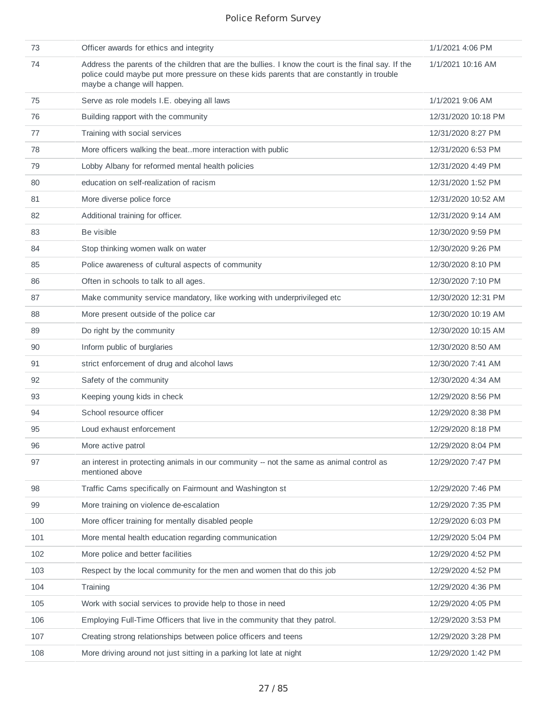| 73  | Officer awards for ethics and integrity                                                                                                                                                                                         | 1/1/2021 4:06 PM    |
|-----|---------------------------------------------------------------------------------------------------------------------------------------------------------------------------------------------------------------------------------|---------------------|
| 74  | Address the parents of the children that are the bullies. I know the court is the final say. If the<br>police could maybe put more pressure on these kids parents that are constantly in trouble<br>maybe a change will happen. | 1/1/2021 10:16 AM   |
| 75  | Serve as role models I.E. obeying all laws                                                                                                                                                                                      | 1/1/2021 9:06 AM    |
| 76  | Building rapport with the community                                                                                                                                                                                             | 12/31/2020 10:18 PM |
| 77  | Training with social services                                                                                                                                                                                                   | 12/31/2020 8:27 PM  |
| 78  | More officers walking the beatmore interaction with public                                                                                                                                                                      | 12/31/2020 6:53 PM  |
| 79  | Lobby Albany for reformed mental health policies                                                                                                                                                                                | 12/31/2020 4:49 PM  |
| 80  | education on self-realization of racism                                                                                                                                                                                         | 12/31/2020 1:52 PM  |
| 81  | More diverse police force                                                                                                                                                                                                       | 12/31/2020 10:52 AM |
| 82  | Additional training for officer.                                                                                                                                                                                                | 12/31/2020 9:14 AM  |
| 83  | Be visible                                                                                                                                                                                                                      | 12/30/2020 9:59 PM  |
| 84  | Stop thinking women walk on water                                                                                                                                                                                               | 12/30/2020 9:26 PM  |
| 85  | Police awareness of cultural aspects of community                                                                                                                                                                               | 12/30/2020 8:10 PM  |
| 86  | Often in schools to talk to all ages.                                                                                                                                                                                           | 12/30/2020 7:10 PM  |
| 87  | Make community service mandatory, like working with underprivileged etc                                                                                                                                                         | 12/30/2020 12:31 PM |
| 88  | More present outside of the police car                                                                                                                                                                                          | 12/30/2020 10:19 AM |
| 89  | Do right by the community                                                                                                                                                                                                       | 12/30/2020 10:15 AM |
| 90  | Inform public of burglaries                                                                                                                                                                                                     | 12/30/2020 8:50 AM  |
| 91  | strict enforcement of drug and alcohol laws                                                                                                                                                                                     | 12/30/2020 7:41 AM  |
| 92  | Safety of the community                                                                                                                                                                                                         | 12/30/2020 4:34 AM  |
| 93  | Keeping young kids in check                                                                                                                                                                                                     | 12/29/2020 8:56 PM  |
| 94  | School resource officer                                                                                                                                                                                                         | 12/29/2020 8:38 PM  |
| 95  | Loud exhaust enforcement                                                                                                                                                                                                        | 12/29/2020 8:18 PM  |
| 96  | More active patrol                                                                                                                                                                                                              | 12/29/2020 8:04 PM  |
| 97  | an interest in protecting animals in our community -- not the same as animal control as<br>mentioned above                                                                                                                      | 12/29/2020 7:47 PM  |
| 98  | Traffic Cams specifically on Fairmount and Washington st                                                                                                                                                                        | 12/29/2020 7:46 PM  |
| 99  | More training on violence de-escalation                                                                                                                                                                                         | 12/29/2020 7:35 PM  |
| 100 | More officer training for mentally disabled people                                                                                                                                                                              | 12/29/2020 6:03 PM  |
| 101 | More mental health education regarding communication                                                                                                                                                                            | 12/29/2020 5:04 PM  |
| 102 | More police and better facilities                                                                                                                                                                                               | 12/29/2020 4:52 PM  |
| 103 | Respect by the local community for the men and women that do this job                                                                                                                                                           | 12/29/2020 4:52 PM  |
| 104 | Training                                                                                                                                                                                                                        | 12/29/2020 4:36 PM  |
| 105 | Work with social services to provide help to those in need                                                                                                                                                                      | 12/29/2020 4:05 PM  |
| 106 | Employing Full-Time Officers that live in the community that they patrol.                                                                                                                                                       | 12/29/2020 3:53 PM  |
| 107 | Creating strong relationships between police officers and teens                                                                                                                                                                 | 12/29/2020 3:28 PM  |
| 108 | More driving around not just sitting in a parking lot late at night                                                                                                                                                             | 12/29/2020 1:42 PM  |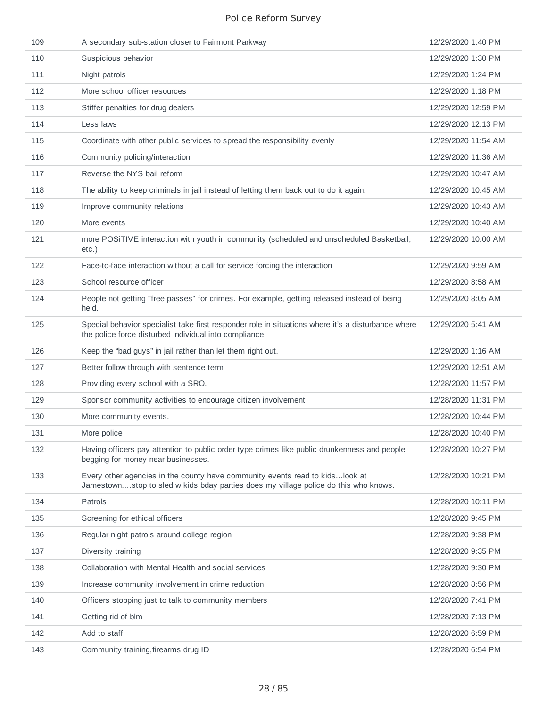| 109 | A secondary sub-station closer to Fairmont Parkway                                                                                                                   | 12/29/2020 1:40 PM  |
|-----|----------------------------------------------------------------------------------------------------------------------------------------------------------------------|---------------------|
| 110 | Suspicious behavior                                                                                                                                                  | 12/29/2020 1:30 PM  |
| 111 | Night patrols                                                                                                                                                        | 12/29/2020 1:24 PM  |
| 112 | More school officer resources                                                                                                                                        | 12/29/2020 1:18 PM  |
| 113 | Stiffer penalties for drug dealers                                                                                                                                   | 12/29/2020 12:59 PM |
| 114 | Less laws                                                                                                                                                            | 12/29/2020 12:13 PM |
| 115 | Coordinate with other public services to spread the responsibility evenly                                                                                            | 12/29/2020 11:54 AM |
| 116 | Community policing/interaction                                                                                                                                       | 12/29/2020 11:36 AM |
| 117 | Reverse the NYS bail reform                                                                                                                                          | 12/29/2020 10:47 AM |
| 118 | The ability to keep criminals in jail instead of letting them back out to do it again.                                                                               | 12/29/2020 10:45 AM |
| 119 | Improve community relations                                                                                                                                          | 12/29/2020 10:43 AM |
| 120 | More events                                                                                                                                                          | 12/29/2020 10:40 AM |
| 121 | more POSiTIVE interaction with youth in community (scheduled and unscheduled Basketball,<br>etc.)                                                                    | 12/29/2020 10:00 AM |
| 122 | Face-to-face interaction without a call for service forcing the interaction                                                                                          | 12/29/2020 9:59 AM  |
| 123 | School resource officer                                                                                                                                              | 12/29/2020 8:58 AM  |
| 124 | People not getting "free passes" for crimes. For example, getting released instead of being<br>held.                                                                 | 12/29/2020 8:05 AM  |
| 125 | Special behavior specialist take first responder role in situations where it's a disturbance where<br>the police force disturbed individual into compliance.         | 12/29/2020 5:41 AM  |
| 126 | Keep the "bad guys" in jail rather than let them right out.                                                                                                          | 12/29/2020 1:16 AM  |
| 127 | Better follow through with sentence term                                                                                                                             | 12/29/2020 12:51 AM |
| 128 | Providing every school with a SRO.                                                                                                                                   | 12/28/2020 11:57 PM |
| 129 | Sponsor community activities to encourage citizen involvement                                                                                                        | 12/28/2020 11:31 PM |
| 130 | More community events.                                                                                                                                               | 12/28/2020 10:44 PM |
| 131 | More police                                                                                                                                                          | 12/28/2020 10:40 PM |
| 132 | Having officers pay attention to public order type crimes like public drunkenness and people<br>begging for money near businesses.                                   | 12/28/2020 10:27 PM |
| 133 | Every other agencies in the county have community events read to kids look at<br>Jamestownstop to sled w kids bday parties does my village police do this who knows. | 12/28/2020 10:21 PM |
| 134 | Patrols                                                                                                                                                              | 12/28/2020 10:11 PM |
| 135 | Screening for ethical officers                                                                                                                                       | 12/28/2020 9:45 PM  |
| 136 | Regular night patrols around college region                                                                                                                          | 12/28/2020 9:38 PM  |
| 137 | Diversity training                                                                                                                                                   | 12/28/2020 9:35 PM  |
| 138 | Collaboration with Mental Health and social services                                                                                                                 | 12/28/2020 9:30 PM  |
| 139 | Increase community involvement in crime reduction                                                                                                                    | 12/28/2020 8:56 PM  |
| 140 | Officers stopping just to talk to community members                                                                                                                  | 12/28/2020 7:41 PM  |
| 141 | Getting rid of blm                                                                                                                                                   | 12/28/2020 7:13 PM  |
| 142 | Add to staff                                                                                                                                                         | 12/28/2020 6:59 PM  |
| 143 | Community training, firearms, drug ID                                                                                                                                | 12/28/2020 6:54 PM  |
|     |                                                                                                                                                                      |                     |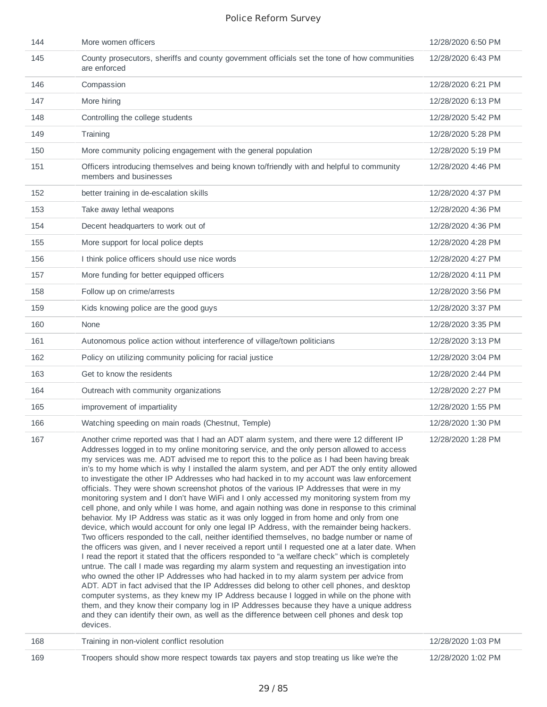| 144 | More women officers                                                                                                                                                                                                                                                                                                                                                                                                                                                                                                                                                                                                                                                                                                                                                                                                                                                                                                                                                                                                                                                                                                                                                                                                                                                                                                                                                                                                                                                                                                                                                                                                                                                                                                                                                                                                                                                          | 12/28/2020 6:50 PM |
|-----|------------------------------------------------------------------------------------------------------------------------------------------------------------------------------------------------------------------------------------------------------------------------------------------------------------------------------------------------------------------------------------------------------------------------------------------------------------------------------------------------------------------------------------------------------------------------------------------------------------------------------------------------------------------------------------------------------------------------------------------------------------------------------------------------------------------------------------------------------------------------------------------------------------------------------------------------------------------------------------------------------------------------------------------------------------------------------------------------------------------------------------------------------------------------------------------------------------------------------------------------------------------------------------------------------------------------------------------------------------------------------------------------------------------------------------------------------------------------------------------------------------------------------------------------------------------------------------------------------------------------------------------------------------------------------------------------------------------------------------------------------------------------------------------------------------------------------------------------------------------------------|--------------------|
| 145 | County prosecutors, sheriffs and county government officials set the tone of how communities<br>are enforced                                                                                                                                                                                                                                                                                                                                                                                                                                                                                                                                                                                                                                                                                                                                                                                                                                                                                                                                                                                                                                                                                                                                                                                                                                                                                                                                                                                                                                                                                                                                                                                                                                                                                                                                                                 | 12/28/2020 6:43 PM |
| 146 | Compassion                                                                                                                                                                                                                                                                                                                                                                                                                                                                                                                                                                                                                                                                                                                                                                                                                                                                                                                                                                                                                                                                                                                                                                                                                                                                                                                                                                                                                                                                                                                                                                                                                                                                                                                                                                                                                                                                   | 12/28/2020 6:21 PM |
| 147 | More hiring                                                                                                                                                                                                                                                                                                                                                                                                                                                                                                                                                                                                                                                                                                                                                                                                                                                                                                                                                                                                                                                                                                                                                                                                                                                                                                                                                                                                                                                                                                                                                                                                                                                                                                                                                                                                                                                                  | 12/28/2020 6:13 PM |
| 148 | Controlling the college students                                                                                                                                                                                                                                                                                                                                                                                                                                                                                                                                                                                                                                                                                                                                                                                                                                                                                                                                                                                                                                                                                                                                                                                                                                                                                                                                                                                                                                                                                                                                                                                                                                                                                                                                                                                                                                             | 12/28/2020 5:42 PM |
| 149 | Training                                                                                                                                                                                                                                                                                                                                                                                                                                                                                                                                                                                                                                                                                                                                                                                                                                                                                                                                                                                                                                                                                                                                                                                                                                                                                                                                                                                                                                                                                                                                                                                                                                                                                                                                                                                                                                                                     | 12/28/2020 5:28 PM |
| 150 | More community policing engagement with the general population                                                                                                                                                                                                                                                                                                                                                                                                                                                                                                                                                                                                                                                                                                                                                                                                                                                                                                                                                                                                                                                                                                                                                                                                                                                                                                                                                                                                                                                                                                                                                                                                                                                                                                                                                                                                               | 12/28/2020 5:19 PM |
| 151 | Officers introducing themselves and being known to/friendly with and helpful to community<br>members and businesses                                                                                                                                                                                                                                                                                                                                                                                                                                                                                                                                                                                                                                                                                                                                                                                                                                                                                                                                                                                                                                                                                                                                                                                                                                                                                                                                                                                                                                                                                                                                                                                                                                                                                                                                                          | 12/28/2020 4:46 PM |
| 152 | better training in de-escalation skills                                                                                                                                                                                                                                                                                                                                                                                                                                                                                                                                                                                                                                                                                                                                                                                                                                                                                                                                                                                                                                                                                                                                                                                                                                                                                                                                                                                                                                                                                                                                                                                                                                                                                                                                                                                                                                      | 12/28/2020 4:37 PM |
| 153 | Take away lethal weapons                                                                                                                                                                                                                                                                                                                                                                                                                                                                                                                                                                                                                                                                                                                                                                                                                                                                                                                                                                                                                                                                                                                                                                                                                                                                                                                                                                                                                                                                                                                                                                                                                                                                                                                                                                                                                                                     | 12/28/2020 4:36 PM |
| 154 | Decent headquarters to work out of                                                                                                                                                                                                                                                                                                                                                                                                                                                                                                                                                                                                                                                                                                                                                                                                                                                                                                                                                                                                                                                                                                                                                                                                                                                                                                                                                                                                                                                                                                                                                                                                                                                                                                                                                                                                                                           | 12/28/2020 4:36 PM |
| 155 | More support for local police depts                                                                                                                                                                                                                                                                                                                                                                                                                                                                                                                                                                                                                                                                                                                                                                                                                                                                                                                                                                                                                                                                                                                                                                                                                                                                                                                                                                                                                                                                                                                                                                                                                                                                                                                                                                                                                                          | 12/28/2020 4:28 PM |
| 156 | I think police officers should use nice words                                                                                                                                                                                                                                                                                                                                                                                                                                                                                                                                                                                                                                                                                                                                                                                                                                                                                                                                                                                                                                                                                                                                                                                                                                                                                                                                                                                                                                                                                                                                                                                                                                                                                                                                                                                                                                | 12/28/2020 4:27 PM |
| 157 | More funding for better equipped officers                                                                                                                                                                                                                                                                                                                                                                                                                                                                                                                                                                                                                                                                                                                                                                                                                                                                                                                                                                                                                                                                                                                                                                                                                                                                                                                                                                                                                                                                                                                                                                                                                                                                                                                                                                                                                                    | 12/28/2020 4:11 PM |
| 158 | Follow up on crime/arrests                                                                                                                                                                                                                                                                                                                                                                                                                                                                                                                                                                                                                                                                                                                                                                                                                                                                                                                                                                                                                                                                                                                                                                                                                                                                                                                                                                                                                                                                                                                                                                                                                                                                                                                                                                                                                                                   | 12/28/2020 3:56 PM |
| 159 | Kids knowing police are the good guys                                                                                                                                                                                                                                                                                                                                                                                                                                                                                                                                                                                                                                                                                                                                                                                                                                                                                                                                                                                                                                                                                                                                                                                                                                                                                                                                                                                                                                                                                                                                                                                                                                                                                                                                                                                                                                        | 12/28/2020 3:37 PM |
| 160 | None                                                                                                                                                                                                                                                                                                                                                                                                                                                                                                                                                                                                                                                                                                                                                                                                                                                                                                                                                                                                                                                                                                                                                                                                                                                                                                                                                                                                                                                                                                                                                                                                                                                                                                                                                                                                                                                                         | 12/28/2020 3:35 PM |
| 161 | Autonomous police action without interference of village/town politicians                                                                                                                                                                                                                                                                                                                                                                                                                                                                                                                                                                                                                                                                                                                                                                                                                                                                                                                                                                                                                                                                                                                                                                                                                                                                                                                                                                                                                                                                                                                                                                                                                                                                                                                                                                                                    | 12/28/2020 3:13 PM |
| 162 | Policy on utilizing community policing for racial justice                                                                                                                                                                                                                                                                                                                                                                                                                                                                                                                                                                                                                                                                                                                                                                                                                                                                                                                                                                                                                                                                                                                                                                                                                                                                                                                                                                                                                                                                                                                                                                                                                                                                                                                                                                                                                    | 12/28/2020 3:04 PM |
| 163 | Get to know the residents                                                                                                                                                                                                                                                                                                                                                                                                                                                                                                                                                                                                                                                                                                                                                                                                                                                                                                                                                                                                                                                                                                                                                                                                                                                                                                                                                                                                                                                                                                                                                                                                                                                                                                                                                                                                                                                    | 12/28/2020 2:44 PM |
| 164 | Outreach with community organizations                                                                                                                                                                                                                                                                                                                                                                                                                                                                                                                                                                                                                                                                                                                                                                                                                                                                                                                                                                                                                                                                                                                                                                                                                                                                                                                                                                                                                                                                                                                                                                                                                                                                                                                                                                                                                                        | 12/28/2020 2:27 PM |
| 165 | improvement of impartiality                                                                                                                                                                                                                                                                                                                                                                                                                                                                                                                                                                                                                                                                                                                                                                                                                                                                                                                                                                                                                                                                                                                                                                                                                                                                                                                                                                                                                                                                                                                                                                                                                                                                                                                                                                                                                                                  | 12/28/2020 1:55 PM |
| 166 | Watching speeding on main roads (Chestnut, Temple)                                                                                                                                                                                                                                                                                                                                                                                                                                                                                                                                                                                                                                                                                                                                                                                                                                                                                                                                                                                                                                                                                                                                                                                                                                                                                                                                                                                                                                                                                                                                                                                                                                                                                                                                                                                                                           | 12/28/2020 1:30 PM |
| 167 | Another crime reported was that I had an ADT alarm system, and there were 12 different IP<br>Addresses logged in to my online monitoring service, and the only person allowed to access<br>my services was me. ADT advised me to report this to the police as I had been having break<br>in's to my home which is why I installed the alarm system, and per ADT the only entity allowed<br>to investigate the other IP Addresses who had hacked in to my account was law enforcement<br>officials. They were shown screenshot photos of the various IP Addresses that were in my<br>monitoring system and I don't have WiFi and I only accessed my monitoring system from my<br>cell phone, and only while I was home, and again nothing was done in response to this criminal<br>behavior. My IP Address was static as it was only logged in from home and only from one<br>device, which would account for only one legal IP Address, with the remainder being hackers.<br>Two officers responded to the call, neither identified themselves, no badge number or name of<br>the officers was given, and I never received a report until I requested one at a later date. When<br>I read the report it stated that the officers responded to "a welfare check" which is completely<br>untrue. The call I made was regarding my alarm system and requesting an investigation into<br>who owned the other IP Addresses who had hacked in to my alarm system per advice from<br>ADT. ADT in fact advised that the IP Addresses did belong to other cell phones, and desktop<br>computer systems, as they knew my IP Address because I logged in while on the phone with<br>them, and they know their company log in IP Addresses because they have a unique address<br>and they can identify their own, as well as the difference between cell phones and desk top<br>devices. | 12/28/2020 1:28 PM |
| 168 | Training in non-violent conflict resolution                                                                                                                                                                                                                                                                                                                                                                                                                                                                                                                                                                                                                                                                                                                                                                                                                                                                                                                                                                                                                                                                                                                                                                                                                                                                                                                                                                                                                                                                                                                                                                                                                                                                                                                                                                                                                                  | 12/28/2020 1:03 PM |
| 169 | Troopers should show more respect towards tax payers and stop treating us like we're the                                                                                                                                                                                                                                                                                                                                                                                                                                                                                                                                                                                                                                                                                                                                                                                                                                                                                                                                                                                                                                                                                                                                                                                                                                                                                                                                                                                                                                                                                                                                                                                                                                                                                                                                                                                     | 12/28/2020 1:02 PM |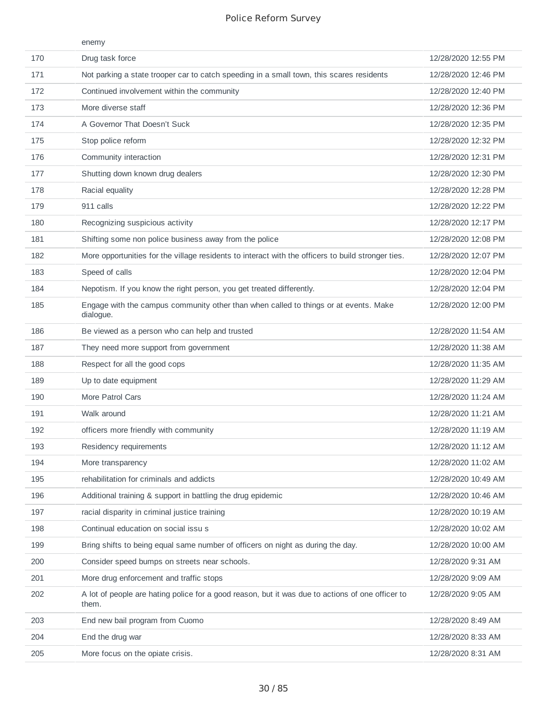|     | enemy                                                                                                     |                     |
|-----|-----------------------------------------------------------------------------------------------------------|---------------------|
| 170 | Drug task force                                                                                           | 12/28/2020 12:55 PM |
| 171 | Not parking a state trooper car to catch speeding in a small town, this scares residents                  | 12/28/2020 12:46 PM |
| 172 | Continued involvement within the community                                                                | 12/28/2020 12:40 PM |
| 173 | More diverse staff                                                                                        | 12/28/2020 12:36 PM |
| 174 | A Governor That Doesn't Suck                                                                              | 12/28/2020 12:35 PM |
| 175 | Stop police reform                                                                                        | 12/28/2020 12:32 PM |
| 176 | Community interaction                                                                                     | 12/28/2020 12:31 PM |
| 177 | Shutting down known drug dealers                                                                          | 12/28/2020 12:30 PM |
| 178 | Racial equality                                                                                           | 12/28/2020 12:28 PM |
| 179 | 911 calls                                                                                                 | 12/28/2020 12:22 PM |
| 180 | Recognizing suspicious activity                                                                           | 12/28/2020 12:17 PM |
| 181 | Shifting some non police business away from the police                                                    | 12/28/2020 12:08 PM |
| 182 | More opportunities for the village residents to interact with the officers to build stronger ties.        | 12/28/2020 12:07 PM |
| 183 | Speed of calls                                                                                            | 12/28/2020 12:04 PM |
| 184 | Nepotism. If you know the right person, you get treated differently.                                      | 12/28/2020 12:04 PM |
| 185 | Engage with the campus community other than when called to things or at events. Make<br>dialogue.         | 12/28/2020 12:00 PM |
| 186 | Be viewed as a person who can help and trusted                                                            | 12/28/2020 11:54 AM |
| 187 | They need more support from government                                                                    | 12/28/2020 11:38 AM |
| 188 | Respect for all the good cops                                                                             | 12/28/2020 11:35 AM |
| 189 | Up to date equipment                                                                                      | 12/28/2020 11:29 AM |
| 190 | More Patrol Cars                                                                                          | 12/28/2020 11:24 AM |
| 191 | Walk around                                                                                               | 12/28/2020 11:21 AM |
| 192 | officers more friendly with community                                                                     | 12/28/2020 11:19 AM |
| 193 | Residency requirements                                                                                    | 12/28/2020 11:12 AM |
| 194 | More transparency                                                                                         | 12/28/2020 11:02 AM |
| 195 | rehabilitation for criminals and addicts                                                                  | 12/28/2020 10:49 AM |
| 196 | Additional training & support in battling the drug epidemic                                               | 12/28/2020 10:46 AM |
| 197 | racial disparity in criminal justice training                                                             | 12/28/2020 10:19 AM |
| 198 | Continual education on social issu s                                                                      | 12/28/2020 10:02 AM |
| 199 | Bring shifts to being equal same number of officers on night as during the day.                           | 12/28/2020 10:00 AM |
| 200 | Consider speed bumps on streets near schools.                                                             | 12/28/2020 9:31 AM  |
| 201 | More drug enforcement and traffic stops                                                                   | 12/28/2020 9:09 AM  |
| 202 | A lot of people are hating police for a good reason, but it was due to actions of one officer to<br>them. | 12/28/2020 9:05 AM  |
| 203 | End new bail program from Cuomo                                                                           | 12/28/2020 8:49 AM  |
| 204 | End the drug war                                                                                          | 12/28/2020 8:33 AM  |
| 205 | More focus on the opiate crisis.                                                                          | 12/28/2020 8:31 AM  |
|     |                                                                                                           |                     |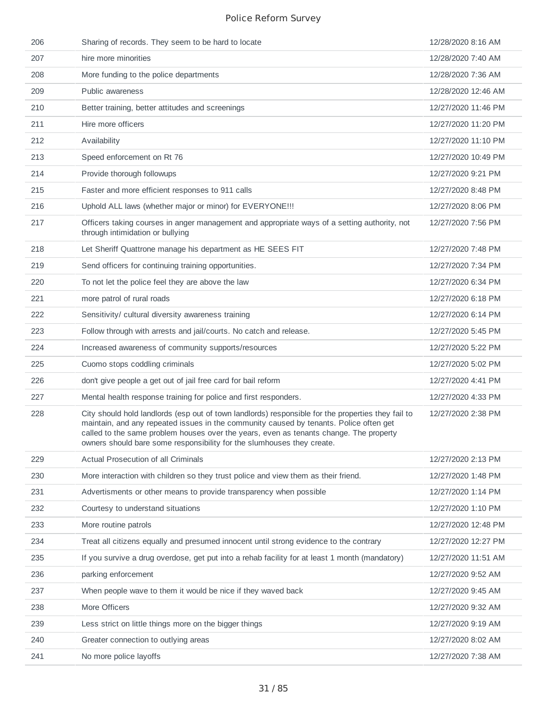| 206 | Sharing of records. They seem to be hard to locate                                                                                                                                                                                                                                                                                                               | 12/28/2020 8:16 AM  |
|-----|------------------------------------------------------------------------------------------------------------------------------------------------------------------------------------------------------------------------------------------------------------------------------------------------------------------------------------------------------------------|---------------------|
| 207 | hire more minorities                                                                                                                                                                                                                                                                                                                                             | 12/28/2020 7:40 AM  |
| 208 | More funding to the police departments                                                                                                                                                                                                                                                                                                                           | 12/28/2020 7:36 AM  |
| 209 | Public awareness                                                                                                                                                                                                                                                                                                                                                 | 12/28/2020 12:46 AM |
| 210 | Better training, better attitudes and screenings                                                                                                                                                                                                                                                                                                                 | 12/27/2020 11:46 PM |
| 211 | Hire more officers                                                                                                                                                                                                                                                                                                                                               | 12/27/2020 11:20 PM |
| 212 | Availability                                                                                                                                                                                                                                                                                                                                                     | 12/27/2020 11:10 PM |
| 213 | Speed enforcement on Rt 76                                                                                                                                                                                                                                                                                                                                       | 12/27/2020 10:49 PM |
| 214 | Provide thorough followups                                                                                                                                                                                                                                                                                                                                       | 12/27/2020 9:21 PM  |
| 215 | Faster and more efficient responses to 911 calls                                                                                                                                                                                                                                                                                                                 | 12/27/2020 8:48 PM  |
| 216 | Uphold ALL laws (whether major or minor) for EVERYONE !!!                                                                                                                                                                                                                                                                                                        | 12/27/2020 8:06 PM  |
| 217 | Officers taking courses in anger management and appropriate ways of a setting authority, not<br>through intimidation or bullying                                                                                                                                                                                                                                 | 12/27/2020 7:56 PM  |
| 218 | Let Sheriff Quattrone manage his department as HE SEES FIT                                                                                                                                                                                                                                                                                                       | 12/27/2020 7:48 PM  |
| 219 | Send officers for continuing training opportunities.                                                                                                                                                                                                                                                                                                             | 12/27/2020 7:34 PM  |
| 220 | To not let the police feel they are above the law                                                                                                                                                                                                                                                                                                                | 12/27/2020 6:34 PM  |
| 221 | more patrol of rural roads                                                                                                                                                                                                                                                                                                                                       | 12/27/2020 6:18 PM  |
| 222 | Sensitivity/ cultural diversity awareness training                                                                                                                                                                                                                                                                                                               | 12/27/2020 6:14 PM  |
| 223 | Follow through with arrests and jail/courts. No catch and release.                                                                                                                                                                                                                                                                                               | 12/27/2020 5:45 PM  |
| 224 | Increased awareness of community supports/resources                                                                                                                                                                                                                                                                                                              | 12/27/2020 5:22 PM  |
| 225 | Cuomo stops coddling criminals                                                                                                                                                                                                                                                                                                                                   | 12/27/2020 5:02 PM  |
| 226 | don't give people a get out of jail free card for bail reform                                                                                                                                                                                                                                                                                                    | 12/27/2020 4:41 PM  |
| 227 | Mental health response training for police and first responders.                                                                                                                                                                                                                                                                                                 | 12/27/2020 4:33 PM  |
| 228 | City should hold landlords (esp out of town landlords) responsible for the properties they fail to<br>maintain, and any repeated issues in the community caused by tenants. Police often get<br>called to the same problem houses over the vears, even as tenants change. The property<br>owners should bare some responsibility for the slumhouses they create. | 12/27/2020 2:38 PM  |
| 229 | Actual Prosecution of all Criminals                                                                                                                                                                                                                                                                                                                              | 12/27/2020 2:13 PM  |
| 230 | More interaction with children so they trust police and view them as their friend.                                                                                                                                                                                                                                                                               | 12/27/2020 1:48 PM  |
| 231 | Advertisments or other means to provide transparency when possible                                                                                                                                                                                                                                                                                               | 12/27/2020 1:14 PM  |
| 232 | Courtesy to understand situations                                                                                                                                                                                                                                                                                                                                | 12/27/2020 1:10 PM  |
| 233 | More routine patrols                                                                                                                                                                                                                                                                                                                                             | 12/27/2020 12:48 PM |
| 234 | Treat all citizens equally and presumed innocent until strong evidence to the contrary                                                                                                                                                                                                                                                                           | 12/27/2020 12:27 PM |
| 235 | If you survive a drug overdose, get put into a rehab facility for at least 1 month (mandatory)                                                                                                                                                                                                                                                                   | 12/27/2020 11:51 AM |
| 236 | parking enforcement                                                                                                                                                                                                                                                                                                                                              | 12/27/2020 9:52 AM  |
| 237 | When people wave to them it would be nice if they waved back                                                                                                                                                                                                                                                                                                     | 12/27/2020 9:45 AM  |
| 238 | More Officers                                                                                                                                                                                                                                                                                                                                                    | 12/27/2020 9:32 AM  |
| 239 | Less strict on little things more on the bigger things                                                                                                                                                                                                                                                                                                           | 12/27/2020 9:19 AM  |
| 240 | Greater connection to outlying areas                                                                                                                                                                                                                                                                                                                             | 12/27/2020 8:02 AM  |
| 241 | No more police layoffs                                                                                                                                                                                                                                                                                                                                           | 12/27/2020 7:38 AM  |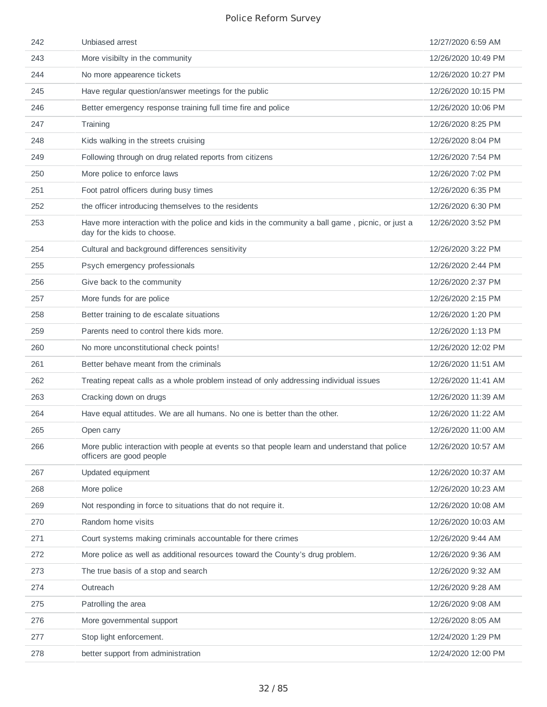| 242 | Unbiased arrest                                                                                                               | 12/27/2020 6:59 AM  |
|-----|-------------------------------------------------------------------------------------------------------------------------------|---------------------|
| 243 | More visibilty in the community                                                                                               | 12/26/2020 10:49 PM |
| 244 | No more appearence tickets                                                                                                    | 12/26/2020 10:27 PM |
| 245 | Have regular question/answer meetings for the public                                                                          | 12/26/2020 10:15 PM |
| 246 | Better emergency response training full time fire and police                                                                  | 12/26/2020 10:06 PM |
| 247 | Training                                                                                                                      | 12/26/2020 8:25 PM  |
| 248 | Kids walking in the streets cruising                                                                                          | 12/26/2020 8:04 PM  |
| 249 | Following through on drug related reports from citizens                                                                       | 12/26/2020 7:54 PM  |
| 250 | More police to enforce laws                                                                                                   | 12/26/2020 7:02 PM  |
| 251 | Foot patrol officers during busy times                                                                                        | 12/26/2020 6:35 PM  |
| 252 | the officer introducing themselves to the residents                                                                           | 12/26/2020 6:30 PM  |
| 253 | Have more interaction with the police and kids in the community a ball game, picnic, or just a<br>day for the kids to choose. | 12/26/2020 3:52 PM  |
| 254 | Cultural and background differences sensitivity                                                                               | 12/26/2020 3:22 PM  |
| 255 | Psych emergency professionals                                                                                                 | 12/26/2020 2:44 PM  |
| 256 | Give back to the community                                                                                                    | 12/26/2020 2:37 PM  |
| 257 | More funds for are police                                                                                                     | 12/26/2020 2:15 PM  |
| 258 | Better training to de escalate situations                                                                                     | 12/26/2020 1:20 PM  |
| 259 | Parents need to control there kids more.                                                                                      | 12/26/2020 1:13 PM  |
| 260 | No more unconstitutional check points!                                                                                        | 12/26/2020 12:02 PM |
| 261 | Better behave meant from the criminals                                                                                        | 12/26/2020 11:51 AM |
| 262 | Treating repeat calls as a whole problem instead of only addressing individual issues                                         | 12/26/2020 11:41 AM |
| 263 | Cracking down on drugs                                                                                                        | 12/26/2020 11:39 AM |
| 264 | Have equal attitudes. We are all humans. No one is better than the other.                                                     | 12/26/2020 11:22 AM |
| 265 | Open carry                                                                                                                    | 12/26/2020 11:00 AM |
| 266 | More public interaction with people at events so that people learn and understand that police<br>officers are good people     | 12/26/2020 10:57 AM |
| 267 | Updated equipment                                                                                                             | 12/26/2020 10:37 AM |
| 268 | More police                                                                                                                   | 12/26/2020 10:23 AM |
| 269 | Not responding in force to situations that do not require it.                                                                 | 12/26/2020 10:08 AM |
| 270 | Random home visits                                                                                                            | 12/26/2020 10:03 AM |
| 271 | Court systems making criminals accountable for there crimes                                                                   | 12/26/2020 9:44 AM  |
| 272 | More police as well as additional resources toward the County's drug problem.                                                 | 12/26/2020 9:36 AM  |
| 273 | The true basis of a stop and search                                                                                           | 12/26/2020 9:32 AM  |
| 274 | Outreach                                                                                                                      | 12/26/2020 9:28 AM  |
| 275 | Patrolling the area                                                                                                           | 12/26/2020 9:08 AM  |
| 276 | More governmental support                                                                                                     | 12/26/2020 8:05 AM  |
| 277 | Stop light enforcement.                                                                                                       | 12/24/2020 1:29 PM  |
| 278 | better support from administration                                                                                            | 12/24/2020 12:00 PM |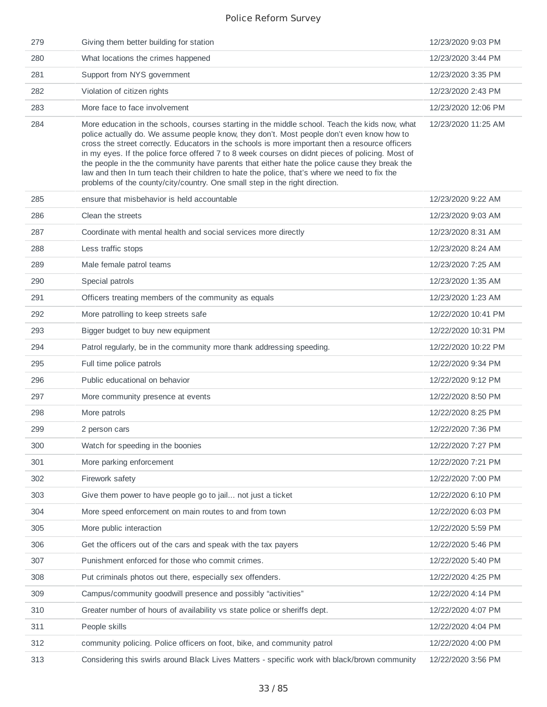| 279 | Giving them better building for station                                                                                                                                                                                                                                                                                                                                                                                                                                                                                                                                                                                                                                             | 12/23/2020 9:03 PM  |
|-----|-------------------------------------------------------------------------------------------------------------------------------------------------------------------------------------------------------------------------------------------------------------------------------------------------------------------------------------------------------------------------------------------------------------------------------------------------------------------------------------------------------------------------------------------------------------------------------------------------------------------------------------------------------------------------------------|---------------------|
| 280 | What locations the crimes happened                                                                                                                                                                                                                                                                                                                                                                                                                                                                                                                                                                                                                                                  | 12/23/2020 3:44 PM  |
| 281 | Support from NYS government                                                                                                                                                                                                                                                                                                                                                                                                                                                                                                                                                                                                                                                         | 12/23/2020 3:35 PM  |
| 282 | Violation of citizen rights                                                                                                                                                                                                                                                                                                                                                                                                                                                                                                                                                                                                                                                         | 12/23/2020 2:43 PM  |
| 283 | More face to face involvement                                                                                                                                                                                                                                                                                                                                                                                                                                                                                                                                                                                                                                                       | 12/23/2020 12:06 PM |
| 284 | More education in the schools, courses starting in the middle school. Teach the kids now, what<br>police actually do. We assume people know, they don't. Most people don't even know how to<br>cross the street correctly. Educators in the schools is more important then a resource officers<br>in my eyes. If the police force offered 7 to 8 week courses on didnt pieces of policing. Most of<br>the people in the the community have parents that either hate the police cause they break the<br>law and then In turn teach their children to hate the police, that's where we need to fix the<br>problems of the county/city/country. One small step in the right direction. | 12/23/2020 11:25 AM |
| 285 | ensure that misbehavior is held accountable                                                                                                                                                                                                                                                                                                                                                                                                                                                                                                                                                                                                                                         | 12/23/2020 9:22 AM  |
| 286 | Clean the streets                                                                                                                                                                                                                                                                                                                                                                                                                                                                                                                                                                                                                                                                   | 12/23/2020 9:03 AM  |
| 287 | Coordinate with mental health and social services more directly                                                                                                                                                                                                                                                                                                                                                                                                                                                                                                                                                                                                                     | 12/23/2020 8:31 AM  |
| 288 | Less traffic stops                                                                                                                                                                                                                                                                                                                                                                                                                                                                                                                                                                                                                                                                  | 12/23/2020 8:24 AM  |
| 289 | Male female patrol teams                                                                                                                                                                                                                                                                                                                                                                                                                                                                                                                                                                                                                                                            | 12/23/2020 7:25 AM  |
| 290 | Special patrols                                                                                                                                                                                                                                                                                                                                                                                                                                                                                                                                                                                                                                                                     | 12/23/2020 1:35 AM  |
| 291 | Officers treating members of the community as equals                                                                                                                                                                                                                                                                                                                                                                                                                                                                                                                                                                                                                                | 12/23/2020 1:23 AM  |
| 292 | More patrolling to keep streets safe                                                                                                                                                                                                                                                                                                                                                                                                                                                                                                                                                                                                                                                | 12/22/2020 10:41 PM |
| 293 | Bigger budget to buy new equipment                                                                                                                                                                                                                                                                                                                                                                                                                                                                                                                                                                                                                                                  | 12/22/2020 10:31 PM |
| 294 | Patrol regularly, be in the community more thank addressing speeding.                                                                                                                                                                                                                                                                                                                                                                                                                                                                                                                                                                                                               | 12/22/2020 10:22 PM |
| 295 | Full time police patrols                                                                                                                                                                                                                                                                                                                                                                                                                                                                                                                                                                                                                                                            | 12/22/2020 9:34 PM  |
| 296 | Public educational on behavior                                                                                                                                                                                                                                                                                                                                                                                                                                                                                                                                                                                                                                                      | 12/22/2020 9:12 PM  |
| 297 | More community presence at events                                                                                                                                                                                                                                                                                                                                                                                                                                                                                                                                                                                                                                                   | 12/22/2020 8:50 PM  |
| 298 | More patrols                                                                                                                                                                                                                                                                                                                                                                                                                                                                                                                                                                                                                                                                        | 12/22/2020 8:25 PM  |
| 299 | 2 person cars                                                                                                                                                                                                                                                                                                                                                                                                                                                                                                                                                                                                                                                                       | 12/22/2020 7:36 PM  |
| 300 | Watch for speeding in the boonies                                                                                                                                                                                                                                                                                                                                                                                                                                                                                                                                                                                                                                                   | 12/22/2020 7:27 PM  |
| 301 | More parking enforcement                                                                                                                                                                                                                                                                                                                                                                                                                                                                                                                                                                                                                                                            | 12/22/2020 7:21 PM  |
| 302 | Firework safety                                                                                                                                                                                                                                                                                                                                                                                                                                                                                                                                                                                                                                                                     | 12/22/2020 7:00 PM  |
| 303 | Give them power to have people go to jail not just a ticket                                                                                                                                                                                                                                                                                                                                                                                                                                                                                                                                                                                                                         | 12/22/2020 6:10 PM  |
| 304 | More speed enforcement on main routes to and from town                                                                                                                                                                                                                                                                                                                                                                                                                                                                                                                                                                                                                              | 12/22/2020 6:03 PM  |
| 305 | More public interaction                                                                                                                                                                                                                                                                                                                                                                                                                                                                                                                                                                                                                                                             | 12/22/2020 5:59 PM  |
| 306 | Get the officers out of the cars and speak with the tax payers                                                                                                                                                                                                                                                                                                                                                                                                                                                                                                                                                                                                                      | 12/22/2020 5:46 PM  |
| 307 | Punishment enforced for those who commit crimes.                                                                                                                                                                                                                                                                                                                                                                                                                                                                                                                                                                                                                                    | 12/22/2020 5:40 PM  |
| 308 | Put criminals photos out there, especially sex offenders.                                                                                                                                                                                                                                                                                                                                                                                                                                                                                                                                                                                                                           | 12/22/2020 4:25 PM  |
| 309 | Campus/community goodwill presence and possibly "activities"                                                                                                                                                                                                                                                                                                                                                                                                                                                                                                                                                                                                                        | 12/22/2020 4:14 PM  |
| 310 | Greater number of hours of availability vs state police or sheriffs dept.                                                                                                                                                                                                                                                                                                                                                                                                                                                                                                                                                                                                           | 12/22/2020 4:07 PM  |
| 311 | People skills                                                                                                                                                                                                                                                                                                                                                                                                                                                                                                                                                                                                                                                                       | 12/22/2020 4:04 PM  |
| 312 | community policing. Police officers on foot, bike, and community patrol                                                                                                                                                                                                                                                                                                                                                                                                                                                                                                                                                                                                             | 12/22/2020 4:00 PM  |
| 313 | Considering this swirls around Black Lives Matters - specific work with black/brown community                                                                                                                                                                                                                                                                                                                                                                                                                                                                                                                                                                                       | 12/22/2020 3:56 PM  |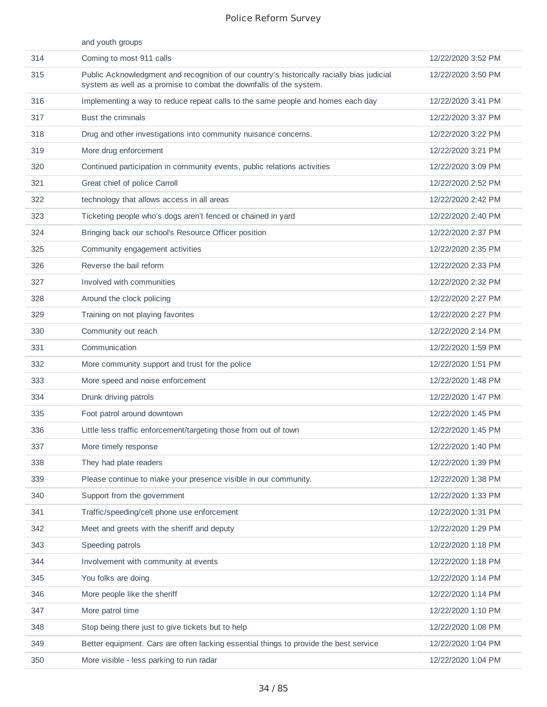|     | and youth groups                                                                                                                                                 |                    |
|-----|------------------------------------------------------------------------------------------------------------------------------------------------------------------|--------------------|
| 314 | Coming to most 911 calls                                                                                                                                         | 12/22/2020 3:52 PM |
| 315 | Public Acknowledgment and recognition of our country's historically racially bias judicial<br>system as well as a promise to combat the downfalls of the system. | 12/22/2020 3:50 PM |
| 316 | Implementing a way to reduce repeat calls to the same people and homes each day                                                                                  | 12/22/2020 3:41 PM |
| 317 | <b>Bust the criminals</b>                                                                                                                                        | 12/22/2020 3:37 PM |
| 318 | Drug and other investigations into community nuisance concerns.                                                                                                  | 12/22/2020 3:22 PM |
| 319 | More drug enforcement                                                                                                                                            | 12/22/2020 3:21 PM |
| 320 | Continued participation in community events, public relations activities                                                                                         | 12/22/2020 3:09 PM |
| 321 | Great chief of police Carroll                                                                                                                                    | 12/22/2020 2:52 PM |
| 322 | technology that allows access in all areas                                                                                                                       | 12/22/2020 2:42 PM |
| 323 | Ticketing people who's dogs aren't fenced or chained in yard                                                                                                     | 12/22/2020 2:40 PM |
| 324 | Bringing back our school's Resource Officer position                                                                                                             | 12/22/2020 2:37 PM |
| 325 | Community engagement activities                                                                                                                                  | 12/22/2020 2:35 PM |
| 326 | Reverse the bail reform                                                                                                                                          | 12/22/2020 2:33 PM |
| 327 | Involved with communities                                                                                                                                        | 12/22/2020 2:32 PM |
| 328 | Around the clock policing                                                                                                                                        | 12/22/2020 2:27 PM |
| 329 | Training on not playing favorites                                                                                                                                | 12/22/2020 2:27 PM |
| 330 | Community out reach                                                                                                                                              | 12/22/2020 2:14 PM |
| 331 | Communication                                                                                                                                                    | 12/22/2020 1:59 PM |
| 332 | More community support and trust for the police                                                                                                                  | 12/22/2020 1:51 PM |
| 333 | More speed and noise enforcement                                                                                                                                 | 12/22/2020 1:48 PM |
| 334 | Drunk driving patrols                                                                                                                                            | 12/22/2020 1:47 PM |
| 335 | Foot patrol around downtown                                                                                                                                      | 12/22/2020 1:45 PM |
| 336 | Little less traffic enforcement/targeting those from out of town                                                                                                 | 12/22/2020 1:45 PM |
| 337 | More timely response                                                                                                                                             | 12/22/2020 1:40 PM |
| 338 | They had plate readers                                                                                                                                           | 12/22/2020 1:39 PM |
| 339 | Please continue to make your presence visible in our community.                                                                                                  | 12/22/2020 1:38 PM |
| 340 | Support from the government                                                                                                                                      | 12/22/2020 1:33 PM |
| 341 | Traffic/speeding/cell phone use enforcement                                                                                                                      | 12/22/2020 1:31 PM |
| 342 | Meet and greets with the sheriff and deputy                                                                                                                      | 12/22/2020 1:29 PM |
| 343 | Speeding patrols                                                                                                                                                 | 12/22/2020 1:18 PM |
| 344 | Involvement with community at events                                                                                                                             | 12/22/2020 1:18 PM |
| 345 | You folks are doing                                                                                                                                              | 12/22/2020 1:14 PM |
| 346 | More people like the sheriff                                                                                                                                     | 12/22/2020 1:14 PM |
| 347 | More patrol time                                                                                                                                                 | 12/22/2020 1:10 PM |
| 348 | Stop being there just to give tickets but to help                                                                                                                | 12/22/2020 1:08 PM |
| 349 | Better equipment. Cars are often lacking essential things to provide the best service                                                                            | 12/22/2020 1:04 PM |
| 350 | More visible - less parking to run radar                                                                                                                         | 12/22/2020 1:04 PM |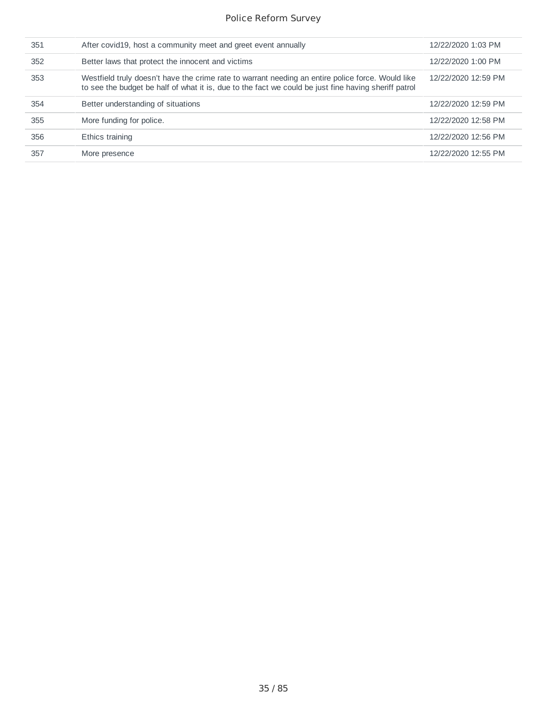| 351 | After covid 19, host a community meet and greet event annually                                                                                                                                            | 12/22/2020 1:03 PM  |
|-----|-----------------------------------------------------------------------------------------------------------------------------------------------------------------------------------------------------------|---------------------|
| 352 | Better laws that protect the innocent and victims                                                                                                                                                         | 12/22/2020 1:00 PM  |
| 353 | Westfield truly doesn't have the crime rate to warrant needing an entire police force. Would like<br>to see the budget be half of what it is, due to the fact we could be just fine having sheriff patrol | 12/22/2020 12:59 PM |
| 354 | Better understanding of situations                                                                                                                                                                        | 12/22/2020 12:59 PM |
| 355 | More funding for police.                                                                                                                                                                                  | 12/22/2020 12:58 PM |
| 356 | Ethics training                                                                                                                                                                                           | 12/22/2020 12:56 PM |
| 357 | More presence                                                                                                                                                                                             | 12/22/2020 12:55 PM |
|     |                                                                                                                                                                                                           |                     |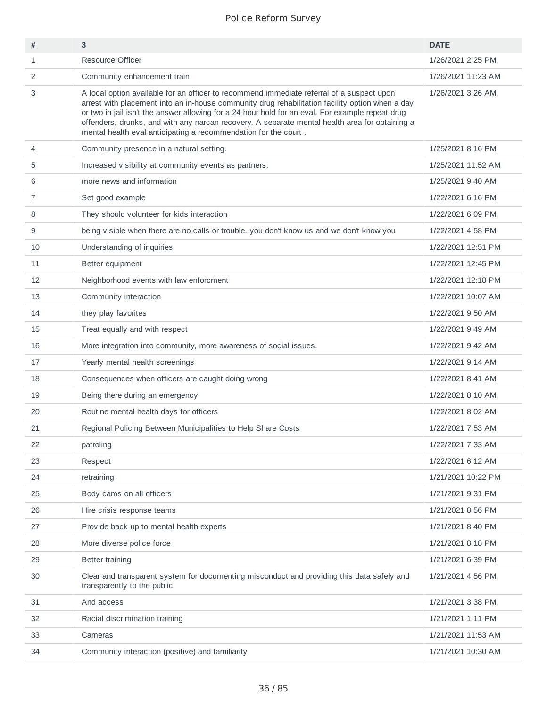| #  | 3                                                                                                                                                                                                                                                                                                                                                                                                                                                                     | <b>DATE</b>        |
|----|-----------------------------------------------------------------------------------------------------------------------------------------------------------------------------------------------------------------------------------------------------------------------------------------------------------------------------------------------------------------------------------------------------------------------------------------------------------------------|--------------------|
| 1  | <b>Resource Officer</b>                                                                                                                                                                                                                                                                                                                                                                                                                                               | 1/26/2021 2:25 PM  |
| 2  | Community enhancement train                                                                                                                                                                                                                                                                                                                                                                                                                                           | 1/26/2021 11:23 AM |
| 3  | A local option available for an officer to recommend immediate referral of a suspect upon<br>arrest with placement into an in-house community drug rehabilitation facility option when a day<br>or two in jail isn't the answer allowing for a 24 hour hold for an eval. For example repeat drug<br>offenders, drunks, and with any narcan recovery. A separate mental health area for obtaining a<br>mental health eval anticipating a recommendation for the court. | 1/26/2021 3:26 AM  |
| 4  | Community presence in a natural setting.                                                                                                                                                                                                                                                                                                                                                                                                                              | 1/25/2021 8:16 PM  |
| 5  | Increased visibility at community events as partners.                                                                                                                                                                                                                                                                                                                                                                                                                 | 1/25/2021 11:52 AM |
| 6  | more news and information                                                                                                                                                                                                                                                                                                                                                                                                                                             | 1/25/2021 9:40 AM  |
| 7  | Set good example                                                                                                                                                                                                                                                                                                                                                                                                                                                      | 1/22/2021 6:16 PM  |
| 8  | They should volunteer for kids interaction                                                                                                                                                                                                                                                                                                                                                                                                                            | 1/22/2021 6:09 PM  |
| 9  | being visible when there are no calls or trouble. you don't know us and we don't know you                                                                                                                                                                                                                                                                                                                                                                             | 1/22/2021 4:58 PM  |
| 10 | Understanding of inquiries                                                                                                                                                                                                                                                                                                                                                                                                                                            | 1/22/2021 12:51 PM |
| 11 | Better equipment                                                                                                                                                                                                                                                                                                                                                                                                                                                      | 1/22/2021 12:45 PM |
| 12 | Neighborhood events with law enforcment                                                                                                                                                                                                                                                                                                                                                                                                                               | 1/22/2021 12:18 PM |
| 13 | Community interaction                                                                                                                                                                                                                                                                                                                                                                                                                                                 | 1/22/2021 10:07 AM |
| 14 | they play favorites                                                                                                                                                                                                                                                                                                                                                                                                                                                   | 1/22/2021 9:50 AM  |
| 15 | Treat equally and with respect                                                                                                                                                                                                                                                                                                                                                                                                                                        | 1/22/2021 9:49 AM  |
| 16 | More integration into community, more awareness of social issues.                                                                                                                                                                                                                                                                                                                                                                                                     | 1/22/2021 9:42 AM  |
| 17 | Yearly mental health screenings                                                                                                                                                                                                                                                                                                                                                                                                                                       | 1/22/2021 9:14 AM  |
| 18 | Consequences when officers are caught doing wrong                                                                                                                                                                                                                                                                                                                                                                                                                     | 1/22/2021 8:41 AM  |
| 19 | Being there during an emergency                                                                                                                                                                                                                                                                                                                                                                                                                                       | 1/22/2021 8:10 AM  |
| 20 | Routine mental health days for officers                                                                                                                                                                                                                                                                                                                                                                                                                               | 1/22/2021 8:02 AM  |
| 21 | Regional Policing Between Municipalities to Help Share Costs                                                                                                                                                                                                                                                                                                                                                                                                          | 1/22/2021 7:53 AM  |
| 22 | patroling                                                                                                                                                                                                                                                                                                                                                                                                                                                             | 1/22/2021 7:33 AM  |
| 23 | Respect                                                                                                                                                                                                                                                                                                                                                                                                                                                               | 1/22/2021 6:12 AM  |
| 24 | retraining                                                                                                                                                                                                                                                                                                                                                                                                                                                            | 1/21/2021 10:22 PM |
| 25 | Body cams on all officers                                                                                                                                                                                                                                                                                                                                                                                                                                             | 1/21/2021 9:31 PM  |
| 26 | Hire crisis response teams                                                                                                                                                                                                                                                                                                                                                                                                                                            | 1/21/2021 8:56 PM  |
| 27 | Provide back up to mental health experts                                                                                                                                                                                                                                                                                                                                                                                                                              | 1/21/2021 8:40 PM  |
| 28 | More diverse police force                                                                                                                                                                                                                                                                                                                                                                                                                                             | 1/21/2021 8:18 PM  |
| 29 | <b>Better training</b>                                                                                                                                                                                                                                                                                                                                                                                                                                                | 1/21/2021 6:39 PM  |
| 30 | Clear and transparent system for documenting misconduct and providing this data safely and<br>transparently to the public                                                                                                                                                                                                                                                                                                                                             | 1/21/2021 4:56 PM  |
| 31 | And access                                                                                                                                                                                                                                                                                                                                                                                                                                                            | 1/21/2021 3:38 PM  |
| 32 | Racial discrimination training                                                                                                                                                                                                                                                                                                                                                                                                                                        | 1/21/2021 1:11 PM  |
| 33 | Cameras                                                                                                                                                                                                                                                                                                                                                                                                                                                               | 1/21/2021 11:53 AM |
| 34 | Community interaction (positive) and familiarity                                                                                                                                                                                                                                                                                                                                                                                                                      | 1/21/2021 10:30 AM |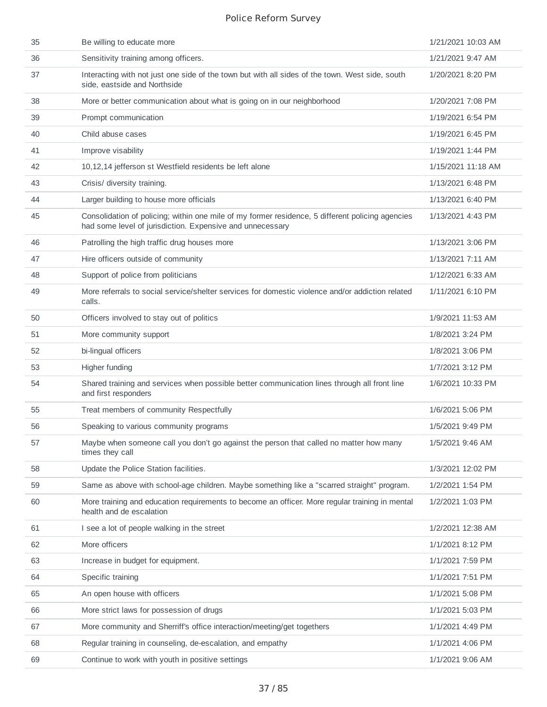| 35 | Be willing to educate more                                                                                                                                    | 1/21/2021 10:03 AM |
|----|---------------------------------------------------------------------------------------------------------------------------------------------------------------|--------------------|
| 36 | Sensitivity training among officers.                                                                                                                          | 1/21/2021 9:47 AM  |
| 37 | Interacting with not just one side of the town but with all sides of the town. West side, south<br>side, eastside and Northside                               | 1/20/2021 8:20 PM  |
| 38 | More or better communication about what is going on in our neighborhood                                                                                       | 1/20/2021 7:08 PM  |
| 39 | Prompt communication                                                                                                                                          | 1/19/2021 6:54 PM  |
| 40 | Child abuse cases                                                                                                                                             | 1/19/2021 6:45 PM  |
| 41 | Improve visability                                                                                                                                            | 1/19/2021 1:44 PM  |
| 42 | 10,12,14 jefferson st Westfield residents be left alone                                                                                                       | 1/15/2021 11:18 AM |
| 43 | Crisis/ diversity training.                                                                                                                                   | 1/13/2021 6:48 PM  |
| 44 | Larger building to house more officials                                                                                                                       | 1/13/2021 6:40 PM  |
| 45 | Consolidation of policing; within one mile of my former residence, 5 different policing agencies<br>had some level of jurisdiction. Expensive and unnecessary | 1/13/2021 4:43 PM  |
| 46 | Patrolling the high traffic drug houses more                                                                                                                  | 1/13/2021 3:06 PM  |
| 47 | Hire officers outside of community                                                                                                                            | 1/13/2021 7:11 AM  |
| 48 | Support of police from politicians                                                                                                                            | 1/12/2021 6:33 AM  |
| 49 | More referrals to social service/shelter services for domestic violence and/or addiction related<br>calls.                                                    | 1/11/2021 6:10 PM  |
| 50 | Officers involved to stay out of politics                                                                                                                     | 1/9/2021 11:53 AM  |
| 51 | More community support                                                                                                                                        | 1/8/2021 3:24 PM   |
| 52 | bi-lingual officers                                                                                                                                           | 1/8/2021 3:06 PM   |
| 53 | Higher funding                                                                                                                                                | 1/7/2021 3:12 PM   |
| 54 | Shared training and services when possible better communication lines through all front line<br>and first responders                                          | 1/6/2021 10:33 PM  |
| 55 | Treat members of community Respectfully                                                                                                                       | 1/6/2021 5:06 PM   |
| 56 | Speaking to various community programs                                                                                                                        | 1/5/2021 9:49 PM   |
| 57 | Maybe when someone call you don't go against the person that called no matter how many<br>times they call                                                     | 1/5/2021 9:46 AM   |
| 58 | Update the Police Station facilities.                                                                                                                         | 1/3/2021 12:02 PM  |
| 59 | Same as above with school-age children. Maybe something like a "scarred straight" program.                                                                    | 1/2/2021 1:54 PM   |
| 60 | More training and education requirements to become an officer. More regular training in mental<br>health and de escalation                                    | 1/2/2021 1:03 PM   |
| 61 | I see a lot of people walking in the street                                                                                                                   | 1/2/2021 12:38 AM  |
| 62 | More officers                                                                                                                                                 | 1/1/2021 8:12 PM   |
| 63 | Increase in budget for equipment.                                                                                                                             | 1/1/2021 7:59 PM   |
| 64 | Specific training                                                                                                                                             | 1/1/2021 7:51 PM   |
| 65 | An open house with officers                                                                                                                                   | 1/1/2021 5:08 PM   |
| 66 | More strict laws for possession of drugs                                                                                                                      | 1/1/2021 5:03 PM   |
| 67 | More community and Sherriff's office interaction/meeting/get togethers                                                                                        | 1/1/2021 4:49 PM   |
| 68 | Regular training in counseling, de-escalation, and empathy                                                                                                    | 1/1/2021 4:06 PM   |
| 69 | Continue to work with youth in positive settings                                                                                                              | 1/1/2021 9:06 AM   |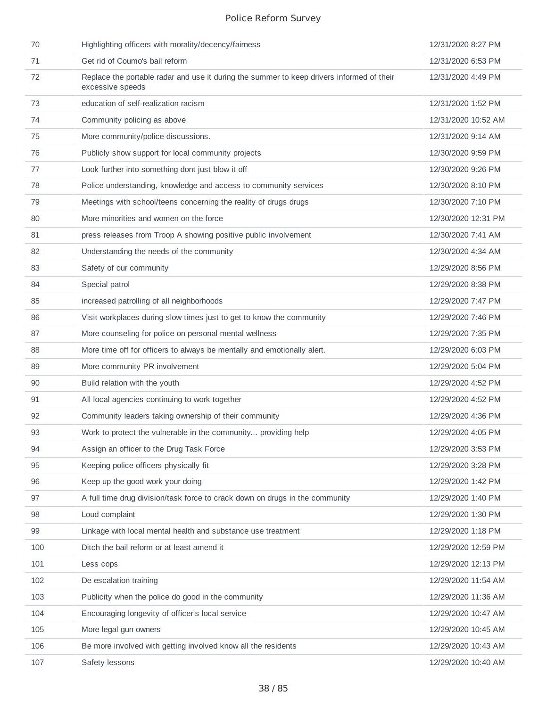| 70  | Highlighting officers with morality/decency/fairness                                                          | 12/31/2020 8:27 PM  |
|-----|---------------------------------------------------------------------------------------------------------------|---------------------|
| 71  | Get rid of Coumo's bail reform                                                                                | 12/31/2020 6:53 PM  |
| 72  | Replace the portable radar and use it during the summer to keep drivers informed of their<br>excessive speeds | 12/31/2020 4:49 PM  |
| 73  | education of self-realization racism                                                                          | 12/31/2020 1:52 PM  |
| 74  | Community policing as above                                                                                   | 12/31/2020 10:52 AM |
| 75  | More community/police discussions.                                                                            | 12/31/2020 9:14 AM  |
| 76  | Publicly show support for local community projects                                                            | 12/30/2020 9:59 PM  |
| 77  | Look further into something dont just blow it off                                                             | 12/30/2020 9:26 PM  |
| 78  | Police understanding, knowledge and access to community services                                              | 12/30/2020 8:10 PM  |
| 79  | Meetings with school/teens concerning the reality of drugs drugs                                              | 12/30/2020 7:10 PM  |
| 80  | More minorities and women on the force                                                                        | 12/30/2020 12:31 PM |
| 81  | press releases from Troop A showing positive public involvement                                               | 12/30/2020 7:41 AM  |
| 82  | Understanding the needs of the community                                                                      | 12/30/2020 4:34 AM  |
| 83  | Safety of our community                                                                                       | 12/29/2020 8:56 PM  |
| 84  | Special patrol                                                                                                | 12/29/2020 8:38 PM  |
| 85  | increased patrolling of all neighborhoods                                                                     | 12/29/2020 7:47 PM  |
| 86  | Visit workplaces during slow times just to get to know the community                                          | 12/29/2020 7:46 PM  |
| 87  | More counseling for police on personal mental wellness                                                        | 12/29/2020 7:35 PM  |
| 88  | More time off for officers to always be mentally and emotionally alert.                                       | 12/29/2020 6:03 PM  |
| 89  | More community PR involvement                                                                                 | 12/29/2020 5:04 PM  |
| 90  | Build relation with the youth                                                                                 | 12/29/2020 4:52 PM  |
| 91  | All local agencies continuing to work together                                                                | 12/29/2020 4:52 PM  |
| 92  | Community leaders taking ownership of their community                                                         | 12/29/2020 4:36 PM  |
| 93  | Work to protect the vulnerable in the community providing help                                                | 12/29/2020 4:05 PM  |
| 94  | Assign an officer to the Drug Task Force                                                                      | 12/29/2020 3:53 PM  |
| 95  | Keeping police officers physically fit                                                                        | 12/29/2020 3:28 PM  |
| 96  | Keep up the good work your doing                                                                              | 12/29/2020 1:42 PM  |
| 97  | A full time drug division/task force to crack down on drugs in the community                                  | 12/29/2020 1:40 PM  |
| 98  | Loud complaint                                                                                                | 12/29/2020 1:30 PM  |
| 99  | Linkage with local mental health and substance use treatment                                                  | 12/29/2020 1:18 PM  |
| 100 | Ditch the bail reform or at least amend it                                                                    | 12/29/2020 12:59 PM |
| 101 | Less cops                                                                                                     | 12/29/2020 12:13 PM |
| 102 | De escalation training                                                                                        | 12/29/2020 11:54 AM |
| 103 | Publicity when the police do good in the community                                                            | 12/29/2020 11:36 AM |
| 104 | Encouraging longevity of officer's local service                                                              | 12/29/2020 10:47 AM |
| 105 | More legal gun owners                                                                                         | 12/29/2020 10:45 AM |
| 106 | Be more involved with getting involved know all the residents                                                 | 12/29/2020 10:43 AM |
| 107 | Safety lessons                                                                                                | 12/29/2020 10:40 AM |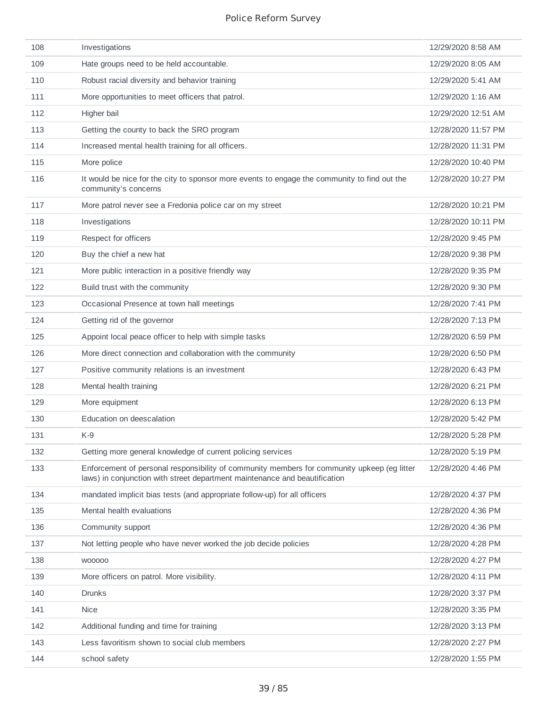| 108 | Investigations                                                                                                                                                            | 12/29/2020 8:58 AM  |
|-----|---------------------------------------------------------------------------------------------------------------------------------------------------------------------------|---------------------|
| 109 | Hate groups need to be held accountable.                                                                                                                                  | 12/29/2020 8:05 AM  |
| 110 | Robust racial diversity and behavior training                                                                                                                             | 12/29/2020 5:41 AM  |
| 111 | More opportunities to meet officers that patrol.                                                                                                                          | 12/29/2020 1:16 AM  |
| 112 | Higher bail                                                                                                                                                               | 12/29/2020 12:51 AM |
| 113 | Getting the county to back the SRO program                                                                                                                                | 12/28/2020 11:57 PM |
| 114 | Increased mental health training for all officers.                                                                                                                        | 12/28/2020 11:31 PM |
| 115 | More police                                                                                                                                                               | 12/28/2020 10:40 PM |
| 116 | It would be nice for the city to sponsor more events to engage the community to find out the<br>community's concerns                                                      | 12/28/2020 10:27 PM |
| 117 | More patrol never see a Fredonia police car on my street                                                                                                                  | 12/28/2020 10:21 PM |
| 118 | Investigations                                                                                                                                                            | 12/28/2020 10:11 PM |
| 119 | Respect for officers                                                                                                                                                      | 12/28/2020 9:45 PM  |
| 120 | Buy the chief a new hat                                                                                                                                                   | 12/28/2020 9:38 PM  |
| 121 | More public interaction in a positive friendly way                                                                                                                        | 12/28/2020 9:35 PM  |
| 122 | Build trust with the community                                                                                                                                            | 12/28/2020 9:30 PM  |
| 123 | Occasional Presence at town hall meetings                                                                                                                                 | 12/28/2020 7:41 PM  |
| 124 | Getting rid of the governor                                                                                                                                               | 12/28/2020 7:13 PM  |
| 125 | Appoint local peace officer to help with simple tasks                                                                                                                     | 12/28/2020 6:59 PM  |
| 126 | More direct connection and collaboration with the community                                                                                                               | 12/28/2020 6:50 PM  |
| 127 | Positive community relations is an investment                                                                                                                             | 12/28/2020 6:43 PM  |
| 128 | Mental health training                                                                                                                                                    | 12/28/2020 6:21 PM  |
| 129 | More equipment                                                                                                                                                            | 12/28/2020 6:13 PM  |
| 130 | Education on deescalation                                                                                                                                                 | 12/28/2020 5:42 PM  |
| 131 | K-9                                                                                                                                                                       | 12/28/2020 5:28 PM  |
| 132 | Getting more general knowledge of current policing services                                                                                                               | 12/28/2020 5:19 PM  |
| 133 | Enforcement of personal responsibility of community members for community upkeep (eg litter<br>laws) in conjunction with street department maintenance and beautification | 12/28/2020 4:46 PM  |
| 134 | mandated implicit bias tests (and appropriate follow-up) for all officers                                                                                                 | 12/28/2020 4:37 PM  |
| 135 | Mental health evaluations                                                                                                                                                 | 12/28/2020 4:36 PM  |
| 136 | Community support                                                                                                                                                         | 12/28/2020 4:36 PM  |
| 137 | Not letting people who have never worked the job decide policies                                                                                                          | 12/28/2020 4:28 PM  |
| 138 | W00000                                                                                                                                                                    | 12/28/2020 4:27 PM  |
| 139 | More officers on patrol. More visibility.                                                                                                                                 | 12/28/2020 4:11 PM  |
| 140 | <b>Drunks</b>                                                                                                                                                             | 12/28/2020 3:37 PM  |
| 141 | <b>Nice</b>                                                                                                                                                               | 12/28/2020 3:35 PM  |
| 142 | Additional funding and time for training                                                                                                                                  | 12/28/2020 3:13 PM  |
| 143 | Less favoritism shown to social club members                                                                                                                              | 12/28/2020 2:27 PM  |
| 144 | school safety                                                                                                                                                             | 12/28/2020 1:55 PM  |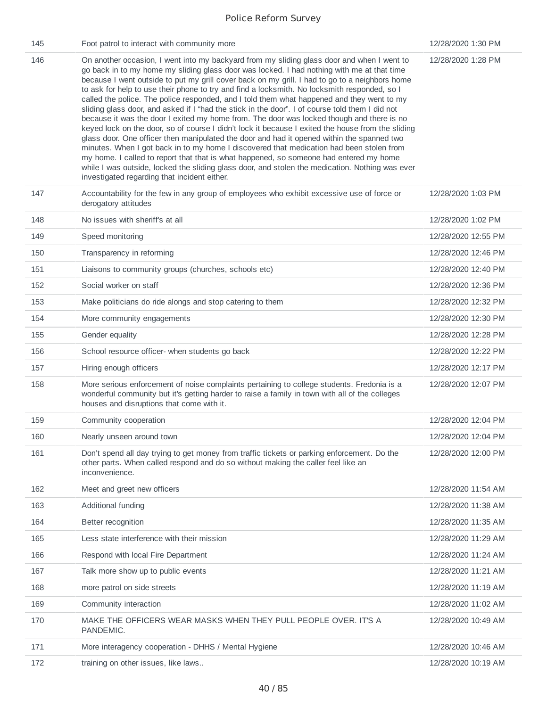| 145 | Foot patrol to interact with community more                                                                                                                                                                                                                                                                                                                                                                                                                                                                                                                                                                                                                                                                                                                                                                                                                                                                                                                                                                                                                                                                                                                                                                                          | 12/28/2020 1:30 PM  |
|-----|--------------------------------------------------------------------------------------------------------------------------------------------------------------------------------------------------------------------------------------------------------------------------------------------------------------------------------------------------------------------------------------------------------------------------------------------------------------------------------------------------------------------------------------------------------------------------------------------------------------------------------------------------------------------------------------------------------------------------------------------------------------------------------------------------------------------------------------------------------------------------------------------------------------------------------------------------------------------------------------------------------------------------------------------------------------------------------------------------------------------------------------------------------------------------------------------------------------------------------------|---------------------|
| 146 | On another occasion, I went into my backyard from my sliding glass door and when I went to<br>go back in to my home my sliding glass door was locked. I had nothing with me at that time<br>because I went outside to put my grill cover back on my grill. I had to go to a neighbors home<br>to ask for help to use their phone to try and find a locksmith. No locksmith responded, so I<br>called the police. The police responded, and I told them what happened and they went to my<br>sliding glass door, and asked if I "had the stick in the door". I of course told them I did not<br>because it was the door I exited my home from. The door was locked though and there is no<br>keyed lock on the door, so of course I didn't lock it because I exited the house from the sliding<br>glass door. One officer then manipulated the door and had it opened within the spanned two<br>minutes. When I got back in to my home I discovered that medication had been stolen from<br>my home. I called to report that that is what happened, so someone had entered my home<br>while I was outside, locked the sliding glass door, and stolen the medication. Nothing was ever<br>investigated regarding that incident either. | 12/28/2020 1:28 PM  |
| 147 | Accountability for the few in any group of employees who exhibit excessive use of force or<br>derogatory attitudes                                                                                                                                                                                                                                                                                                                                                                                                                                                                                                                                                                                                                                                                                                                                                                                                                                                                                                                                                                                                                                                                                                                   | 12/28/2020 1:03 PM  |
| 148 | No issues with sheriff's at all                                                                                                                                                                                                                                                                                                                                                                                                                                                                                                                                                                                                                                                                                                                                                                                                                                                                                                                                                                                                                                                                                                                                                                                                      | 12/28/2020 1:02 PM  |
| 149 | Speed monitoring                                                                                                                                                                                                                                                                                                                                                                                                                                                                                                                                                                                                                                                                                                                                                                                                                                                                                                                                                                                                                                                                                                                                                                                                                     | 12/28/2020 12:55 PM |
| 150 | Transparency in reforming                                                                                                                                                                                                                                                                                                                                                                                                                                                                                                                                                                                                                                                                                                                                                                                                                                                                                                                                                                                                                                                                                                                                                                                                            | 12/28/2020 12:46 PM |
| 151 | Liaisons to community groups (churches, schools etc)                                                                                                                                                                                                                                                                                                                                                                                                                                                                                                                                                                                                                                                                                                                                                                                                                                                                                                                                                                                                                                                                                                                                                                                 | 12/28/2020 12:40 PM |
| 152 | Social worker on staff                                                                                                                                                                                                                                                                                                                                                                                                                                                                                                                                                                                                                                                                                                                                                                                                                                                                                                                                                                                                                                                                                                                                                                                                               | 12/28/2020 12:36 PM |
| 153 | Make politicians do ride alongs and stop catering to them                                                                                                                                                                                                                                                                                                                                                                                                                                                                                                                                                                                                                                                                                                                                                                                                                                                                                                                                                                                                                                                                                                                                                                            | 12/28/2020 12:32 PM |
| 154 | More community engagements                                                                                                                                                                                                                                                                                                                                                                                                                                                                                                                                                                                                                                                                                                                                                                                                                                                                                                                                                                                                                                                                                                                                                                                                           | 12/28/2020 12:30 PM |
| 155 | Gender equality                                                                                                                                                                                                                                                                                                                                                                                                                                                                                                                                                                                                                                                                                                                                                                                                                                                                                                                                                                                                                                                                                                                                                                                                                      | 12/28/2020 12:28 PM |
| 156 | School resource officer- when students go back                                                                                                                                                                                                                                                                                                                                                                                                                                                                                                                                                                                                                                                                                                                                                                                                                                                                                                                                                                                                                                                                                                                                                                                       | 12/28/2020 12:22 PM |
| 157 | Hiring enough officers                                                                                                                                                                                                                                                                                                                                                                                                                                                                                                                                                                                                                                                                                                                                                                                                                                                                                                                                                                                                                                                                                                                                                                                                               | 12/28/2020 12:17 PM |
| 158 | More serious enforcement of noise complaints pertaining to college students. Fredonia is a<br>wonderful community but it's getting harder to raise a family in town with all of the colleges<br>houses and disruptions that come with it.                                                                                                                                                                                                                                                                                                                                                                                                                                                                                                                                                                                                                                                                                                                                                                                                                                                                                                                                                                                            | 12/28/2020 12:07 PM |
| 159 | Community cooperation                                                                                                                                                                                                                                                                                                                                                                                                                                                                                                                                                                                                                                                                                                                                                                                                                                                                                                                                                                                                                                                                                                                                                                                                                | 12/28/2020 12:04 PM |
| 160 | Nearly unseen around town                                                                                                                                                                                                                                                                                                                                                                                                                                                                                                                                                                                                                                                                                                                                                                                                                                                                                                                                                                                                                                                                                                                                                                                                            | 12/28/2020 12:04 PM |
| 161 | Don't spend all day trying to get money from traffic tickets or parking enforcement. Do the<br>other parts. When called respond and do so without making the caller feel like an<br>inconvenience.                                                                                                                                                                                                                                                                                                                                                                                                                                                                                                                                                                                                                                                                                                                                                                                                                                                                                                                                                                                                                                   | 12/28/2020 12:00 PM |
| 162 | Meet and greet new officers                                                                                                                                                                                                                                                                                                                                                                                                                                                                                                                                                                                                                                                                                                                                                                                                                                                                                                                                                                                                                                                                                                                                                                                                          | 12/28/2020 11:54 AM |
| 163 | Additional funding                                                                                                                                                                                                                                                                                                                                                                                                                                                                                                                                                                                                                                                                                                                                                                                                                                                                                                                                                                                                                                                                                                                                                                                                                   | 12/28/2020 11:38 AM |
| 164 | Better recognition                                                                                                                                                                                                                                                                                                                                                                                                                                                                                                                                                                                                                                                                                                                                                                                                                                                                                                                                                                                                                                                                                                                                                                                                                   | 12/28/2020 11:35 AM |
| 165 | Less state interference with their mission                                                                                                                                                                                                                                                                                                                                                                                                                                                                                                                                                                                                                                                                                                                                                                                                                                                                                                                                                                                                                                                                                                                                                                                           | 12/28/2020 11:29 AM |
| 166 | Respond with local Fire Department                                                                                                                                                                                                                                                                                                                                                                                                                                                                                                                                                                                                                                                                                                                                                                                                                                                                                                                                                                                                                                                                                                                                                                                                   | 12/28/2020 11:24 AM |
| 167 | Talk more show up to public events                                                                                                                                                                                                                                                                                                                                                                                                                                                                                                                                                                                                                                                                                                                                                                                                                                                                                                                                                                                                                                                                                                                                                                                                   | 12/28/2020 11:21 AM |
| 168 | more patrol on side streets                                                                                                                                                                                                                                                                                                                                                                                                                                                                                                                                                                                                                                                                                                                                                                                                                                                                                                                                                                                                                                                                                                                                                                                                          | 12/28/2020 11:19 AM |
| 169 | Community interaction                                                                                                                                                                                                                                                                                                                                                                                                                                                                                                                                                                                                                                                                                                                                                                                                                                                                                                                                                                                                                                                                                                                                                                                                                | 12/28/2020 11:02 AM |
| 170 | MAKE THE OFFICERS WEAR MASKS WHEN THEY PULL PEOPLE OVER. IT'S A<br>PANDEMIC.                                                                                                                                                                                                                                                                                                                                                                                                                                                                                                                                                                                                                                                                                                                                                                                                                                                                                                                                                                                                                                                                                                                                                         | 12/28/2020 10:49 AM |
| 171 | More interagency cooperation - DHHS / Mental Hygiene                                                                                                                                                                                                                                                                                                                                                                                                                                                                                                                                                                                                                                                                                                                                                                                                                                                                                                                                                                                                                                                                                                                                                                                 | 12/28/2020 10:46 AM |
| 172 | training on other issues, like laws                                                                                                                                                                                                                                                                                                                                                                                                                                                                                                                                                                                                                                                                                                                                                                                                                                                                                                                                                                                                                                                                                                                                                                                                  | 12/28/2020 10:19 AM |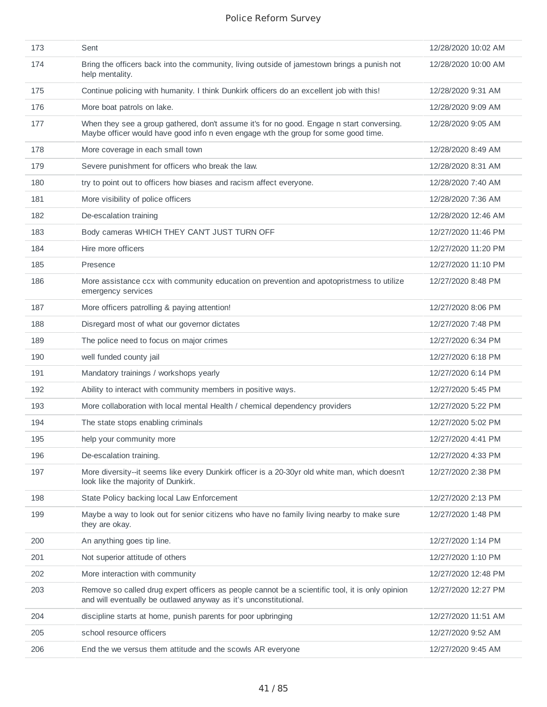| 173 | Sent                                                                                                                                                                            | 12/28/2020 10:02 AM |
|-----|---------------------------------------------------------------------------------------------------------------------------------------------------------------------------------|---------------------|
| 174 | Bring the officers back into the community, living outside of jamestown brings a punish not<br>help mentality.                                                                  | 12/28/2020 10:00 AM |
| 175 | Continue policing with humanity. I think Dunkirk officers do an excellent job with this!                                                                                        | 12/28/2020 9:31 AM  |
| 176 | More boat patrols on lake.                                                                                                                                                      | 12/28/2020 9:09 AM  |
| 177 | When they see a group gathered, don't assume it's for no good. Engage n start conversing.<br>Maybe officer would have good info n even engage wth the group for some good time. | 12/28/2020 9:05 AM  |
| 178 | More coverage in each small town                                                                                                                                                | 12/28/2020 8:49 AM  |
| 179 | Severe punishment for officers who break the law.                                                                                                                               | 12/28/2020 8:31 AM  |
| 180 | try to point out to officers how biases and racism affect everyone.                                                                                                             | 12/28/2020 7:40 AM  |
| 181 | More visibility of police officers                                                                                                                                              | 12/28/2020 7:36 AM  |
| 182 | De-escalation training                                                                                                                                                          | 12/28/2020 12:46 AM |
| 183 | Body cameras WHICH THEY CAN'T JUST TURN OFF                                                                                                                                     | 12/27/2020 11:46 PM |
| 184 | Hire more officers                                                                                                                                                              | 12/27/2020 11:20 PM |
| 185 | Presence                                                                                                                                                                        | 12/27/2020 11:10 PM |
| 186 | More assistance ccx with community education on prevention and apotopristmess to utilize<br>emergency services                                                                  | 12/27/2020 8:48 PM  |
| 187 | More officers patrolling & paying attention!                                                                                                                                    | 12/27/2020 8:06 PM  |
| 188 | Disregard most of what our governor dictates                                                                                                                                    | 12/27/2020 7:48 PM  |
| 189 | The police need to focus on major crimes                                                                                                                                        | 12/27/2020 6:34 PM  |
| 190 | well funded county jail                                                                                                                                                         | 12/27/2020 6:18 PM  |
| 191 | Mandatory trainings / workshops yearly                                                                                                                                          | 12/27/2020 6:14 PM  |
| 192 | Ability to interact with community members in positive ways.                                                                                                                    | 12/27/2020 5:45 PM  |
| 193 | More collaboration with local mental Health / chemical dependency providers                                                                                                     | 12/27/2020 5:22 PM  |
| 194 | The state stops enabling criminals                                                                                                                                              | 12/27/2020 5:02 PM  |
| 195 | help your community more                                                                                                                                                        |                     |
| 196 | De-escalation training.                                                                                                                                                         | 12/27/2020 4:33 PM  |
| 197 | More diversity--it seems like every Dunkirk officer is a 20-30yr old white man, which doesn't<br>look like the majority of Dunkirk.                                             | 12/27/2020 2:38 PM  |
| 198 | State Policy backing local Law Enforcement                                                                                                                                      | 12/27/2020 2:13 PM  |
| 199 | Maybe a way to look out for senior citizens who have no family living nearby to make sure<br>they are okay.                                                                     | 12/27/2020 1:48 PM  |
| 200 | An anything goes tip line.                                                                                                                                                      | 12/27/2020 1:14 PM  |
| 201 | Not superior attitude of others                                                                                                                                                 | 12/27/2020 1:10 PM  |
| 202 | More interaction with community                                                                                                                                                 | 12/27/2020 12:48 PM |
| 203 | Remove so called drug expert officers as people cannot be a scientific tool, it is only opinion<br>and will eventually be outlawed anyway as it's unconstitutional.             | 12/27/2020 12:27 PM |
| 204 | discipline starts at home, punish parents for poor upbringing                                                                                                                   | 12/27/2020 11:51 AM |
| 205 | school resource officers                                                                                                                                                        | 12/27/2020 9:52 AM  |
| 206 | End the we versus them attitude and the scowls AR everyone                                                                                                                      | 12/27/2020 9:45 AM  |
|     |                                                                                                                                                                                 |                     |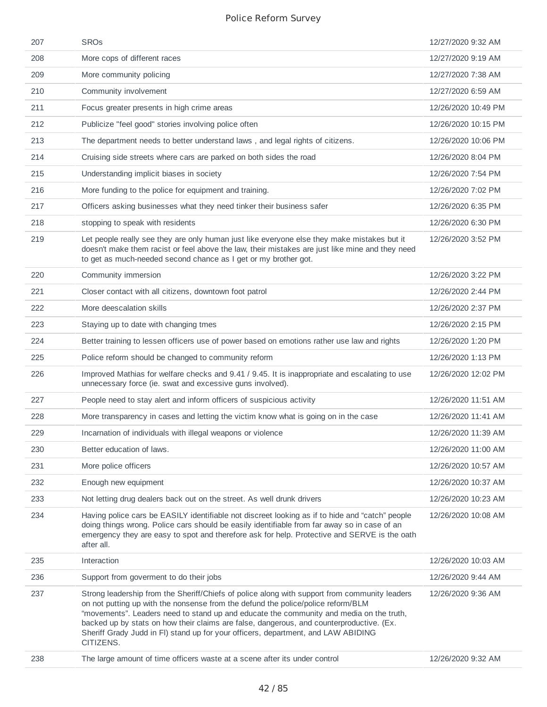| 207 | <b>SROs</b>                                                                                                                                                                                                                                                                                                                                                                                                                                                                | 12/27/2020 9:32 AM  |
|-----|----------------------------------------------------------------------------------------------------------------------------------------------------------------------------------------------------------------------------------------------------------------------------------------------------------------------------------------------------------------------------------------------------------------------------------------------------------------------------|---------------------|
| 208 | More cops of different races                                                                                                                                                                                                                                                                                                                                                                                                                                               | 12/27/2020 9:19 AM  |
| 209 | More community policing                                                                                                                                                                                                                                                                                                                                                                                                                                                    | 12/27/2020 7:38 AM  |
| 210 | Community involvement                                                                                                                                                                                                                                                                                                                                                                                                                                                      | 12/27/2020 6:59 AM  |
| 211 | Focus greater presents in high crime areas                                                                                                                                                                                                                                                                                                                                                                                                                                 | 12/26/2020 10:49 PM |
| 212 | Publicize "feel good" stories involving police often                                                                                                                                                                                                                                                                                                                                                                                                                       | 12/26/2020 10:15 PM |
| 213 | The department needs to better understand laws, and legal rights of citizens.                                                                                                                                                                                                                                                                                                                                                                                              | 12/26/2020 10:06 PM |
| 214 | Cruising side streets where cars are parked on both sides the road                                                                                                                                                                                                                                                                                                                                                                                                         | 12/26/2020 8:04 PM  |
| 215 | Understanding implicit biases in society                                                                                                                                                                                                                                                                                                                                                                                                                                   | 12/26/2020 7:54 PM  |
| 216 | More funding to the police for equipment and training.                                                                                                                                                                                                                                                                                                                                                                                                                     | 12/26/2020 7:02 PM  |
| 217 | Officers asking businesses what they need tinker their business safer                                                                                                                                                                                                                                                                                                                                                                                                      | 12/26/2020 6:35 PM  |
| 218 | stopping to speak with residents                                                                                                                                                                                                                                                                                                                                                                                                                                           | 12/26/2020 6:30 PM  |
| 219 | Let people really see they are only human just like everyone else they make mistakes but it<br>doesn't make them racist or feel above the law, their mistakes are just like mine and they need<br>to get as much-needed second chance as I get or my brother got.                                                                                                                                                                                                          | 12/26/2020 3:52 PM  |
| 220 | Community immersion                                                                                                                                                                                                                                                                                                                                                                                                                                                        | 12/26/2020 3:22 PM  |
| 221 | Closer contact with all citizens, downtown foot patrol                                                                                                                                                                                                                                                                                                                                                                                                                     | 12/26/2020 2:44 PM  |
| 222 | More deescalation skills                                                                                                                                                                                                                                                                                                                                                                                                                                                   | 12/26/2020 2:37 PM  |
| 223 | Staying up to date with changing tmes                                                                                                                                                                                                                                                                                                                                                                                                                                      | 12/26/2020 2:15 PM  |
| 224 | Better training to lessen officers use of power based on emotions rather use law and rights                                                                                                                                                                                                                                                                                                                                                                                | 12/26/2020 1:20 PM  |
| 225 | Police reform should be changed to community reform                                                                                                                                                                                                                                                                                                                                                                                                                        | 12/26/2020 1:13 PM  |
| 226 | Improved Mathias for welfare checks and 9.41 / 9.45. It is inappropriate and escalating to use<br>unnecessary force (ie. swat and excessive guns involved).                                                                                                                                                                                                                                                                                                                | 12/26/2020 12:02 PM |
| 227 | People need to stay alert and inform officers of suspicious activity                                                                                                                                                                                                                                                                                                                                                                                                       | 12/26/2020 11:51 AM |
| 228 | More transparency in cases and letting the victim know what is going on in the case                                                                                                                                                                                                                                                                                                                                                                                        | 12/26/2020 11:41 AM |
| 229 | Incarnation of individuals with illegal weapons or violence                                                                                                                                                                                                                                                                                                                                                                                                                | 12/26/2020 11:39 AM |
| 230 | Better education of laws.                                                                                                                                                                                                                                                                                                                                                                                                                                                  | 12/26/2020 11:00 AM |
| 231 | More police officers                                                                                                                                                                                                                                                                                                                                                                                                                                                       | 12/26/2020 10:57 AM |
| 232 | Enough new equipment                                                                                                                                                                                                                                                                                                                                                                                                                                                       | 12/26/2020 10:37 AM |
| 233 | Not letting drug dealers back out on the street. As well drunk drivers                                                                                                                                                                                                                                                                                                                                                                                                     | 12/26/2020 10:23 AM |
| 234 | Having police cars be EASILY identifiable not discreet looking as if to hide and "catch" people<br>doing things wrong. Police cars should be easily identifiable from far away so in case of an<br>emergency they are easy to spot and therefore ask for help. Protective and SERVE is the oath<br>after all.                                                                                                                                                              | 12/26/2020 10:08 AM |
| 235 | Interaction                                                                                                                                                                                                                                                                                                                                                                                                                                                                | 12/26/2020 10:03 AM |
| 236 | Support from goverment to do their jobs                                                                                                                                                                                                                                                                                                                                                                                                                                    | 12/26/2020 9:44 AM  |
| 237 | Strong leadership from the Sheriff/Chiefs of police along with support from community leaders<br>on not putting up with the nonsense from the defund the police/police reform/BLM<br>"movements". Leaders need to stand up and educate the community and media on the truth,<br>backed up by stats on how their claims are false, dangerous, and counterproductive. (Ex.<br>Sheriff Grady Judd in Fl) stand up for your officers, department, and LAW ABIDING<br>CITIZENS. | 12/26/2020 9:36 AM  |
| 238 | The large amount of time officers waste at a scene after its under control                                                                                                                                                                                                                                                                                                                                                                                                 | 12/26/2020 9:32 AM  |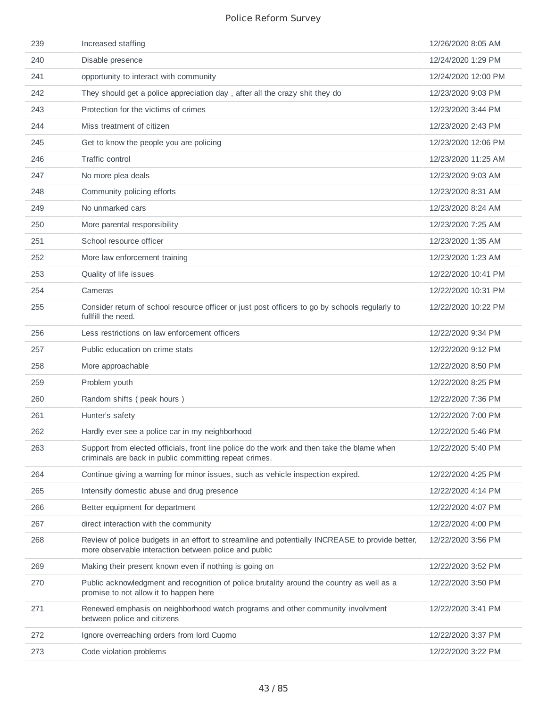| 239 | Increased staffing                                                                                                                                       | 12/26/2020 8:05 AM  |
|-----|----------------------------------------------------------------------------------------------------------------------------------------------------------|---------------------|
| 240 | Disable presence                                                                                                                                         | 12/24/2020 1:29 PM  |
| 241 | opportunity to interact with community                                                                                                                   | 12/24/2020 12:00 PM |
| 242 | They should get a police appreciation day, after all the crazy shit they do                                                                              | 12/23/2020 9:03 PM  |
| 243 | Protection for the victims of crimes                                                                                                                     | 12/23/2020 3:44 PM  |
| 244 | Miss treatment of citizen                                                                                                                                | 12/23/2020 2:43 PM  |
| 245 | Get to know the people you are policing                                                                                                                  | 12/23/2020 12:06 PM |
| 246 | <b>Traffic control</b>                                                                                                                                   | 12/23/2020 11:25 AM |
| 247 | No more plea deals                                                                                                                                       | 12/23/2020 9:03 AM  |
| 248 | Community policing efforts                                                                                                                               | 12/23/2020 8:31 AM  |
| 249 | No unmarked cars                                                                                                                                         | 12/23/2020 8:24 AM  |
| 250 | More parental responsibility                                                                                                                             | 12/23/2020 7:25 AM  |
| 251 | School resource officer                                                                                                                                  | 12/23/2020 1:35 AM  |
| 252 | More law enforcement training                                                                                                                            | 12/23/2020 1:23 AM  |
| 253 | Quality of life issues                                                                                                                                   | 12/22/2020 10:41 PM |
| 254 | Cameras                                                                                                                                                  | 12/22/2020 10:31 PM |
| 255 | Consider return of school resource officer or just post officers to go by schools regularly to<br>fullfill the need.                                     | 12/22/2020 10:22 PM |
| 256 | Less restrictions on law enforcement officers                                                                                                            | 12/22/2020 9:34 PM  |
| 257 | Public education on crime stats                                                                                                                          | 12/22/2020 9:12 PM  |
| 258 | More approachable                                                                                                                                        | 12/22/2020 8:50 PM  |
| 259 | Problem youth                                                                                                                                            | 12/22/2020 8:25 PM  |
| 260 | Random shifts (peak hours)                                                                                                                               | 12/22/2020 7:36 PM  |
| 261 | Hunter's safety                                                                                                                                          | 12/22/2020 7:00 PM  |
| 262 | Hardly ever see a police car in my neighborhood                                                                                                          | 12/22/2020 5:46 PM  |
| 263 | Support from elected officials, front line police do the work and then take the blame when<br>criminals are back in public committing repeat crimes.     | 12/22/2020 5:40 PM  |
| 264 | Continue giving a warning for minor issues, such as vehicle inspection expired.                                                                          | 12/22/2020 4:25 PM  |
| 265 | Intensify domestic abuse and drug presence                                                                                                               | 12/22/2020 4:14 PM  |
| 266 | Better equipment for department                                                                                                                          | 12/22/2020 4:07 PM  |
| 267 | direct interaction with the community                                                                                                                    | 12/22/2020 4:00 PM  |
| 268 | Review of police budgets in an effort to streamline and potentially INCREASE to provide better,<br>more observable interaction between police and public | 12/22/2020 3:56 PM  |
| 269 | Making their present known even if nothing is going on                                                                                                   | 12/22/2020 3:52 PM  |
| 270 | Public acknowledgment and recognition of police brutality around the country as well as a<br>promise to not allow it to happen here                      | 12/22/2020 3:50 PM  |
| 271 | Renewed emphasis on neighborhood watch programs and other community involvment<br>between police and citizens                                            | 12/22/2020 3:41 PM  |
| 272 | Ignore overreaching orders from lord Cuomo                                                                                                               | 12/22/2020 3:37 PM  |
| 273 | Code violation problems                                                                                                                                  | 12/22/2020 3:22 PM  |
|     |                                                                                                                                                          |                     |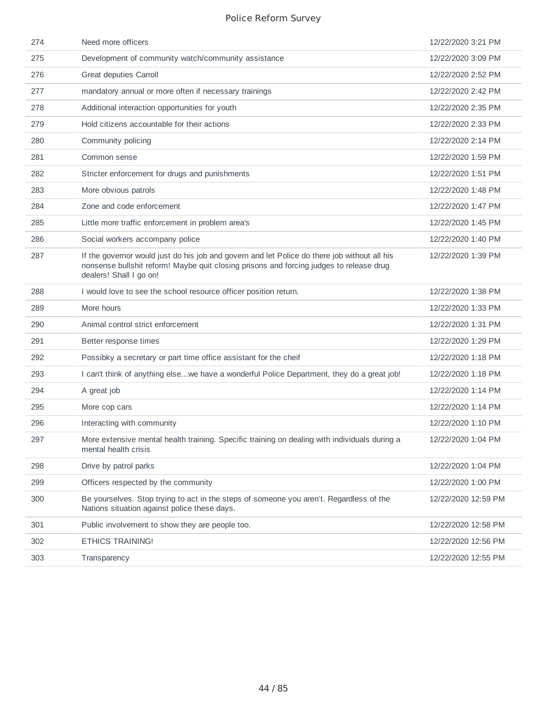| 274 | Need more officers                                                                                                                                                                                                 | 12/22/2020 3:21 PM  |
|-----|--------------------------------------------------------------------------------------------------------------------------------------------------------------------------------------------------------------------|---------------------|
| 275 | Development of community watch/community assistance                                                                                                                                                                | 12/22/2020 3:09 PM  |
| 276 | Great deputies Carroll                                                                                                                                                                                             | 12/22/2020 2:52 PM  |
| 277 | mandatory annual or more often if necessary trainings                                                                                                                                                              | 12/22/2020 2:42 PM  |
| 278 | Additional interaction opportunities for youth                                                                                                                                                                     | 12/22/2020 2:35 PM  |
| 279 | Hold citizens accountable for their actions                                                                                                                                                                        | 12/22/2020 2:33 PM  |
| 280 | Community policing                                                                                                                                                                                                 | 12/22/2020 2:14 PM  |
| 281 | Common sense                                                                                                                                                                                                       | 12/22/2020 1:59 PM  |
| 282 | Stricter enforcement for drugs and punishments                                                                                                                                                                     | 12/22/2020 1:51 PM  |
| 283 | More obvious patrols                                                                                                                                                                                               | 12/22/2020 1:48 PM  |
| 284 | Zone and code enforcement                                                                                                                                                                                          | 12/22/2020 1:47 PM  |
| 285 | Little more traffic enforcement in problem area's                                                                                                                                                                  | 12/22/2020 1:45 PM  |
| 286 | Social workers accompany police                                                                                                                                                                                    | 12/22/2020 1:40 PM  |
| 287 | If the governor would just do his job and govern and let Police do there job without all his<br>nonsense bullshit reform! Maybe quit closing prisons and forcing judges to release drug<br>dealers! Shall I go on! | 12/22/2020 1:39 PM  |
| 288 | I would love to see the school resource officer position return.                                                                                                                                                   | 12/22/2020 1:38 PM  |
| 289 | More hours                                                                                                                                                                                                         | 12/22/2020 1:33 PM  |
| 290 | Animal control strict enforcement                                                                                                                                                                                  | 12/22/2020 1:31 PM  |
| 291 | Better response times                                                                                                                                                                                              | 12/22/2020 1:29 PM  |
| 292 | Possibky a secretary or part time office assistant for the cheif                                                                                                                                                   | 12/22/2020 1:18 PM  |
| 293 | I can't think of anything elsewe have a wonderful Police Department, they do a great job!                                                                                                                          | 12/22/2020 1:18 PM  |
| 294 | A great job                                                                                                                                                                                                        | 12/22/2020 1:14 PM  |
| 295 | More cop cars                                                                                                                                                                                                      | 12/22/2020 1:14 PM  |
| 296 | Interacting with community                                                                                                                                                                                         | 12/22/2020 1:10 PM  |
| 297 | More extensive mental health training. Specific training on dealing with individuals during a<br>mental health crisis                                                                                              | 12/22/2020 1:04 PM  |
| 298 | Drive by patrol parks                                                                                                                                                                                              | 12/22/2020 1:04 PM  |
| 299 | Officers respected by the community                                                                                                                                                                                | 12/22/2020 1:00 PM  |
| 300 | Be yourselves. Stop trying to act in the steps of someone you aren't. Regardless of the<br>Nations situation against police these days.                                                                            | 12/22/2020 12:59 PM |
| 301 | Public involvement to show they are people too.                                                                                                                                                                    | 12/22/2020 12:58 PM |
| 302 | <b>ETHICS TRAINING!</b>                                                                                                                                                                                            | 12/22/2020 12:56 PM |
| 303 | Transparency                                                                                                                                                                                                       | 12/22/2020 12:55 PM |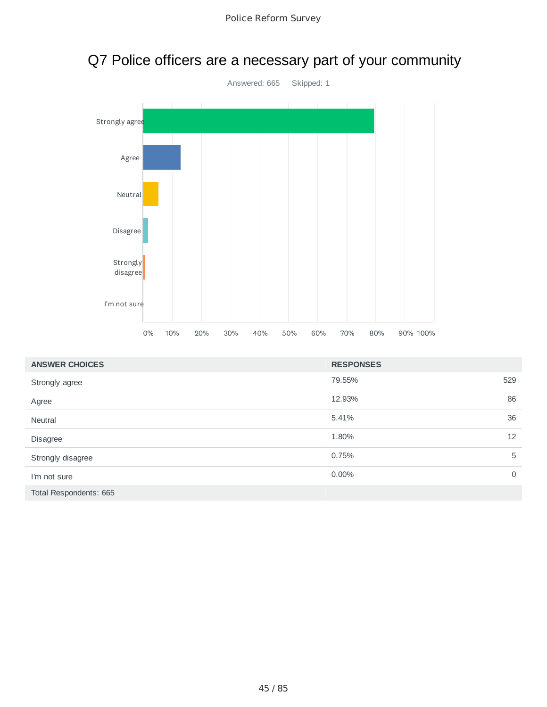

### Q7 Police officers are a necessary part of your community

| <b>ANSWER CHOICES</b>  | <b>RESPONSES</b> |             |
|------------------------|------------------|-------------|
| Strongly agree         | 79.55%           | 529         |
| Agree                  | 12.93%           | 86          |
| <b>Neutral</b>         | 5.41%            | 36          |
| Disagree               | 1.80%            | 12          |
| Strongly disagree      | 0.75%            | 5           |
| I'm not sure           | $0.00\%$         | $\mathbf 0$ |
| Total Respondents: 665 |                  |             |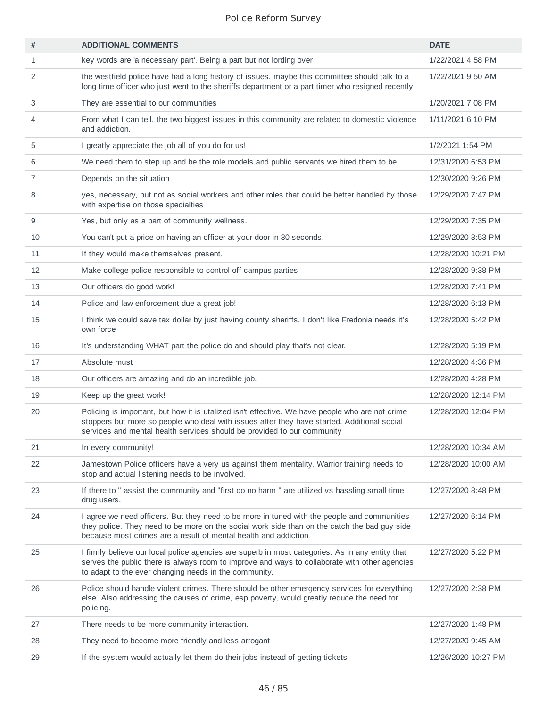| #              | <b>ADDITIONAL COMMENTS</b>                                                                                                                                                                                                                                                | <b>DATE</b>         |
|----------------|---------------------------------------------------------------------------------------------------------------------------------------------------------------------------------------------------------------------------------------------------------------------------|---------------------|
| $\mathbf{1}$   | key words are 'a necessary part'. Being a part but not lording over                                                                                                                                                                                                       | 1/22/2021 4:58 PM   |
| 2              | the westfield police have had a long history of issues. maybe this committee should talk to a<br>long time officer who just went to the sheriffs department or a part timer who resigned recently                                                                         | 1/22/2021 9:50 AM   |
| 3              | They are essential to our communities                                                                                                                                                                                                                                     | 1/20/2021 7:08 PM   |
| 4              | From what I can tell, the two biggest issues in this community are related to domestic violence<br>and addiction.                                                                                                                                                         | 1/11/2021 6:10 PM   |
| 5              | I greatly appreciate the job all of you do for us!                                                                                                                                                                                                                        | 1/2/2021 1:54 PM    |
| 6              | We need them to step up and be the role models and public servants we hired them to be                                                                                                                                                                                    | 12/31/2020 6:53 PM  |
| $\overline{7}$ | Depends on the situation                                                                                                                                                                                                                                                  | 12/30/2020 9:26 PM  |
| 8              | yes, necessary, but not as social workers and other roles that could be better handled by those<br>with expertise on those specialties                                                                                                                                    | 12/29/2020 7:47 PM  |
| 9              | Yes, but only as a part of community wellness.                                                                                                                                                                                                                            | 12/29/2020 7:35 PM  |
| 10             | You can't put a price on having an officer at your door in 30 seconds.                                                                                                                                                                                                    | 12/29/2020 3:53 PM  |
| 11             | If they would make themselves present.                                                                                                                                                                                                                                    | 12/28/2020 10:21 PM |
| 12             | Make college police responsible to control off campus parties                                                                                                                                                                                                             | 12/28/2020 9:38 PM  |
| 13             | Our officers do good work!                                                                                                                                                                                                                                                | 12/28/2020 7:41 PM  |
| 14             | Police and law enforcement due a great job!                                                                                                                                                                                                                               | 12/28/2020 6:13 PM  |
| 15             | I think we could save tax dollar by just having county sheriffs. I don't like Fredonia needs it's<br>own force                                                                                                                                                            | 12/28/2020 5:42 PM  |
| 16             | It's understanding WHAT part the police do and should play that's not clear.                                                                                                                                                                                              | 12/28/2020 5:19 PM  |
| 17             | Absolute must                                                                                                                                                                                                                                                             | 12/28/2020 4:36 PM  |
| 18             | Our officers are amazing and do an incredible job.                                                                                                                                                                                                                        | 12/28/2020 4:28 PM  |
| 19             | Keep up the great work!                                                                                                                                                                                                                                                   | 12/28/2020 12:14 PM |
| 20             | Policing is important, but how it is utalized isn't effective. We have people who are not crime<br>stoppers but more so people who deal with issues after they have started. Additional social<br>services and mental health services should be provided to our community | 12/28/2020 12:04 PM |
| 21             | In every community!                                                                                                                                                                                                                                                       | 12/28/2020 10:34 AM |
| 22             | Jamestown Police officers have a very us against them mentality. Warrior training needs to<br>stop and actual listening needs to be involved.                                                                                                                             | 12/28/2020 10:00 AM |
| 23             | If there to " assist the community and "first do no harm " are utilized vs hassling small time<br>drug users.                                                                                                                                                             | 12/27/2020 8:48 PM  |
| 24             | I agree we need officers. But they need to be more in tuned with the people and communities<br>they police. They need to be more on the social work side than on the catch the bad guy side<br>because most crimes are a result of mental health and addiction            | 12/27/2020 6:14 PM  |
| 25             | I firmly believe our local police agencies are superb in most categories. As in any entity that<br>serves the public there is always room to improve and ways to collaborate with other agencies<br>to adapt to the ever changing needs in the community.                 | 12/27/2020 5:22 PM  |
| 26             | Police should handle violent crimes. There should be other emergency services for everything<br>else. Also addressing the causes of crime, esp poverty, would greatly reduce the need for<br>policing.                                                                    | 12/27/2020 2:38 PM  |
| 27             | There needs to be more community interaction.                                                                                                                                                                                                                             | 12/27/2020 1:48 PM  |
| 28             | They need to become more friendly and less arrogant                                                                                                                                                                                                                       | 12/27/2020 9:45 AM  |
| 29             | If the system would actually let them do their jobs instead of getting tickets                                                                                                                                                                                            | 12/26/2020 10:27 PM |
|                |                                                                                                                                                                                                                                                                           |                     |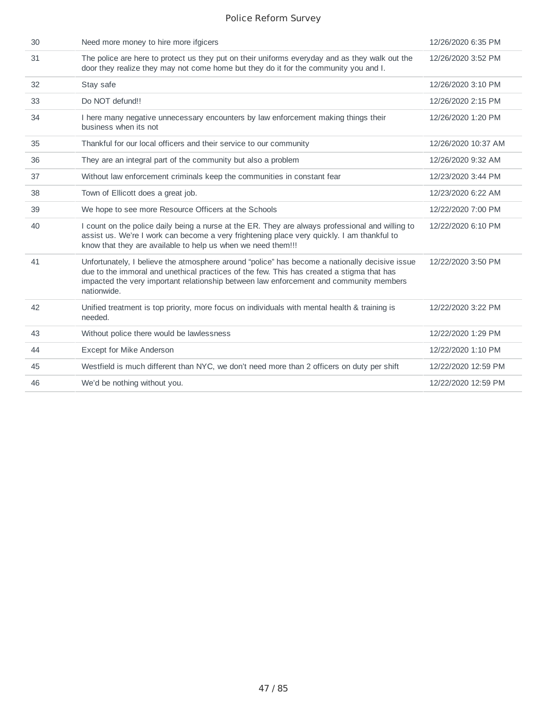| 30 | Need more money to hire more ifgicers                                                                                                                                                                                                                                                                | 12/26/2020 6:35 PM  |
|----|------------------------------------------------------------------------------------------------------------------------------------------------------------------------------------------------------------------------------------------------------------------------------------------------------|---------------------|
| 31 | The police are here to protect us they put on their uniforms everyday and as they walk out the<br>door they realize they may not come home but they do it for the community you and I.                                                                                                               | 12/26/2020 3:52 PM  |
| 32 | Stay safe                                                                                                                                                                                                                                                                                            | 12/26/2020 3:10 PM  |
| 33 | Do NOT defund!!                                                                                                                                                                                                                                                                                      | 12/26/2020 2:15 PM  |
| 34 | I here many negative unnecessary encounters by law enforcement making things their<br>business when its not                                                                                                                                                                                          | 12/26/2020 1:20 PM  |
| 35 | Thankful for our local officers and their service to our community                                                                                                                                                                                                                                   | 12/26/2020 10:37 AM |
| 36 | They are an integral part of the community but also a problem                                                                                                                                                                                                                                        | 12/26/2020 9:32 AM  |
| 37 | Without law enforcement criminals keep the communities in constant fear                                                                                                                                                                                                                              | 12/23/2020 3:44 PM  |
| 38 | Town of Ellicott does a great job.                                                                                                                                                                                                                                                                   | 12/23/2020 6:22 AM  |
| 39 | We hope to see more Resource Officers at the Schools                                                                                                                                                                                                                                                 | 12/22/2020 7:00 PM  |
| 40 | I count on the police daily being a nurse at the ER. They are always professional and willing to<br>assist us. We're I work can become a very frightening place very quickly. I am thankful to<br>know that they are available to help us when we need them!!!                                       | 12/22/2020 6:10 PM  |
| 41 | Unfortunately, I believe the atmosphere around "police" has become a nationally decisive issue<br>due to the immoral and unethical practices of the few. This has created a stigma that has<br>impacted the very important relationship between law enforcement and community members<br>nationwide. | 12/22/2020 3:50 PM  |
| 42 | Unified treatment is top priority, more focus on individuals with mental health & training is<br>needed.                                                                                                                                                                                             | 12/22/2020 3:22 PM  |
| 43 | Without police there would be lawlessness                                                                                                                                                                                                                                                            | 12/22/2020 1:29 PM  |
| 44 | Except for Mike Anderson                                                                                                                                                                                                                                                                             | 12/22/2020 1:10 PM  |
| 45 | Westfield is much different than NYC, we don't need more than 2 officers on duty per shift                                                                                                                                                                                                           | 12/22/2020 12:59 PM |
| 46 | We'd be nothing without you.                                                                                                                                                                                                                                                                         | 12/22/2020 12:59 PM |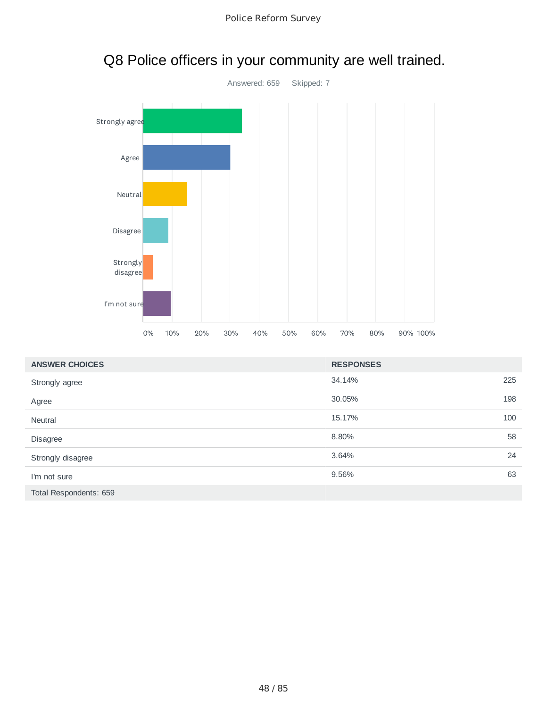



### Q8 Police officers in your community are well trained.

| <b>ANSWER CHOICES</b>  | <b>RESPONSES</b> |     |
|------------------------|------------------|-----|
| Strongly agree         | 34.14%           | 225 |
| Agree                  | 30.05%           | 198 |
| <b>Neutral</b>         | 15.17%           | 100 |
| Disagree               | 8.80%            | 58  |
| Strongly disagree      | 3.64%            | 24  |
| I'm not sure           | 9.56%            | 63  |
| Total Respondents: 659 |                  |     |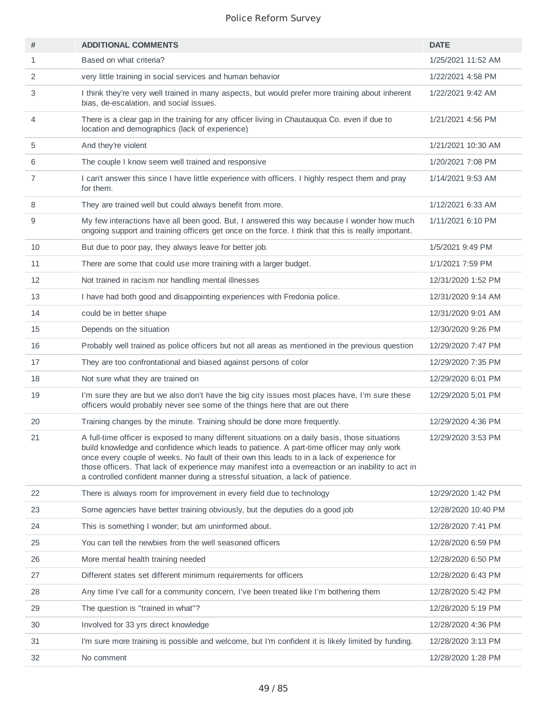| #  | <b>ADDITIONAL COMMENTS</b>                                                                                                                                                                                                                                                                                                                                                                                                                                                          | <b>DATE</b>         |
|----|-------------------------------------------------------------------------------------------------------------------------------------------------------------------------------------------------------------------------------------------------------------------------------------------------------------------------------------------------------------------------------------------------------------------------------------------------------------------------------------|---------------------|
| 1  | Based on what criteria?                                                                                                                                                                                                                                                                                                                                                                                                                                                             | 1/25/2021 11:52 AM  |
| 2  | very little training in social services and human behavior                                                                                                                                                                                                                                                                                                                                                                                                                          | 1/22/2021 4:58 PM   |
| 3  | I think they're very well trained in many aspects, but would prefer more training about inherent<br>bias, de-escalation, and social issues.                                                                                                                                                                                                                                                                                                                                         | 1/22/2021 9:42 AM   |
| 4  | There is a clear gap in the training for any officer living in Chautauqua Co. even if due to<br>location and demographics (lack of experience)                                                                                                                                                                                                                                                                                                                                      | 1/21/2021 4:56 PM   |
| 5  | And they're violent                                                                                                                                                                                                                                                                                                                                                                                                                                                                 | 1/21/2021 10:30 AM  |
| 6  | The couple I know seem well trained and responsive                                                                                                                                                                                                                                                                                                                                                                                                                                  | 1/20/2021 7:08 PM   |
| 7  | I can't answer this since I have little experience with officers. I highly respect them and pray<br>for them.                                                                                                                                                                                                                                                                                                                                                                       | 1/14/2021 9:53 AM   |
| 8  | They are trained well but could always benefit from more.                                                                                                                                                                                                                                                                                                                                                                                                                           | 1/12/2021 6:33 AM   |
| 9  | My few interactions have all been good. But, I answered this way because I wonder how much<br>ongoing support and training officers get once on the force. I think that this is really important.                                                                                                                                                                                                                                                                                   | 1/11/2021 6:10 PM   |
| 10 | But due to poor pay, they always leave for better job.                                                                                                                                                                                                                                                                                                                                                                                                                              | 1/5/2021 9:49 PM    |
| 11 | There are some that could use more training with a larger budget.                                                                                                                                                                                                                                                                                                                                                                                                                   | 1/1/2021 7:59 PM    |
| 12 | Not trained in racism nor handling mental illnesses                                                                                                                                                                                                                                                                                                                                                                                                                                 | 12/31/2020 1:52 PM  |
| 13 | I have had both good and disappointing experiences with Fredonia police.                                                                                                                                                                                                                                                                                                                                                                                                            | 12/31/2020 9:14 AM  |
| 14 | could be in better shape                                                                                                                                                                                                                                                                                                                                                                                                                                                            | 12/31/2020 9:01 AM  |
| 15 | Depends on the situation                                                                                                                                                                                                                                                                                                                                                                                                                                                            | 12/30/2020 9:26 PM  |
| 16 | Probably well trained as police officers but not all areas as mentioned in the previous question                                                                                                                                                                                                                                                                                                                                                                                    | 12/29/2020 7:47 PM  |
| 17 | They are too confrontational and biased against persons of color                                                                                                                                                                                                                                                                                                                                                                                                                    | 12/29/2020 7:35 PM  |
| 18 | Not sure what they are trained on                                                                                                                                                                                                                                                                                                                                                                                                                                                   | 12/29/2020 6:01 PM  |
| 19 | I'm sure they are but we also don't have the big city issues most places have, I'm sure these<br>officers would probably never see some of the things here that are out there                                                                                                                                                                                                                                                                                                       | 12/29/2020 5:01 PM  |
| 20 | Training changes by the minute. Training should be done more frequently.                                                                                                                                                                                                                                                                                                                                                                                                            | 12/29/2020 4:36 PM  |
| 21 | A full-time officer is exposed to many different situations on a daily basis, those situations<br>build knowledge and confidence which leads to patience. A part-time officer may only work<br>once every couple of weeks. No fault of their own this leads to in a lack of experience for<br>those officers. That lack of experience may manifest into a overreaction or an inability to act in<br>a controlled confident manner during a stressful situation, a lack of patience. | 12/29/2020 3:53 PM  |
| 22 | There is always room for improvement in every field due to technology                                                                                                                                                                                                                                                                                                                                                                                                               | 12/29/2020 1:42 PM  |
| 23 | Some agencies have better training obviously, but the deputies do a good job                                                                                                                                                                                                                                                                                                                                                                                                        | 12/28/2020 10:40 PM |
| 24 | This is something I wonder; but am uninformed about.                                                                                                                                                                                                                                                                                                                                                                                                                                | 12/28/2020 7:41 PM  |
| 25 | You can tell the newbies from the well seasoned officers                                                                                                                                                                                                                                                                                                                                                                                                                            | 12/28/2020 6:59 PM  |
| 26 | More mental health training needed                                                                                                                                                                                                                                                                                                                                                                                                                                                  | 12/28/2020 6:50 PM  |
| 27 | Different states set different minimum requirements for officers                                                                                                                                                                                                                                                                                                                                                                                                                    | 12/28/2020 6:43 PM  |
| 28 | Any time I've call for a community concern, I've been treated like I'm bothering them                                                                                                                                                                                                                                                                                                                                                                                               | 12/28/2020 5:42 PM  |
| 29 | The question is "trained in what"?                                                                                                                                                                                                                                                                                                                                                                                                                                                  | 12/28/2020 5:19 PM  |
| 30 | Involved for 33 yrs direct knowledge                                                                                                                                                                                                                                                                                                                                                                                                                                                | 12/28/2020 4:36 PM  |
| 31 | I'm sure more training is possible and welcome, but I'm confident it is likely limited by funding.                                                                                                                                                                                                                                                                                                                                                                                  | 12/28/2020 3:13 PM  |
| 32 | No comment                                                                                                                                                                                                                                                                                                                                                                                                                                                                          | 12/28/2020 1:28 PM  |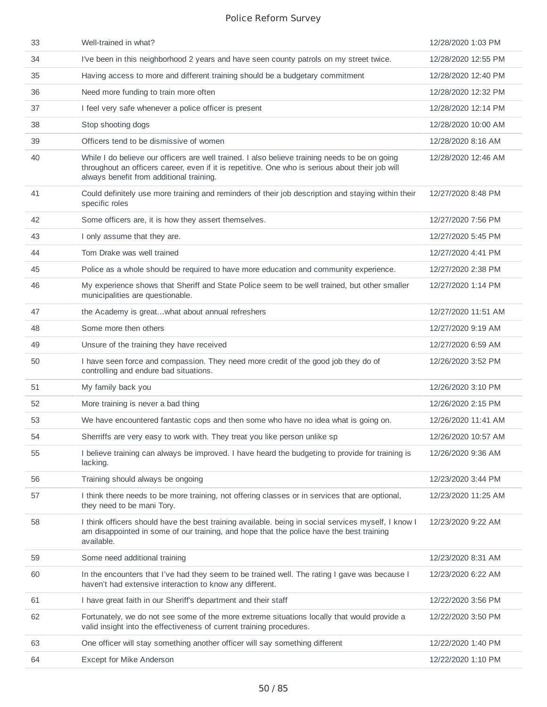| 33 | Well-trained in what?                                                                                                                                                                                                                          | 12/28/2020 1:03 PM  |
|----|------------------------------------------------------------------------------------------------------------------------------------------------------------------------------------------------------------------------------------------------|---------------------|
| 34 | I've been in this neighborhood 2 years and have seen county patrols on my street twice.                                                                                                                                                        | 12/28/2020 12:55 PM |
| 35 | Having access to more and different training should be a budgetary commitment                                                                                                                                                                  | 12/28/2020 12:40 PM |
| 36 | Need more funding to train more often                                                                                                                                                                                                          | 12/28/2020 12:32 PM |
| 37 | I feel very safe whenever a police officer is present                                                                                                                                                                                          | 12/28/2020 12:14 PM |
| 38 | Stop shooting dogs                                                                                                                                                                                                                             | 12/28/2020 10:00 AM |
| 39 | Officers tend to be dismissive of women                                                                                                                                                                                                        | 12/28/2020 8:16 AM  |
| 40 | While I do believe our officers are well trained. I also believe training needs to be on going<br>throughout an officers career, even if it is repetitive. One who is serious about their job will<br>always benefit from additional training. | 12/28/2020 12:46 AM |
| 41 | Could definitely use more training and reminders of their job description and staying within their<br>specific roles                                                                                                                           | 12/27/2020 8:48 PM  |
| 42 | Some officers are, it is how they assert themselves.                                                                                                                                                                                           | 12/27/2020 7:56 PM  |
| 43 | I only assume that they are.                                                                                                                                                                                                                   | 12/27/2020 5:45 PM  |
| 44 | Tom Drake was well trained                                                                                                                                                                                                                     | 12/27/2020 4:41 PM  |
| 45 | Police as a whole should be required to have more education and community experience.                                                                                                                                                          | 12/27/2020 2:38 PM  |
| 46 | My experience shows that Sheriff and State Police seem to be well trained, but other smaller<br>municipalities are questionable.                                                                                                               | 12/27/2020 1:14 PM  |
| 47 | the Academy is greatwhat about annual refreshers                                                                                                                                                                                               | 12/27/2020 11:51 AM |
| 48 | Some more then others                                                                                                                                                                                                                          | 12/27/2020 9:19 AM  |
| 49 | Unsure of the training they have received                                                                                                                                                                                                      | 12/27/2020 6:59 AM  |
| 50 | I have seen force and compassion. They need more credit of the good job they do of<br>controlling and endure bad situations.                                                                                                                   | 12/26/2020 3:52 PM  |
| 51 | My family back you                                                                                                                                                                                                                             | 12/26/2020 3:10 PM  |
| 52 | More training is never a bad thing                                                                                                                                                                                                             | 12/26/2020 2:15 PM  |
| 53 | We have encountered fantastic cops and then some who have no idea what is going on.                                                                                                                                                            | 12/26/2020 11:41 AM |
| 54 | Sherriffs are very easy to work with. They treat you like person unlike sp                                                                                                                                                                     | 12/26/2020 10:57 AM |
| 55 | I believe training can always be improved. I have heard the budgeting to provide for training is<br>lacking.                                                                                                                                   | 12/26/2020 9:36 AM  |
| 56 | Training should always be ongoing                                                                                                                                                                                                              | 12/23/2020 3:44 PM  |
| 57 | I think there needs to be more training, not offering classes or in services that are optional,<br>they need to be mani Tory.                                                                                                                  | 12/23/2020 11:25 AM |
| 58 | I think officers should have the best training available. being in social services myself, I know I<br>am disappointed in some of our training, and hope that the police have the best training<br>available.                                  | 12/23/2020 9:22 AM  |
| 59 | Some need additional training                                                                                                                                                                                                                  | 12/23/2020 8:31 AM  |
| 60 | In the encounters that I've had they seem to be trained well. The rating I gave was because I<br>haven't had extensive interaction to know any different.                                                                                      | 12/23/2020 6:22 AM  |
| 61 | I have great faith in our Sheriff's department and their staff                                                                                                                                                                                 | 12/22/2020 3:56 PM  |
| 62 | Fortunately, we do not see some of the more extreme situations locally that would provide a<br>valid insight into the effectiveness of current training procedures.                                                                            | 12/22/2020 3:50 PM  |
| 63 | One officer will stay something another officer will say something different                                                                                                                                                                   | 12/22/2020 1:40 PM  |
| 64 | Except for Mike Anderson                                                                                                                                                                                                                       | 12/22/2020 1:10 PM  |
|    |                                                                                                                                                                                                                                                |                     |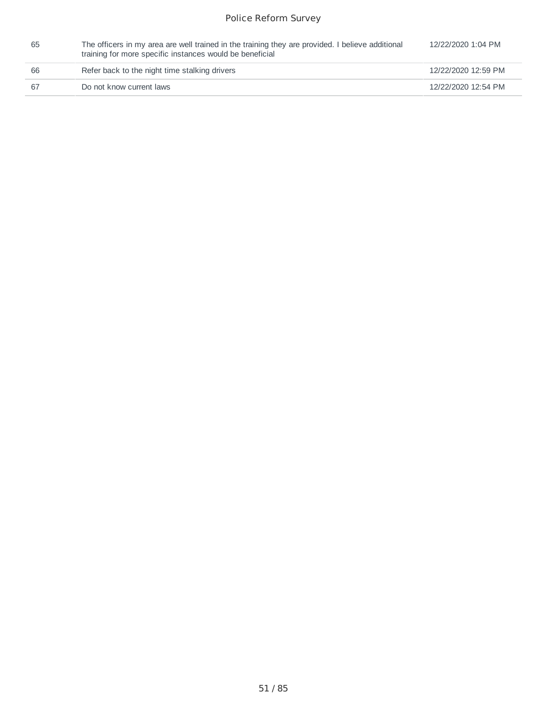| 65 | The officers in my area are well trained in the training they are provided. I believe additional<br>training for more specific instances would be beneficial | 12/22/2020 1:04 PM  |
|----|--------------------------------------------------------------------------------------------------------------------------------------------------------------|---------------------|
| 66 | Refer back to the night time stalking drivers                                                                                                                | 12/22/2020 12:59 PM |
| 67 | Do not know current laws                                                                                                                                     | 12/22/2020 12:54 PM |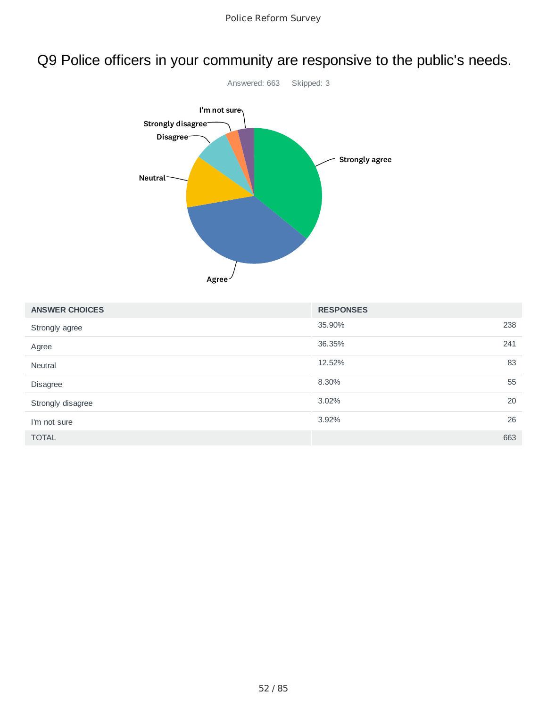### Q9 Police officers in your community are responsive to the public's needs.



| <b>ANSWER CHOICES</b> | <b>RESPONSES</b> |     |
|-----------------------|------------------|-----|
| Strongly agree        | 35.90%           | 238 |
| Agree                 | 36.35%           | 241 |
| Neutral               | 12.52%           | 83  |
| Disagree              | 8.30%            | 55  |
| Strongly disagree     | 3.02%            | 20  |
| I'm not sure          | 3.92%            | 26  |
| <b>TOTAL</b>          |                  | 663 |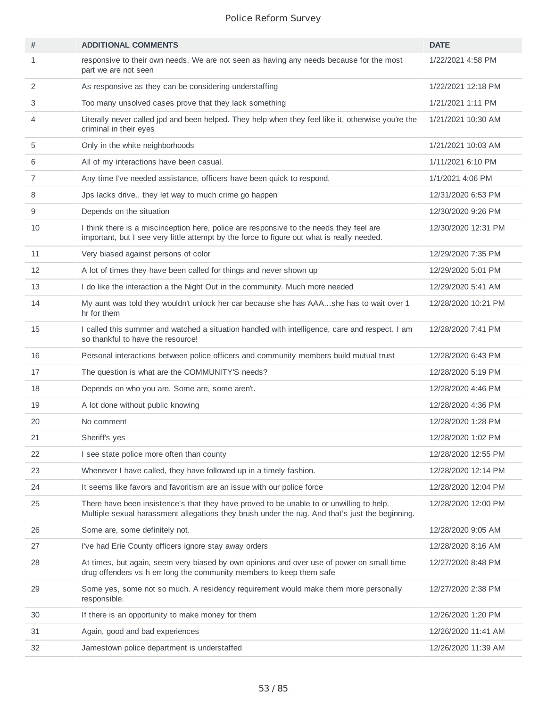| #              | <b>ADDITIONAL COMMENTS</b>                                                                                                                                                                  | <b>DATE</b>         |
|----------------|---------------------------------------------------------------------------------------------------------------------------------------------------------------------------------------------|---------------------|
| 1              | responsive to their own needs. We are not seen as having any needs because for the most<br>part we are not seen                                                                             | 1/22/2021 4:58 PM   |
| 2              | As responsive as they can be considering understaffing                                                                                                                                      | 1/22/2021 12:18 PM  |
| 3              | Too many unsolved cases prove that they lack something                                                                                                                                      | 1/21/2021 1:11 PM   |
| 4              | Literally never called jpd and been helped. They help when they feel like it, otherwise you're the<br>criminal in their eyes                                                                | 1/21/2021 10:30 AM  |
| 5              | Only in the white neighborhoods                                                                                                                                                             | 1/21/2021 10:03 AM  |
| 6              | All of my interactions have been casual.                                                                                                                                                    | 1/11/2021 6:10 PM   |
| $\overline{7}$ | Any time I've needed assistance, officers have been quick to respond.                                                                                                                       | 1/1/2021 4:06 PM    |
| 8              | Jps lacks drive they let way to much crime go happen                                                                                                                                        | 12/31/2020 6:53 PM  |
| 9              | Depends on the situation                                                                                                                                                                    | 12/30/2020 9:26 PM  |
| 10             | I think there is a miscinception here, police are responsive to the needs they feel are<br>important, but I see very little attempt by the force to figure out what is really needed.       | 12/30/2020 12:31 PM |
| 11             | Very biased against persons of color                                                                                                                                                        | 12/29/2020 7:35 PM  |
| 12             | A lot of times they have been called for things and never shown up                                                                                                                          | 12/29/2020 5:01 PM  |
| 13             | I do like the interaction a the Night Out in the community. Much more needed                                                                                                                | 12/29/2020 5:41 AM  |
| 14             | My aunt was told they wouldn't unlock her car because she has AAAshe has to wait over 1<br>hr for them                                                                                      | 12/28/2020 10:21 PM |
| 15             | I called this summer and watched a situation handled with intelligence, care and respect. I am<br>so thankful to have the resource!                                                         | 12/28/2020 7:41 PM  |
| 16             | Personal interactions between police officers and community members build mutual trust                                                                                                      | 12/28/2020 6:43 PM  |
| 17             | The question is what are the COMMUNITY'S needs?                                                                                                                                             | 12/28/2020 5:19 PM  |
| 18             | Depends on who you are. Some are, some aren't.                                                                                                                                              | 12/28/2020 4:46 PM  |
| 19             | A lot done without public knowing                                                                                                                                                           | 12/28/2020 4:36 PM  |
| 20             | No comment                                                                                                                                                                                  | 12/28/2020 1:28 PM  |
| 21             | Sheriff's yes                                                                                                                                                                               | 12/28/2020 1:02 PM  |
| 22             | I see state police more often than county                                                                                                                                                   | 12/28/2020 12:55 PM |
| 23             | Whenever I have called, they have followed up in a timely fashion.                                                                                                                          | 12/28/2020 12:14 PM |
| 24             | It seems like favors and favoritism are an issue with our police force                                                                                                                      | 12/28/2020 12:04 PM |
| 25             | There have been insistence's that they have proved to be unable to or unwilling to help.<br>Multiple sexual harassment allegations they brush under the rug. And that's just the beginning. | 12/28/2020 12:00 PM |
| 26             | Some are, some definitely not.                                                                                                                                                              | 12/28/2020 9:05 AM  |
| 27             | I've had Erie County officers ignore stay away orders                                                                                                                                       | 12/28/2020 8:16 AM  |
| 28             | At times, but again, seem very biased by own opinions and over use of power on small time<br>drug offenders vs h err long the community members to keep them safe                           | 12/27/2020 8:48 PM  |
| 29             | Some yes, some not so much. A residency requirement would make them more personally<br>responsible.                                                                                         | 12/27/2020 2:38 PM  |
| 30             | If there is an opportunity to make money for them                                                                                                                                           | 12/26/2020 1:20 PM  |
| 31             | Again, good and bad experiences                                                                                                                                                             | 12/26/2020 11:41 AM |
| 32             | Jamestown police department is understaffed                                                                                                                                                 | 12/26/2020 11:39 AM |
|                |                                                                                                                                                                                             |                     |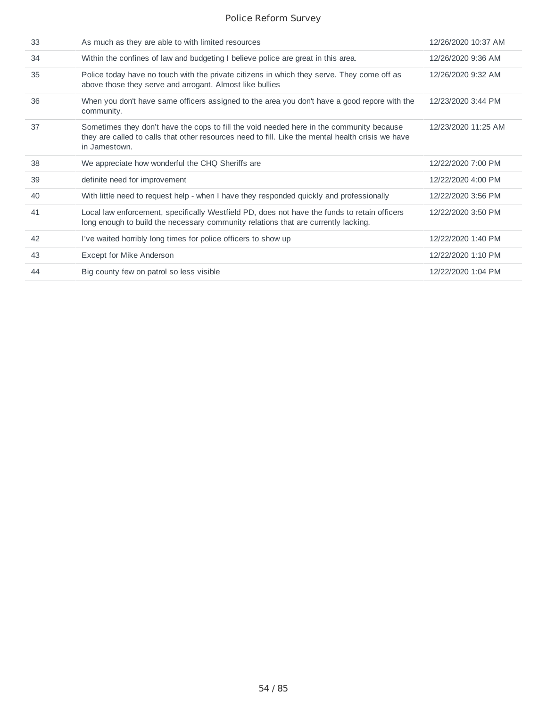| 33 | As much as they are able to with limited resources                                                                                                                                                             | 12/26/2020 10:37 AM |
|----|----------------------------------------------------------------------------------------------------------------------------------------------------------------------------------------------------------------|---------------------|
| 34 | Within the confines of law and budgeting I believe police are great in this area.                                                                                                                              | 12/26/2020 9:36 AM  |
| 35 | Police today have no touch with the private citizens in which they serve. They come off as<br>above those they serve and arrogant. Almost like bullies                                                         | 12/26/2020 9:32 AM  |
| 36 | When you don't have same officers assigned to the area you don't have a good repore with the<br>community.                                                                                                     | 12/23/2020 3:44 PM  |
| 37 | Sometimes they don't have the cops to fill the void needed here in the community because<br>they are called to calls that other resources need to fill. Like the mental health crisis we have<br>in Jamestown. | 12/23/2020 11:25 AM |
| 38 | We appreciate how wonderful the CHQ Sheriffs are.                                                                                                                                                              | 12/22/2020 7:00 PM  |
| 39 | definite need for improvement                                                                                                                                                                                  | 12/22/2020 4:00 PM  |
| 40 | With little need to request help - when I have they responded quickly and professionally                                                                                                                       | 12/22/2020 3:56 PM  |
| 41 | Local law enforcement, specifically Westfield PD, does not have the funds to retain officers<br>long enough to build the necessary community relations that are currently lacking.                             | 12/22/2020 3:50 PM  |
| 42 | I've waited horribly long times for police officers to show up                                                                                                                                                 | 12/22/2020 1:40 PM  |
| 43 | Except for Mike Anderson                                                                                                                                                                                       | 12/22/2020 1:10 PM  |
| 44 | Big county few on patrol so less visible                                                                                                                                                                       | 12/22/2020 1:04 PM  |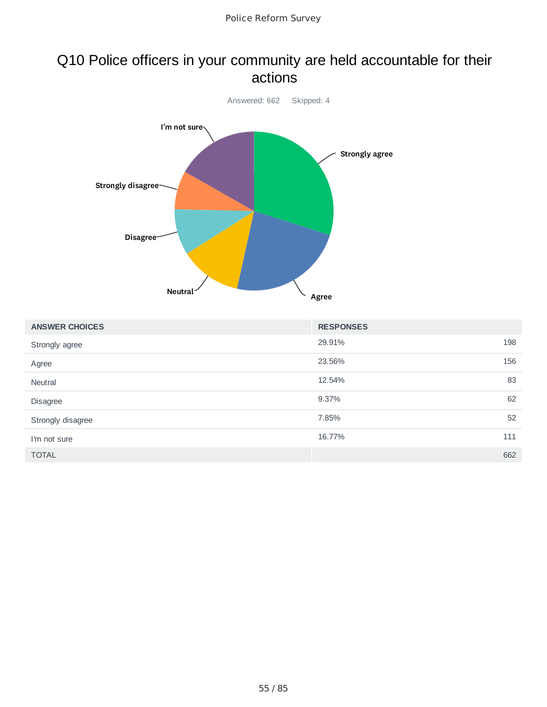### Q10 Police officers in your community are held accountable for their actions



| <b>ANSWER CHOICES</b> | <b>RESPONSES</b> |     |
|-----------------------|------------------|-----|
| Strongly agree        | 29.91%           | 198 |
| Agree                 | 23.56%           | 156 |
| <b>Neutral</b>        | 12.54%           | 83  |
| <b>Disagree</b>       | 9.37%            | 62  |
| Strongly disagree     | 7.85%            | 52  |
| I'm not sure          | 16.77%           | 111 |
| <b>TOTAL</b>          |                  | 662 |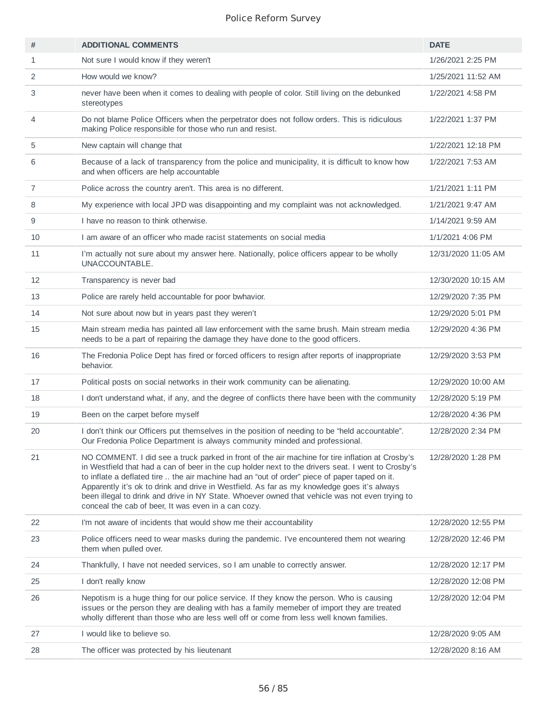| #              | <b>ADDITIONAL COMMENTS</b>                                                                                                                                                                                                                                                                                                                                                                                                                                                                                                                                     | <b>DATE</b>         |
|----------------|----------------------------------------------------------------------------------------------------------------------------------------------------------------------------------------------------------------------------------------------------------------------------------------------------------------------------------------------------------------------------------------------------------------------------------------------------------------------------------------------------------------------------------------------------------------|---------------------|
| $\mathbf{1}$   | Not sure I would know if they weren't                                                                                                                                                                                                                                                                                                                                                                                                                                                                                                                          | 1/26/2021 2:25 PM   |
| 2              | How would we know?                                                                                                                                                                                                                                                                                                                                                                                                                                                                                                                                             | 1/25/2021 11:52 AM  |
| 3              | never have been when it comes to dealing with people of color. Still living on the debunked<br>stereotypes                                                                                                                                                                                                                                                                                                                                                                                                                                                     | 1/22/2021 4:58 PM   |
| 4              | Do not blame Police Officers when the perpetrator does not follow orders. This is ridiculous<br>making Police responsible for those who run and resist.                                                                                                                                                                                                                                                                                                                                                                                                        | 1/22/2021 1:37 PM   |
| 5              | New captain will change that                                                                                                                                                                                                                                                                                                                                                                                                                                                                                                                                   | 1/22/2021 12:18 PM  |
| 6              | Because of a lack of transparency from the police and municipality, it is difficult to know how<br>and when officers are help accountable                                                                                                                                                                                                                                                                                                                                                                                                                      | 1/22/2021 7:53 AM   |
| $\overline{7}$ | Police across the country aren't. This area is no different.                                                                                                                                                                                                                                                                                                                                                                                                                                                                                                   | 1/21/2021 1:11 PM   |
| 8              | My experience with local JPD was disappointing and my complaint was not acknowledged.                                                                                                                                                                                                                                                                                                                                                                                                                                                                          | 1/21/2021 9:47 AM   |
| 9              | I have no reason to think otherwise.                                                                                                                                                                                                                                                                                                                                                                                                                                                                                                                           | 1/14/2021 9:59 AM   |
| 10             | I am aware of an officer who made racist statements on social media                                                                                                                                                                                                                                                                                                                                                                                                                                                                                            | 1/1/2021 4:06 PM    |
| 11             | I'm actually not sure about my answer here. Nationally, police officers appear to be wholly<br>UNACCOUNTABLE.                                                                                                                                                                                                                                                                                                                                                                                                                                                  | 12/31/2020 11:05 AM |
| 12             | Transparency is never bad                                                                                                                                                                                                                                                                                                                                                                                                                                                                                                                                      | 12/30/2020 10:15 AM |
| 13             | Police are rarely held accountable for poor bwhavior.                                                                                                                                                                                                                                                                                                                                                                                                                                                                                                          | 12/29/2020 7:35 PM  |
| 14             | Not sure about now but in years past they weren't                                                                                                                                                                                                                                                                                                                                                                                                                                                                                                              | 12/29/2020 5:01 PM  |
| 15             | Main stream media has painted all law enforcement with the same brush. Main stream media<br>needs to be a part of repairing the damage they have done to the good officers.                                                                                                                                                                                                                                                                                                                                                                                    | 12/29/2020 4:36 PM  |
| 16             | The Fredonia Police Dept has fired or forced officers to resign after reports of inappropriate<br>behavior.                                                                                                                                                                                                                                                                                                                                                                                                                                                    | 12/29/2020 3:53 PM  |
| 17             | Political posts on social networks in their work community can be alienating.                                                                                                                                                                                                                                                                                                                                                                                                                                                                                  | 12/29/2020 10:00 AM |
| 18             | I don't understand what, if any, and the degree of conflicts there have been with the community                                                                                                                                                                                                                                                                                                                                                                                                                                                                | 12/28/2020 5:19 PM  |
| 19             | Been on the carpet before myself                                                                                                                                                                                                                                                                                                                                                                                                                                                                                                                               | 12/28/2020 4:36 PM  |
| 20             | I don't think our Officers put themselves in the position of needing to be "held accountable".<br>Our Fredonia Police Department is always community minded and professional.                                                                                                                                                                                                                                                                                                                                                                                  | 12/28/2020 2:34 PM  |
| 21             | NO COMMENT. I did see a truck parked in front of the air machine for tire inflation at Crosby's<br>in Westfield that had a can of beer in the cup holder next to the drivers seat. I went to Crosby's<br>to inflate a deflated tire  the air machine had an "out of order" piece of paper taped on it.<br>Apparently it's ok to drink and drive in Westfield. As far as my knowledge goes it's always<br>been illegal to drink and drive in NY State. Whoever owned that vehicle was not even trying to<br>conceal the cab of beer, It was even in a can cozy. | 12/28/2020 1:28 PM  |
| 22             | I'm not aware of incidents that would show me their accountability                                                                                                                                                                                                                                                                                                                                                                                                                                                                                             | 12/28/2020 12:55 PM |
| 23             | Police officers need to wear masks during the pandemic. I've encountered them not wearing<br>them when pulled over.                                                                                                                                                                                                                                                                                                                                                                                                                                            | 12/28/2020 12:46 PM |
| 24             | Thankfully, I have not needed services, so I am unable to correctly answer.                                                                                                                                                                                                                                                                                                                                                                                                                                                                                    | 12/28/2020 12:17 PM |
| 25             | I don't really know                                                                                                                                                                                                                                                                                                                                                                                                                                                                                                                                            | 12/28/2020 12:08 PM |
| 26             | Nepotism is a huge thing for our police service. If they know the person. Who is causing<br>issues or the person they are dealing with has a family memeber of import they are treated<br>wholly different than those who are less well off or come from less well known families.                                                                                                                                                                                                                                                                             | 12/28/2020 12:04 PM |
| 27             | I would like to believe so.                                                                                                                                                                                                                                                                                                                                                                                                                                                                                                                                    | 12/28/2020 9:05 AM  |
| 28             | The officer was protected by his lieutenant                                                                                                                                                                                                                                                                                                                                                                                                                                                                                                                    | 12/28/2020 8:16 AM  |
|                |                                                                                                                                                                                                                                                                                                                                                                                                                                                                                                                                                                |                     |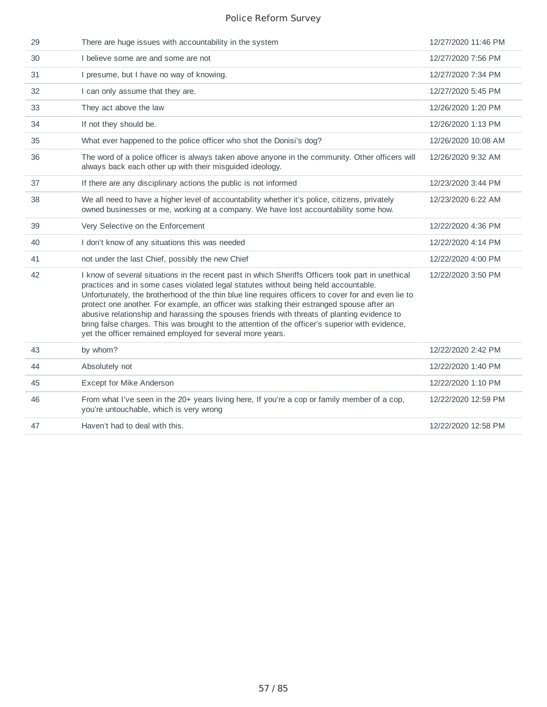| 29 | There are huge issues with accountability in the system                                                                                                                                                                                                                                                                                                                                                                                                                                                                                                                                                                                                     | 12/27/2020 11:46 PM |
|----|-------------------------------------------------------------------------------------------------------------------------------------------------------------------------------------------------------------------------------------------------------------------------------------------------------------------------------------------------------------------------------------------------------------------------------------------------------------------------------------------------------------------------------------------------------------------------------------------------------------------------------------------------------------|---------------------|
| 30 | I believe some are and some are not                                                                                                                                                                                                                                                                                                                                                                                                                                                                                                                                                                                                                         | 12/27/2020 7:56 PM  |
| 31 | I presume, but I have no way of knowing.                                                                                                                                                                                                                                                                                                                                                                                                                                                                                                                                                                                                                    | 12/27/2020 7:34 PM  |
| 32 | I can only assume that they are.                                                                                                                                                                                                                                                                                                                                                                                                                                                                                                                                                                                                                            | 12/27/2020 5:45 PM  |
| 33 | They act above the law                                                                                                                                                                                                                                                                                                                                                                                                                                                                                                                                                                                                                                      | 12/26/2020 1:20 PM  |
| 34 | If not they should be.                                                                                                                                                                                                                                                                                                                                                                                                                                                                                                                                                                                                                                      | 12/26/2020 1:13 PM  |
| 35 | What ever happened to the police officer who shot the Donisi's dog?                                                                                                                                                                                                                                                                                                                                                                                                                                                                                                                                                                                         | 12/26/2020 10:08 AM |
| 36 | The word of a police officer is always taken above anyone in the community. Other officers will<br>always back each other up with their misguided ideology.                                                                                                                                                                                                                                                                                                                                                                                                                                                                                                 | 12/26/2020 9:32 AM  |
| 37 | If there are any disciplinary actions the public is not informed                                                                                                                                                                                                                                                                                                                                                                                                                                                                                                                                                                                            | 12/23/2020 3:44 PM  |
| 38 | We all need to have a higher level of accountability whether it's police, citizens, privately<br>owned businesses or me, working at a company. We have lost accountability some how.                                                                                                                                                                                                                                                                                                                                                                                                                                                                        | 12/23/2020 6:22 AM  |
| 39 | Very Selective on the Enforcement                                                                                                                                                                                                                                                                                                                                                                                                                                                                                                                                                                                                                           | 12/22/2020 4:36 PM  |
| 40 | I don't know of any situations this was needed                                                                                                                                                                                                                                                                                                                                                                                                                                                                                                                                                                                                              | 12/22/2020 4:14 PM  |
| 41 | not under the last Chief, possibly the new Chief                                                                                                                                                                                                                                                                                                                                                                                                                                                                                                                                                                                                            | 12/22/2020 4:00 PM  |
| 42 | I know of several situations in the recent past in which Sheriffs Officers took part in unethical<br>practices and in some cases violated legal statutes without being held accountable.<br>Unfortunately, the brotherhood of the thin blue line requires officers to cover for and even lie to<br>protect one another. For example, an officer was stalking their estranged spouse after an<br>abusive relationship and harassing the spouses friends with threats of planting evidence to<br>bring false charges. This was brought to the attention of the officer's superior with evidence,<br>yet the officer remained employed for several more years. | 12/22/2020 3:50 PM  |
| 43 | by whom?                                                                                                                                                                                                                                                                                                                                                                                                                                                                                                                                                                                                                                                    | 12/22/2020 2:42 PM  |
| 44 | Absolutely not                                                                                                                                                                                                                                                                                                                                                                                                                                                                                                                                                                                                                                              | 12/22/2020 1:40 PM  |
| 45 | Except for Mike Anderson                                                                                                                                                                                                                                                                                                                                                                                                                                                                                                                                                                                                                                    | 12/22/2020 1:10 PM  |
| 46 | From what I've seen in the 20+ years living here, If you're a cop or family member of a cop,<br>you're untouchable, which is very wrong                                                                                                                                                                                                                                                                                                                                                                                                                                                                                                                     | 12/22/2020 12:59 PM |
| 47 | Haven't had to deal with this.                                                                                                                                                                                                                                                                                                                                                                                                                                                                                                                                                                                                                              | 12/22/2020 12:58 PM |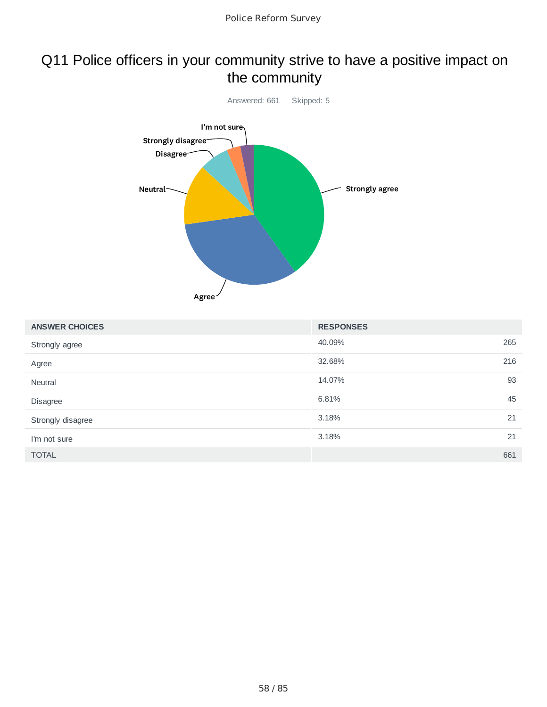### Q11 Police officers in your community strive to have a positive impact on the community



| <b>ANSWER CHOICES</b> | <b>RESPONSES</b> |     |
|-----------------------|------------------|-----|
| Strongly agree        | 40.09%           | 265 |
| Agree                 | 32.68%           | 216 |
| <b>Neutral</b>        | 14.07%           | 93  |
| Disagree              | 6.81%            | 45  |
| Strongly disagree     | 3.18%            | 21  |
| I'm not sure          | 3.18%            | 21  |
| <b>TOTAL</b>          |                  | 661 |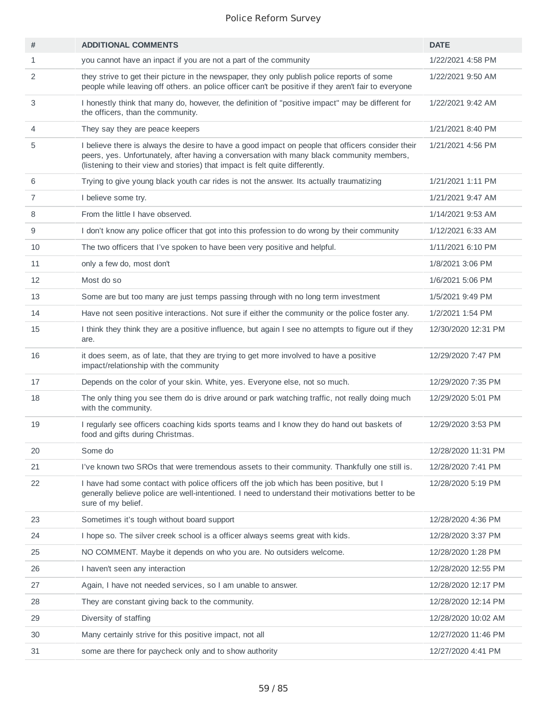| #              | <b>ADDITIONAL COMMENTS</b>                                                                                                                                                                                                                                                     | <b>DATE</b>         |
|----------------|--------------------------------------------------------------------------------------------------------------------------------------------------------------------------------------------------------------------------------------------------------------------------------|---------------------|
| $\mathbf{1}$   | you cannot have an inpact if you are not a part of the community                                                                                                                                                                                                               | 1/22/2021 4:58 PM   |
| 2              | they strive to get their picture in the newspaper, they only publish police reports of some<br>people while leaving off others. an police officer can't be positive if they aren't fair to everyone                                                                            | 1/22/2021 9:50 AM   |
| 3              | I honestly think that many do, however, the definition of "positive impact" may be different for<br>the officers, than the community.                                                                                                                                          | 1/22/2021 9:42 AM   |
| 4              | They say they are peace keepers                                                                                                                                                                                                                                                | 1/21/2021 8:40 PM   |
| 5              | I believe there is always the desire to have a good impact on people that officers consider their<br>peers, yes. Unfortunately, after having a conversation with many black community members,<br>(listening to their view and stories) that impact is felt quite differently. | 1/21/2021 4:56 PM   |
| 6              | Trying to give young black youth car rides is not the answer. Its actually traumatizing                                                                                                                                                                                        | 1/21/2021 1:11 PM   |
| $\overline{7}$ | I believe some try.                                                                                                                                                                                                                                                            | 1/21/2021 9:47 AM   |
| 8              | From the little I have observed.                                                                                                                                                                                                                                               | 1/14/2021 9:53 AM   |
| 9              | I don't know any police officer that got into this profession to do wrong by their community                                                                                                                                                                                   | 1/12/2021 6:33 AM   |
| 10             | The two officers that I've spoken to have been very positive and helpful.                                                                                                                                                                                                      | 1/11/2021 6:10 PM   |
| 11             | only a few do, most don't                                                                                                                                                                                                                                                      | 1/8/2021 3:06 PM    |
| 12             | Most do so                                                                                                                                                                                                                                                                     | 1/6/2021 5:06 PM    |
| 13             | Some are but too many are just temps passing through with no long term investment                                                                                                                                                                                              | 1/5/2021 9:49 PM    |
| 14             | Have not seen positive interactions. Not sure if either the community or the police foster any.                                                                                                                                                                                | 1/2/2021 1:54 PM    |
| 15             | I think they think they are a positive influence, but again I see no attempts to figure out if they<br>are.                                                                                                                                                                    | 12/30/2020 12:31 PM |
| 16             | it does seem, as of late, that they are trying to get more involved to have a positive<br>impact/relationship with the community                                                                                                                                               | 12/29/2020 7:47 PM  |
| 17             | Depends on the color of your skin. White, yes. Everyone else, not so much.                                                                                                                                                                                                     | 12/29/2020 7:35 PM  |
| 18             | The only thing you see them do is drive around or park watching traffic, not really doing much<br>with the community.                                                                                                                                                          | 12/29/2020 5:01 PM  |
| 19             | I regularly see officers coaching kids sports teams and I know they do hand out baskets of<br>food and gifts during Christmas.                                                                                                                                                 | 12/29/2020 3:53 PM  |
| 20             | Some do                                                                                                                                                                                                                                                                        | 12/28/2020 11:31 PM |
| 21             | I've known two SROs that were tremendous assets to their community. Thankfully one still is.                                                                                                                                                                                   | 12/28/2020 7:41 PM  |
| 22             | I have had some contact with police officers off the job which has been positive, but I<br>generally believe police are well-intentioned. I need to understand their motivations better to be<br>sure of my belief.                                                            | 12/28/2020 5:19 PM  |
| 23             | Sometimes it's tough without board support                                                                                                                                                                                                                                     | 12/28/2020 4:36 PM  |
| 24             | I hope so. The silver creek school is a officer always seems great with kids.                                                                                                                                                                                                  | 12/28/2020 3:37 PM  |
| 25             | NO COMMENT. Maybe it depends on who you are. No outsiders welcome.                                                                                                                                                                                                             | 12/28/2020 1:28 PM  |
| 26             | I haven't seen any interaction                                                                                                                                                                                                                                                 | 12/28/2020 12:55 PM |
| 27             | Again, I have not needed services, so I am unable to answer.                                                                                                                                                                                                                   | 12/28/2020 12:17 PM |
| 28             | They are constant giving back to the community.                                                                                                                                                                                                                                | 12/28/2020 12:14 PM |
| 29             | Diversity of staffing                                                                                                                                                                                                                                                          | 12/28/2020 10:02 AM |
| 30             | Many certainly strive for this positive impact, not all                                                                                                                                                                                                                        | 12/27/2020 11:46 PM |
| 31             | some are there for paycheck only and to show authority                                                                                                                                                                                                                         | 12/27/2020 4:41 PM  |
|                |                                                                                                                                                                                                                                                                                |                     |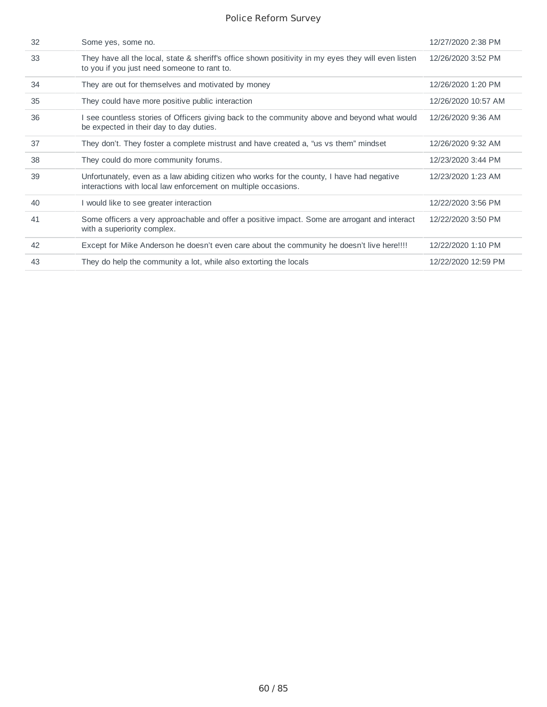| 32 | Some yes, some no.                                                                                                                                           | 12/27/2020 2:38 PM  |
|----|--------------------------------------------------------------------------------------------------------------------------------------------------------------|---------------------|
| 33 | They have all the local, state & sheriff's office shown positivity in my eyes they will even listen<br>to you if you just need someone to rant to.           | 12/26/2020 3:52 PM  |
| 34 | They are out for themselves and motivated by money                                                                                                           | 12/26/2020 1:20 PM  |
| 35 | They could have more positive public interaction                                                                                                             | 12/26/2020 10:57 AM |
| 36 | I see countless stories of Officers giving back to the community above and beyond what would<br>be expected in their day to day duties.                      | 12/26/2020 9:36 AM  |
| 37 | They don't. They foster a complete mistrust and have created a, "us vs them" mindset                                                                         | 12/26/2020 9:32 AM  |
| 38 | They could do more community forums.                                                                                                                         | 12/23/2020 3:44 PM  |
| 39 | Unfortunately, even as a law abiding citizen who works for the county, I have had negative<br>interactions with local law enforcement on multiple occasions. | 12/23/2020 1:23 AM  |
| 40 | I would like to see greater interaction                                                                                                                      | 12/22/2020 3:56 PM  |
| 41 | Some officers a very approachable and offer a positive impact. Some are arrogant and interact<br>with a superiority complex.                                 | 12/22/2020 3:50 PM  |
| 42 | Except for Mike Anderson he doesn't even care about the community he doesn't live here!!!!                                                                   | 12/22/2020 1:10 PM  |
| 43 | They do help the community a lot, while also extorting the locals                                                                                            | 12/22/2020 12:59 PM |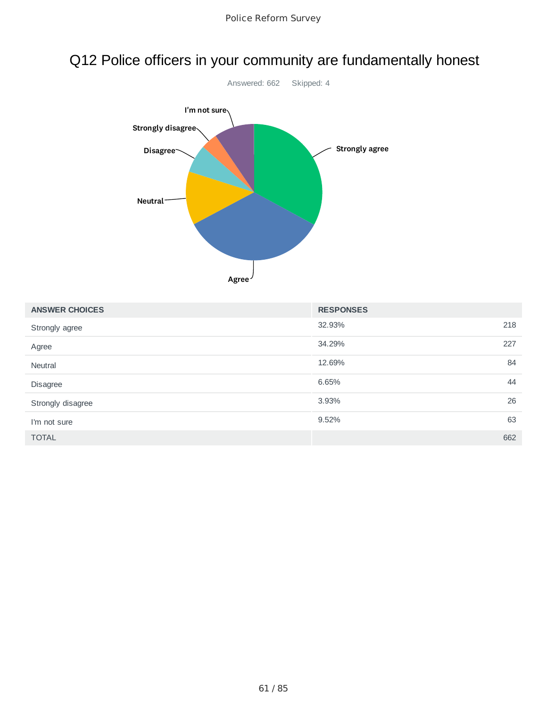## Q12 Police officers in your community are fundamentally honest



| <b>ANSWER CHOICES</b> | <b>RESPONSES</b> |     |
|-----------------------|------------------|-----|
| Strongly agree        | 32.93%           | 218 |
| Agree                 | 34.29%           | 227 |
| Neutral               | 12.69%           | 84  |
| Disagree              | 6.65%            | 44  |
| Strongly disagree     | 3.93%            | 26  |
| I'm not sure          | 9.52%            | 63  |
| <b>TOTAL</b>          |                  | 662 |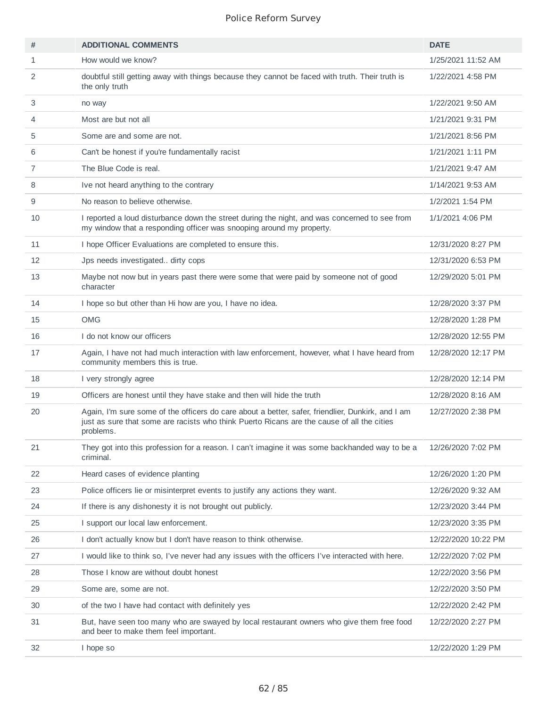| #              | <b>ADDITIONAL COMMENTS</b>                                                                                                                                                                                   | <b>DATE</b>         |
|----------------|--------------------------------------------------------------------------------------------------------------------------------------------------------------------------------------------------------------|---------------------|
| $\mathbf{1}$   | How would we know?                                                                                                                                                                                           | 1/25/2021 11:52 AM  |
| 2              | doubtful still getting away with things because they cannot be faced with truth. Their truth is<br>the only truth                                                                                            | 1/22/2021 4:58 PM   |
| 3              | no way                                                                                                                                                                                                       | 1/22/2021 9:50 AM   |
| 4              | Most are but not all                                                                                                                                                                                         | 1/21/2021 9:31 PM   |
| 5              | Some are and some are not.                                                                                                                                                                                   | 1/21/2021 8:56 PM   |
| 6              | Can't be honest if you're fundamentally racist                                                                                                                                                               | 1/21/2021 1:11 PM   |
| $\overline{7}$ | The Blue Code is real.                                                                                                                                                                                       | 1/21/2021 9:47 AM   |
| 8              | Ive not heard anything to the contrary                                                                                                                                                                       | 1/14/2021 9:53 AM   |
| 9              | No reason to believe otherwise.                                                                                                                                                                              | 1/2/2021 1:54 PM    |
| 10             | I reported a loud disturbance down the street during the night, and was concerned to see from<br>my window that a responding officer was snooping around my property.                                        | 1/1/2021 4:06 PM    |
| 11             | I hope Officer Evaluations are completed to ensure this.                                                                                                                                                     | 12/31/2020 8:27 PM  |
| 12             | Jps needs investigated dirty cops                                                                                                                                                                            | 12/31/2020 6:53 PM  |
| 13             | Maybe not now but in years past there were some that were paid by someone not of good<br>character                                                                                                           | 12/29/2020 5:01 PM  |
| 14             | I hope so but other than Hi how are you, I have no idea.                                                                                                                                                     | 12/28/2020 3:37 PM  |
| 15             | <b>OMG</b>                                                                                                                                                                                                   | 12/28/2020 1:28 PM  |
| 16             | I do not know our officers                                                                                                                                                                                   | 12/28/2020 12:55 PM |
| 17             | Again, I have not had much interaction with law enforcement, however, what I have heard from<br>community members this is true.                                                                              | 12/28/2020 12:17 PM |
| 18             | I very strongly agree                                                                                                                                                                                        | 12/28/2020 12:14 PM |
| 19             | Officers are honest until they have stake and then will hide the truth                                                                                                                                       | 12/28/2020 8:16 AM  |
| 20             | Again, I'm sure some of the officers do care about a better, safer, friendlier, Dunkirk, and I am<br>just as sure that some are racists who think Puerto Ricans are the cause of all the cities<br>problems. | 12/27/2020 2:38 PM  |
| 21             | They got into this profession for a reason. I can't imagine it was some backhanded way to be a<br>criminal.                                                                                                  | 12/26/2020 7:02 PM  |
| 22             | Heard cases of evidence planting                                                                                                                                                                             | 12/26/2020 1:20 PM  |
| 23             | Police officers lie or misinterpret events to justify any actions they want.                                                                                                                                 | 12/26/2020 9:32 AM  |
| 24             | If there is any dishonesty it is not brought out publicly.                                                                                                                                                   | 12/23/2020 3:44 PM  |
| 25             | I support our local law enforcement.                                                                                                                                                                         | 12/23/2020 3:35 PM  |
| 26             | I don't actually know but I don't have reason to think otherwise.                                                                                                                                            | 12/22/2020 10:22 PM |
| 27             | I would like to think so, I've never had any issues with the officers I've interacted with here.                                                                                                             | 12/22/2020 7:02 PM  |
| 28             | Those I know are without doubt honest                                                                                                                                                                        | 12/22/2020 3:56 PM  |
| 29             | Some are, some are not.                                                                                                                                                                                      | 12/22/2020 3:50 PM  |
| 30             | of the two I have had contact with definitely yes                                                                                                                                                            | 12/22/2020 2:42 PM  |
| 31             | But, have seen too many who are swayed by local restaurant owners who give them free food<br>and beer to make them feel important.                                                                           | 12/22/2020 2:27 PM  |
| 32             | I hope so                                                                                                                                                                                                    | 12/22/2020 1:29 PM  |
|                |                                                                                                                                                                                                              |                     |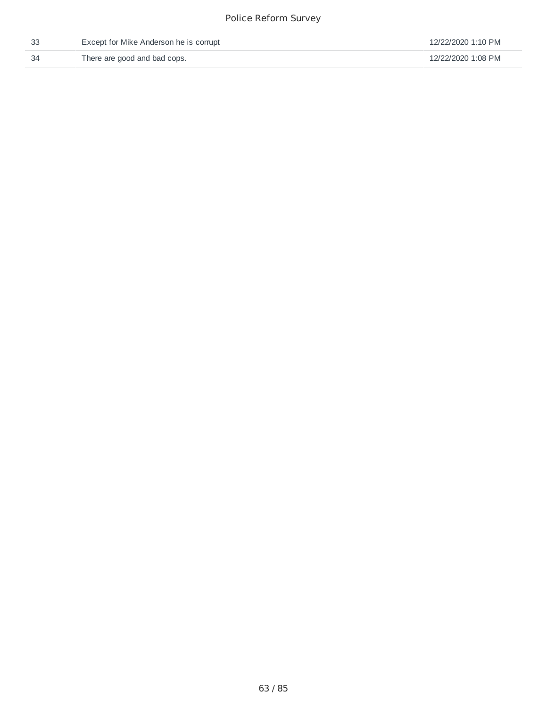| Except for Mike Anderson he is corrupt | 12/22/2020 1:10 PM |
|----------------------------------------|--------------------|
| There are good and bad cops.           | 12/22/2020 1:08 PM |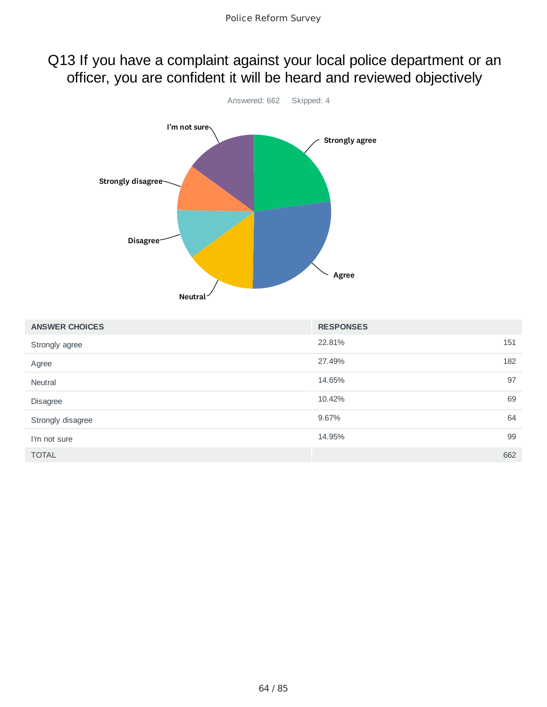### Q13 If you have a complaint against your local police department or an officer, you are confident it will be heard and reviewed objectively



| <b>ANSWER CHOICES</b> | <b>RESPONSES</b> |     |
|-----------------------|------------------|-----|
| Strongly agree        | 22.81%           | 151 |
| Agree                 | 27.49%           | 182 |
| Neutral               | 14.65%           | 97  |
| Disagree              | 10.42%           | 69  |
| Strongly disagree     | 9.67%            | 64  |
| I'm not sure          | 14.95%           | 99  |
| <b>TOTAL</b>          |                  | 662 |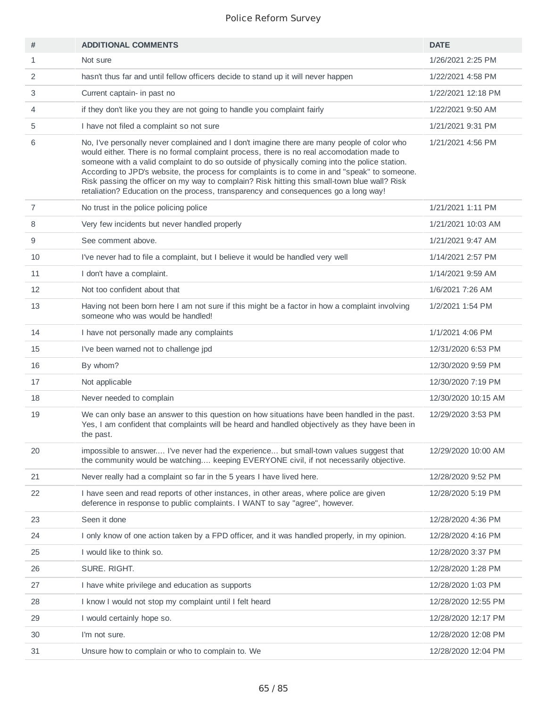| #              | <b>ADDITIONAL COMMENTS</b>                                                                                                                                                                                                                                                                                                                                                                                                                                                                                                                                                       | <b>DATE</b>         |
|----------------|----------------------------------------------------------------------------------------------------------------------------------------------------------------------------------------------------------------------------------------------------------------------------------------------------------------------------------------------------------------------------------------------------------------------------------------------------------------------------------------------------------------------------------------------------------------------------------|---------------------|
| 1              | Not sure                                                                                                                                                                                                                                                                                                                                                                                                                                                                                                                                                                         | 1/26/2021 2:25 PM   |
| 2              | hasn't thus far and until fellow officers decide to stand up it will never happen                                                                                                                                                                                                                                                                                                                                                                                                                                                                                                | 1/22/2021 4:58 PM   |
| 3              | Current captain- in past no                                                                                                                                                                                                                                                                                                                                                                                                                                                                                                                                                      | 1/22/2021 12:18 PM  |
| 4              | if they don't like you they are not going to handle you complaint fairly                                                                                                                                                                                                                                                                                                                                                                                                                                                                                                         | 1/22/2021 9:50 AM   |
| 5              | I have not filed a complaint so not sure                                                                                                                                                                                                                                                                                                                                                                                                                                                                                                                                         | 1/21/2021 9:31 PM   |
| 6              | No, I've personally never complained and I don't imagine there are many people of color who<br>would either. There is no formal complaint process, there is no real accomodation made to<br>someone with a valid complaint to do so outside of physically coming into the police station.<br>According to JPD's website, the process for complaints is to come in and "speak" to someone.<br>Risk passing the officer on my way to complain? Risk hitting this small-town blue wall? Risk<br>retaliation? Education on the process, transparency and consequences go a long way! | 1/21/2021 4:56 PM   |
| $\overline{7}$ | No trust in the police policing police                                                                                                                                                                                                                                                                                                                                                                                                                                                                                                                                           | 1/21/2021 1:11 PM   |
| 8              | Very few incidents but never handled properly                                                                                                                                                                                                                                                                                                                                                                                                                                                                                                                                    | 1/21/2021 10:03 AM  |
| 9              | See comment above.                                                                                                                                                                                                                                                                                                                                                                                                                                                                                                                                                               | 1/21/2021 9:47 AM   |
| 10             | I've never had to file a complaint, but I believe it would be handled very well                                                                                                                                                                                                                                                                                                                                                                                                                                                                                                  | 1/14/2021 2:57 PM   |
| 11             | I don't have a complaint.                                                                                                                                                                                                                                                                                                                                                                                                                                                                                                                                                        | 1/14/2021 9:59 AM   |
| 12             | Not too confident about that                                                                                                                                                                                                                                                                                                                                                                                                                                                                                                                                                     | 1/6/2021 7:26 AM    |
| 13             | Having not been born here I am not sure if this might be a factor in how a complaint involving<br>someone who was would be handled!                                                                                                                                                                                                                                                                                                                                                                                                                                              | 1/2/2021 1:54 PM    |
| 14             | I have not personally made any complaints                                                                                                                                                                                                                                                                                                                                                                                                                                                                                                                                        | 1/1/2021 4:06 PM    |
| 15             | I've been warned not to challenge jpd                                                                                                                                                                                                                                                                                                                                                                                                                                                                                                                                            | 12/31/2020 6:53 PM  |
| 16             | By whom?                                                                                                                                                                                                                                                                                                                                                                                                                                                                                                                                                                         | 12/30/2020 9:59 PM  |
| 17             | Not applicable                                                                                                                                                                                                                                                                                                                                                                                                                                                                                                                                                                   | 12/30/2020 7:19 PM  |
| 18             | Never needed to complain                                                                                                                                                                                                                                                                                                                                                                                                                                                                                                                                                         | 12/30/2020 10:15 AM |
| 19             | We can only base an answer to this question on how situations have been handled in the past.<br>Yes, I am confident that complaints will be heard and handled objectively as they have been in<br>the past.                                                                                                                                                                                                                                                                                                                                                                      | 12/29/2020 3:53 PM  |
| 20             | impossible to answer I've never had the experience but small-town values suggest that<br>the community would be watching keeping EVERYONE civil, if not necessarily objective.                                                                                                                                                                                                                                                                                                                                                                                                   | 12/29/2020 10:00 AM |
| 21             | Never really had a complaint so far in the 5 years I have lived here.                                                                                                                                                                                                                                                                                                                                                                                                                                                                                                            | 12/28/2020 9:52 PM  |
| 22             | I have seen and read reports of other instances, in other areas, where police are given<br>deference in response to public complaints. I WANT to say "agree", however.                                                                                                                                                                                                                                                                                                                                                                                                           | 12/28/2020 5:19 PM  |
| 23             | Seen it done                                                                                                                                                                                                                                                                                                                                                                                                                                                                                                                                                                     | 12/28/2020 4:36 PM  |
| 24             | I only know of one action taken by a FPD officer, and it was handled properly, in my opinion.                                                                                                                                                                                                                                                                                                                                                                                                                                                                                    | 12/28/2020 4:16 PM  |
| 25             | I would like to think so.                                                                                                                                                                                                                                                                                                                                                                                                                                                                                                                                                        | 12/28/2020 3:37 PM  |
| 26             | SURE. RIGHT.                                                                                                                                                                                                                                                                                                                                                                                                                                                                                                                                                                     | 12/28/2020 1:28 PM  |
| 27             | I have white privilege and education as supports                                                                                                                                                                                                                                                                                                                                                                                                                                                                                                                                 | 12/28/2020 1:03 PM  |
| 28             | I know I would not stop my complaint until I felt heard                                                                                                                                                                                                                                                                                                                                                                                                                                                                                                                          | 12/28/2020 12:55 PM |
| 29             | I would certainly hope so.                                                                                                                                                                                                                                                                                                                                                                                                                                                                                                                                                       | 12/28/2020 12:17 PM |
| 30             | I'm not sure.                                                                                                                                                                                                                                                                                                                                                                                                                                                                                                                                                                    | 12/28/2020 12:08 PM |
| 31             | Unsure how to complain or who to complain to. We                                                                                                                                                                                                                                                                                                                                                                                                                                                                                                                                 | 12/28/2020 12:04 PM |
|                |                                                                                                                                                                                                                                                                                                                                                                                                                                                                                                                                                                                  |                     |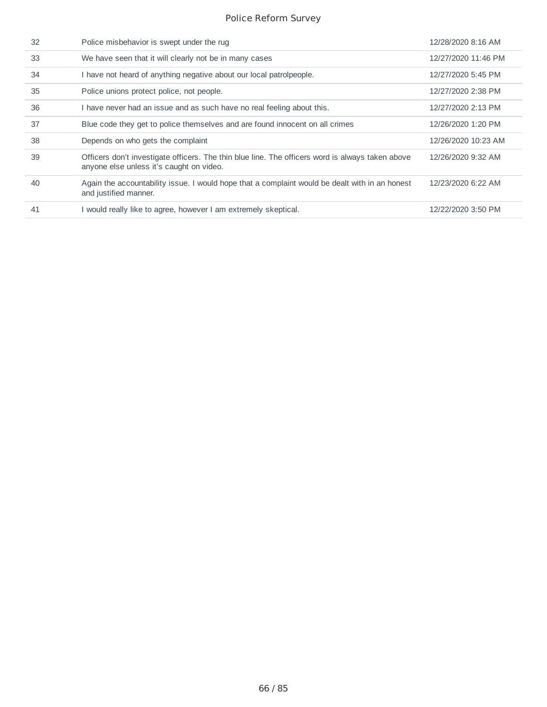| 32 | Police misbehavior is swept under the rug                                                                                                    | 12/28/2020 8:16 AM  |
|----|----------------------------------------------------------------------------------------------------------------------------------------------|---------------------|
| 33 | We have seen that it will clearly not be in many cases                                                                                       | 12/27/2020 11:46 PM |
| 34 | I have not heard of anything negative about our local patrolpeople.                                                                          | 12/27/2020 5:45 PM  |
| 35 | Police unions protect police, not people.                                                                                                    | 12/27/2020 2:38 PM  |
| 36 | I have never had an issue and as such have no real feeling about this.                                                                       | 12/27/2020 2:13 PM  |
| 37 | Blue code they get to police themselves and are found innocent on all crimes                                                                 | 12/26/2020 1:20 PM  |
| 38 | Depends on who gets the complaint                                                                                                            | 12/26/2020 10:23 AM |
| 39 | Officers don't investigate officers. The thin blue line. The officers word is always taken above<br>anyone else unless it's caught on video. | 12/26/2020 9:32 AM  |
| 40 | Again the accountability issue. I would hope that a complaint would be dealt with in an honest<br>and justified manner.                      | 12/23/2020 6:22 AM  |
| 41 | I would really like to agree, however I am extremely skeptical.                                                                              | 12/22/2020 3:50 PM  |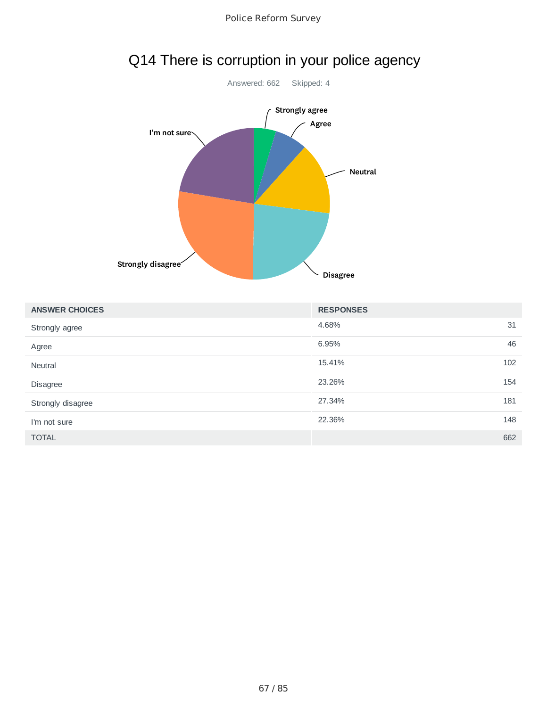



# Q14 There is corruption in your police agency

| <b>ANSWER CHOICES</b> | <b>RESPONSES</b> |     |
|-----------------------|------------------|-----|
| Strongly agree        | 4.68%            | 31  |
| Agree                 | 6.95%            | 46  |
| Neutral               | 15.41%           | 102 |
| Disagree              | 23.26%           | 154 |
| Strongly disagree     | 27.34%           | 181 |
| I'm not sure          | 22.36%           | 148 |
| <b>TOTAL</b>          |                  | 662 |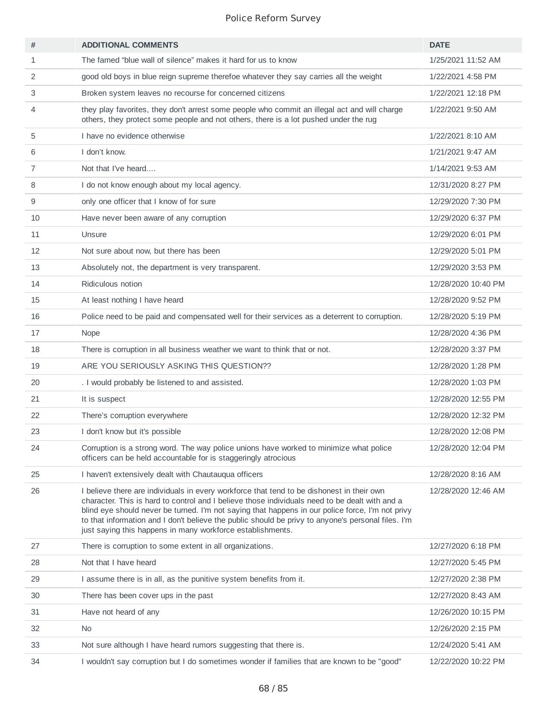| #              | <b>ADDITIONAL COMMENTS</b>                                                                                                                                                                                                                                                                                                                                                                                                                                          | <b>DATE</b>         |
|----------------|---------------------------------------------------------------------------------------------------------------------------------------------------------------------------------------------------------------------------------------------------------------------------------------------------------------------------------------------------------------------------------------------------------------------------------------------------------------------|---------------------|
| 1              | The famed "blue wall of silence" makes it hard for us to know                                                                                                                                                                                                                                                                                                                                                                                                       | 1/25/2021 11:52 AM  |
| 2              | good old boys in blue reign supreme therefoe whatever they say carries all the weight                                                                                                                                                                                                                                                                                                                                                                               | 1/22/2021 4:58 PM   |
| 3              | Broken system leaves no recourse for concerned citizens                                                                                                                                                                                                                                                                                                                                                                                                             | 1/22/2021 12:18 PM  |
| 4              | they play favorites, they don't arrest some people who commit an illegal act and will charge<br>others, they protect some people and not others, there is a lot pushed under the rug                                                                                                                                                                                                                                                                                | 1/22/2021 9:50 AM   |
| 5              | I have no evidence otherwise                                                                                                                                                                                                                                                                                                                                                                                                                                        | 1/22/2021 8:10 AM   |
| 6              | I don't know.                                                                                                                                                                                                                                                                                                                                                                                                                                                       | 1/21/2021 9:47 AM   |
| $\overline{7}$ | Not that I've heard                                                                                                                                                                                                                                                                                                                                                                                                                                                 | 1/14/2021 9:53 AM   |
| 8              | I do not know enough about my local agency.                                                                                                                                                                                                                                                                                                                                                                                                                         | 12/31/2020 8:27 PM  |
| 9              | only one officer that I know of for sure                                                                                                                                                                                                                                                                                                                                                                                                                            | 12/29/2020 7:30 PM  |
| 10             | Have never been aware of any corruption                                                                                                                                                                                                                                                                                                                                                                                                                             | 12/29/2020 6:37 PM  |
| 11             | Unsure                                                                                                                                                                                                                                                                                                                                                                                                                                                              | 12/29/2020 6:01 PM  |
| 12             | Not sure about now, but there has been                                                                                                                                                                                                                                                                                                                                                                                                                              | 12/29/2020 5:01 PM  |
| 13             | Absolutely not, the department is very transparent.                                                                                                                                                                                                                                                                                                                                                                                                                 | 12/29/2020 3:53 PM  |
| 14             | Ridiculous notion                                                                                                                                                                                                                                                                                                                                                                                                                                                   | 12/28/2020 10:40 PM |
| 15             | At least nothing I have heard                                                                                                                                                                                                                                                                                                                                                                                                                                       | 12/28/2020 9:52 PM  |
| 16             | Police need to be paid and compensated well for their services as a deterrent to corruption.                                                                                                                                                                                                                                                                                                                                                                        | 12/28/2020 5:19 PM  |
| 17             | Nope                                                                                                                                                                                                                                                                                                                                                                                                                                                                | 12/28/2020 4:36 PM  |
| 18             | There is corruption in all business weather we want to think that or not.                                                                                                                                                                                                                                                                                                                                                                                           | 12/28/2020 3:37 PM  |
| 19             | ARE YOU SERIOUSLY ASKING THIS QUESTION??                                                                                                                                                                                                                                                                                                                                                                                                                            | 12/28/2020 1:28 PM  |
| 20             | . I would probably be listened to and assisted.                                                                                                                                                                                                                                                                                                                                                                                                                     | 12/28/2020 1:03 PM  |
| 21             | It is suspect                                                                                                                                                                                                                                                                                                                                                                                                                                                       | 12/28/2020 12:55 PM |
| 22             | There's corruption everywhere                                                                                                                                                                                                                                                                                                                                                                                                                                       | 12/28/2020 12:32 PM |
| 23             | I don't know but it's possible                                                                                                                                                                                                                                                                                                                                                                                                                                      | 12/28/2020 12:08 PM |
| 24             | Corruption is a strong word. The way police unions have worked to minimize what police<br>officers can be held accountable for is staggeringly atrocious                                                                                                                                                                                                                                                                                                            | 12/28/2020 12:04 PM |
| 25             | I haven't extensively dealt with Chautauqua officers                                                                                                                                                                                                                                                                                                                                                                                                                | 12/28/2020 8:16 AM  |
| 26             | I believe there are individuals in every workforce that tend to be dishonest in their own<br>character. This is hard to control and I believe those individuals need to be dealt with and a<br>blind eye should never be turned. I'm not saying that happens in our police force, I'm not privy<br>to that information and I don't believe the public should be privy to anyone's personal files. I'm<br>just saying this happens in many workforce establishments. | 12/28/2020 12:46 AM |
| 27             | There is corruption to some extent in all organizations.                                                                                                                                                                                                                                                                                                                                                                                                            | 12/27/2020 6:18 PM  |
| 28             | Not that I have heard                                                                                                                                                                                                                                                                                                                                                                                                                                               | 12/27/2020 5:45 PM  |
| 29             | I assume there is in all, as the punitive system benefits from it.                                                                                                                                                                                                                                                                                                                                                                                                  | 12/27/2020 2:38 PM  |
| 30             | There has been cover ups in the past                                                                                                                                                                                                                                                                                                                                                                                                                                | 12/27/2020 8:43 AM  |
| 31             | Have not heard of any                                                                                                                                                                                                                                                                                                                                                                                                                                               | 12/26/2020 10:15 PM |
| 32             | <b>No</b>                                                                                                                                                                                                                                                                                                                                                                                                                                                           | 12/26/2020 2:15 PM  |
| 33             | Not sure although I have heard rumors suggesting that there is.                                                                                                                                                                                                                                                                                                                                                                                                     | 12/24/2020 5:41 AM  |
| 34             | I wouldn't say corruption but I do sometimes wonder if families that are known to be "good"                                                                                                                                                                                                                                                                                                                                                                         | 12/22/2020 10:22 PM |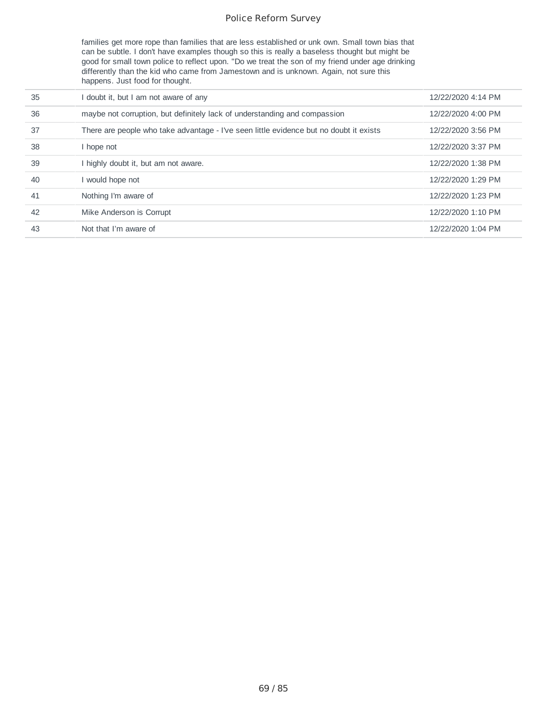families get more rope than families that are less established or unk own. Small town bias that can be subtle. I don't have examples though so this is really a baseless thought but might be good for small town police to reflect upon. "Do we treat the son of my friend under age drinking differently than the kid who came from Jamestown and is unknown. Again, not sure this happens. Just food for thought.

| 35 | doubt it, but I am not aware of any                                                    | 12/22/2020 4:14 PM |
|----|----------------------------------------------------------------------------------------|--------------------|
| 36 | maybe not corruption, but definitely lack of understanding and compassion              | 12/22/2020 4:00 PM |
| 37 | There are people who take advantage - I've seen little evidence but no doubt it exists | 12/22/2020 3:56 PM |
| 38 | l hope not                                                                             | 12/22/2020 3:37 PM |
| 39 | highly doubt it, but am not aware.                                                     | 12/22/2020 1:38 PM |
| 40 | would hope not                                                                         | 12/22/2020 1:29 PM |
| 41 | Nothing I'm aware of                                                                   | 12/22/2020 1:23 PM |
| 42 | Mike Anderson is Corrupt                                                               | 12/22/2020 1:10 PM |
| 43 | Not that I'm aware of                                                                  | 12/22/2020 1:04 PM |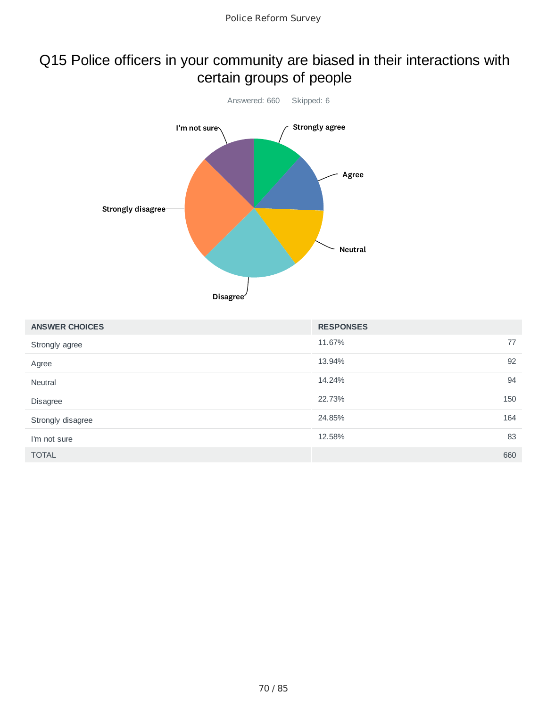### Q15 Police officers in your community are biased in their interactions with certain groups of people



| <b>ANSWER CHOICES</b> | <b>RESPONSES</b> |     |
|-----------------------|------------------|-----|
| Strongly agree        | 11.67%           | 77  |
| Agree                 | 13.94%           | 92  |
| <b>Neutral</b>        | 14.24%           | 94  |
| Disagree              | 22.73%           | 150 |
| Strongly disagree     | 24.85%           | 164 |
| I'm not sure          | 12.58%           | 83  |
| <b>TOTAL</b>          |                  | 660 |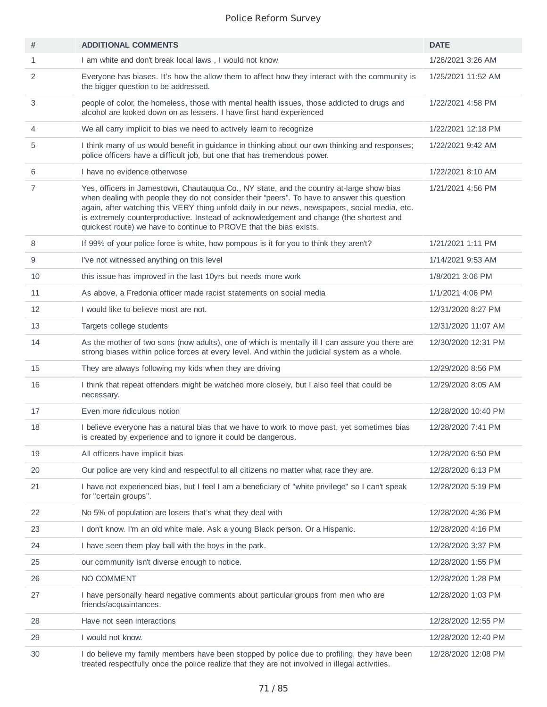| #            | <b>ADDITIONAL COMMENTS</b>                                                                                                                                                                                                                                                                                                                                                                                                                                  | <b>DATE</b>         |
|--------------|-------------------------------------------------------------------------------------------------------------------------------------------------------------------------------------------------------------------------------------------------------------------------------------------------------------------------------------------------------------------------------------------------------------------------------------------------------------|---------------------|
| $\mathbf{1}$ | I am white and don't break local laws, I would not know                                                                                                                                                                                                                                                                                                                                                                                                     | 1/26/2021 3:26 AM   |
| 2            | Everyone has biases. It's how the allow them to affect how they interact with the community is<br>the bigger question to be addressed.                                                                                                                                                                                                                                                                                                                      | 1/25/2021 11:52 AM  |
| 3            | people of color, the homeless, those with mental health issues, those addicted to drugs and<br>alcohol are looked down on as lessers. I have first hand experienced                                                                                                                                                                                                                                                                                         | 1/22/2021 4:58 PM   |
| 4            | We all carry implicit to bias we need to actively learn to recognize                                                                                                                                                                                                                                                                                                                                                                                        | 1/22/2021 12:18 PM  |
| 5            | I think many of us would benefit in guidance in thinking about our own thinking and responses;<br>police officers have a difficult job, but one that has tremendous power.                                                                                                                                                                                                                                                                                  | 1/22/2021 9:42 AM   |
| 6            | I have no evidence otherwose                                                                                                                                                                                                                                                                                                                                                                                                                                | 1/22/2021 8:10 AM   |
| 7            | Yes, officers in Jamestown, Chautauqua Co., NY state, and the country at-large show bias<br>when dealing with people they do not consider their "peers". To have to answer this question<br>again, after watching this VERY thing unfold daily in our news, newspapers, social media, etc.<br>is extremely counterproductive. Instead of acknowledgement and change (the shortest and<br>quickest route) we have to continue to PROVE that the bias exists. | 1/21/2021 4:56 PM   |
| 8            | If 99% of your police force is white, how pompous is it for you to think they aren't?                                                                                                                                                                                                                                                                                                                                                                       | 1/21/2021 1:11 PM   |
| 9            | I've not witnessed anything on this level                                                                                                                                                                                                                                                                                                                                                                                                                   | 1/14/2021 9:53 AM   |
| 10           | this issue has improved in the last 10yrs but needs more work                                                                                                                                                                                                                                                                                                                                                                                               | 1/8/2021 3:06 PM    |
| 11           | As above, a Fredonia officer made racist statements on social media                                                                                                                                                                                                                                                                                                                                                                                         | 1/1/2021 4:06 PM    |
| 12           | I would like to believe most are not.                                                                                                                                                                                                                                                                                                                                                                                                                       | 12/31/2020 8:27 PM  |
| 13           | Targets college students                                                                                                                                                                                                                                                                                                                                                                                                                                    | 12/31/2020 11:07 AM |
| 14           | As the mother of two sons (now adults), one of which is mentally ill I can assure you there are<br>strong biases within police forces at every level. And within the judicial system as a whole.                                                                                                                                                                                                                                                            | 12/30/2020 12:31 PM |
| 15           | They are always following my kids when they are driving                                                                                                                                                                                                                                                                                                                                                                                                     | 12/29/2020 8:56 PM  |
| 16           | I think that repeat offenders might be watched more closely, but I also feel that could be<br>necessary.                                                                                                                                                                                                                                                                                                                                                    | 12/29/2020 8:05 AM  |
| 17           | Even more ridiculous notion                                                                                                                                                                                                                                                                                                                                                                                                                                 | 12/28/2020 10:40 PM |
| 18           | I believe everyone has a natural bias that we have to work to move past, yet sometimes bias<br>is created by experience and to ignore it could be dangerous.                                                                                                                                                                                                                                                                                                | 12/28/2020 7:41 PM  |
| 19           | All officers have implicit bias                                                                                                                                                                                                                                                                                                                                                                                                                             | 12/28/2020 6:50 PM  |
| 20           | Our police are very kind and respectful to all citizens no matter what race they are.                                                                                                                                                                                                                                                                                                                                                                       | 12/28/2020 6:13 PM  |
| 21           | I have not experienced bias, but I feel I am a beneficiary of "white privilege" so I can't speak<br>for "certain groups".                                                                                                                                                                                                                                                                                                                                   | 12/28/2020 5:19 PM  |
| 22           | No 5% of population are losers that's what they deal with                                                                                                                                                                                                                                                                                                                                                                                                   | 12/28/2020 4:36 PM  |
| 23           | I don't know. I'm an old white male. Ask a young Black person. Or a Hispanic.                                                                                                                                                                                                                                                                                                                                                                               | 12/28/2020 4:16 PM  |
| 24           | I have seen them play ball with the boys in the park.                                                                                                                                                                                                                                                                                                                                                                                                       | 12/28/2020 3:37 PM  |
| 25           | our community isn't diverse enough to notice.                                                                                                                                                                                                                                                                                                                                                                                                               | 12/28/2020 1:55 PM  |
| 26           | NO COMMENT                                                                                                                                                                                                                                                                                                                                                                                                                                                  | 12/28/2020 1:28 PM  |
| 27           | I have personally heard negative comments about particular groups from men who are<br>friends/acquaintances.                                                                                                                                                                                                                                                                                                                                                | 12/28/2020 1:03 PM  |
| 28           | Have not seen interactions                                                                                                                                                                                                                                                                                                                                                                                                                                  | 12/28/2020 12:55 PM |
| 29           | I would not know.                                                                                                                                                                                                                                                                                                                                                                                                                                           | 12/28/2020 12:40 PM |
| 30           | I do believe my family members have been stopped by police due to profiling, they have been<br>treated respectfully once the police realize that they are not involved in illegal activities.                                                                                                                                                                                                                                                               | 12/28/2020 12:08 PM |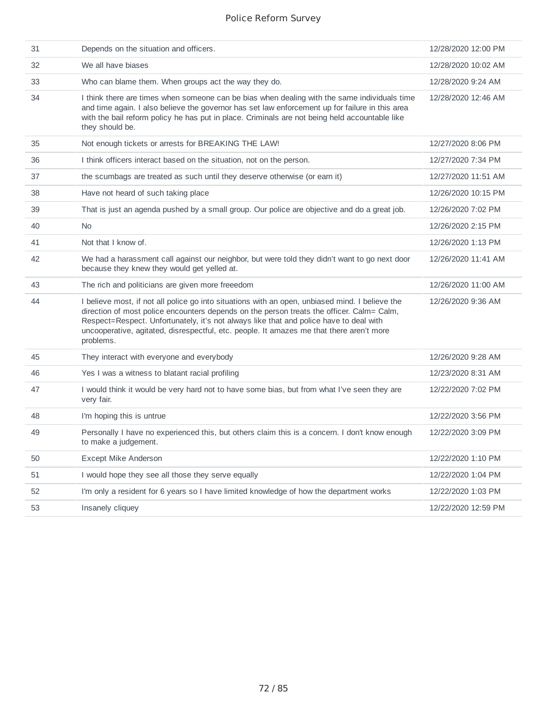| 31 | Depends on the situation and officers.                                                                                                                                                                                                                                                                                                                                                          | 12/28/2020 12:00 PM |
|----|-------------------------------------------------------------------------------------------------------------------------------------------------------------------------------------------------------------------------------------------------------------------------------------------------------------------------------------------------------------------------------------------------|---------------------|
| 32 | We all have biases                                                                                                                                                                                                                                                                                                                                                                              | 12/28/2020 10:02 AM |
| 33 | Who can blame them. When groups act the way they do.                                                                                                                                                                                                                                                                                                                                            | 12/28/2020 9:24 AM  |
| 34 | I think there are times when someone can be bias when dealing with the same individuals time<br>and time again. I also believe the governor has set law enforcement up for failure in this area<br>with the bail reform policy he has put in place. Criminals are not being held accountable like<br>they should be.                                                                            | 12/28/2020 12:46 AM |
| 35 | Not enough tickets or arrests for BREAKING THE LAW!                                                                                                                                                                                                                                                                                                                                             | 12/27/2020 8:06 PM  |
| 36 | I think officers interact based on the situation, not on the person.                                                                                                                                                                                                                                                                                                                            | 12/27/2020 7:34 PM  |
| 37 | the scumbags are treated as such until they deserve otherwise (or earn it)                                                                                                                                                                                                                                                                                                                      | 12/27/2020 11:51 AM |
| 38 | Have not heard of such taking place                                                                                                                                                                                                                                                                                                                                                             | 12/26/2020 10:15 PM |
| 39 | That is just an agenda pushed by a small group. Our police are objective and do a great job.                                                                                                                                                                                                                                                                                                    | 12/26/2020 7:02 PM  |
| 40 | <b>No</b>                                                                                                                                                                                                                                                                                                                                                                                       | 12/26/2020 2:15 PM  |
| 41 | Not that I know of.                                                                                                                                                                                                                                                                                                                                                                             | 12/26/2020 1:13 PM  |
| 42 | We had a harassment call against our neighbor, but were told they didn't want to go next door<br>because they knew they would get yelled at.                                                                                                                                                                                                                                                    | 12/26/2020 11:41 AM |
| 43 | The rich and politicians are given more freeedom                                                                                                                                                                                                                                                                                                                                                | 12/26/2020 11:00 AM |
| 44 | I believe most, if not all police go into situations with an open, unbiased mind. I believe the<br>direction of most police encounters depends on the person treats the officer. Calm= Calm,<br>Respect=Respect. Unfortunately, it's not always like that and police have to deal with<br>uncooperative, agitated, disrespectful, etc. people. It amazes me that there aren't more<br>problems. | 12/26/2020 9:36 AM  |
| 45 | They interact with everyone and everybody                                                                                                                                                                                                                                                                                                                                                       | 12/26/2020 9:28 AM  |
| 46 | Yes I was a witness to blatant racial profiling                                                                                                                                                                                                                                                                                                                                                 | 12/23/2020 8:31 AM  |
| 47 | I would think it would be very hard not to have some bias, but from what I've seen they are<br>very fair.                                                                                                                                                                                                                                                                                       | 12/22/2020 7:02 PM  |
| 48 | I'm hoping this is untrue                                                                                                                                                                                                                                                                                                                                                                       | 12/22/2020 3:56 PM  |
| 49 | Personally I have no experienced this, but others claim this is a concern. I don't know enough<br>to make a judgement.                                                                                                                                                                                                                                                                          | 12/22/2020 3:09 PM  |
| 50 | <b>Except Mike Anderson</b>                                                                                                                                                                                                                                                                                                                                                                     | 12/22/2020 1:10 PM  |
| 51 | I would hope they see all those they serve equally                                                                                                                                                                                                                                                                                                                                              | 12/22/2020 1:04 PM  |
| 52 | I'm only a resident for 6 years so I have limited knowledge of how the department works                                                                                                                                                                                                                                                                                                         | 12/22/2020 1:03 PM  |
| 53 | Insanely cliquey                                                                                                                                                                                                                                                                                                                                                                                | 12/22/2020 12:59 PM |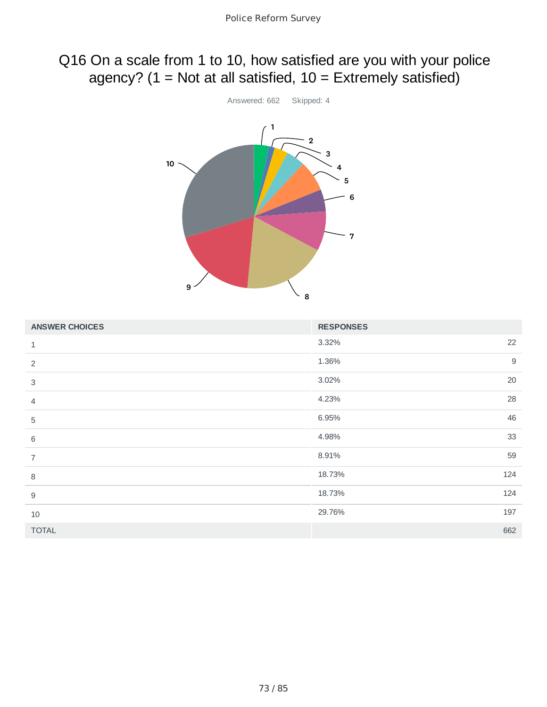## Q16 On a scale from 1 to 10, how satisfied are you with your police agency? ( $1 = Not$  at all satisfied,  $10 = Extremely$  satisfied)



| <b>ANSWER CHOICES</b> | <b>RESPONSES</b> |
|-----------------------|------------------|
| $\mathbf 1$           | 22<br>3.32%      |
| 2                     | $9$<br>1.36%     |
| 3                     | 20<br>3.02%      |
| 4                     | 28<br>4.23%      |
| 5                     | 46<br>6.95%      |
| 6                     | 33<br>4.98%      |
| $\overline{7}$        | 59<br>8.91%      |
| $\, 8$                | 124<br>18.73%    |
| 9                     | 18.73%<br>124    |
| 10                    | 197<br>29.76%    |
| <b>TOTAL</b>          | 662              |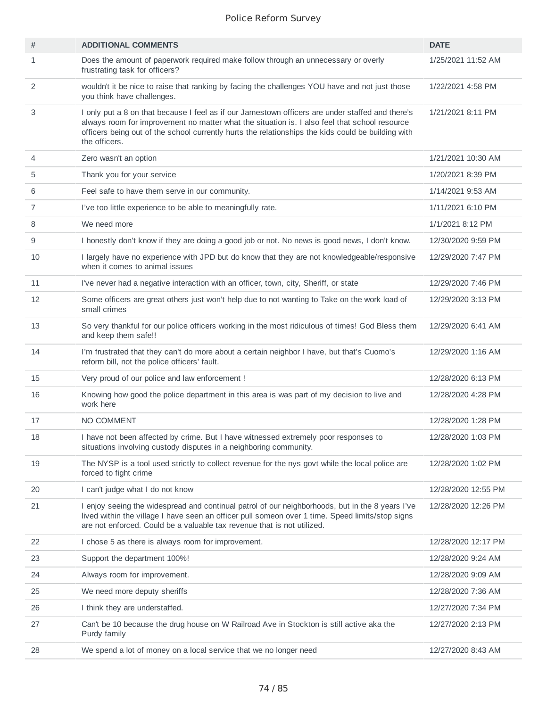| #              | <b>ADDITIONAL COMMENTS</b>                                                                                                                                                                                                                                                                                               | <b>DATE</b>         |
|----------------|--------------------------------------------------------------------------------------------------------------------------------------------------------------------------------------------------------------------------------------------------------------------------------------------------------------------------|---------------------|
| 1              | Does the amount of paperwork required make follow through an unnecessary or overly<br>frustrating task for officers?                                                                                                                                                                                                     | 1/25/2021 11:52 AM  |
| 2              | wouldn't it be nice to raise that ranking by facing the challenges YOU have and not just those<br>you think have challenges.                                                                                                                                                                                             | 1/22/2021 4:58 PM   |
| 3              | I only put a 8 on that because I feel as if our Jamestown officers are under staffed and there's<br>always room for improvement no matter what the situation is. I also feel that school resource<br>officers being out of the school currently hurts the relationships the kids could be building with<br>the officers. | 1/21/2021 8:11 PM   |
| 4              | Zero wasn't an option                                                                                                                                                                                                                                                                                                    | 1/21/2021 10:30 AM  |
| 5              | Thank you for your service                                                                                                                                                                                                                                                                                               | 1/20/2021 8:39 PM   |
| 6              | Feel safe to have them serve in our community.                                                                                                                                                                                                                                                                           | 1/14/2021 9:53 AM   |
| $\overline{7}$ | I've too little experience to be able to meaningfully rate.                                                                                                                                                                                                                                                              | 1/11/2021 6:10 PM   |
| 8              | We need more                                                                                                                                                                                                                                                                                                             | 1/1/2021 8:12 PM    |
| 9              | I honestly don't know if they are doing a good job or not. No news is good news, I don't know.                                                                                                                                                                                                                           | 12/30/2020 9:59 PM  |
| 10             | I largely have no experience with JPD but do know that they are not knowledgeable/responsive<br>when it comes to animal issues                                                                                                                                                                                           | 12/29/2020 7:47 PM  |
| 11             | I've never had a negative interaction with an officer, town, city, Sheriff, or state                                                                                                                                                                                                                                     | 12/29/2020 7:46 PM  |
| 12             | Some officers are great others just won't help due to not wanting to Take on the work load of<br>small crimes                                                                                                                                                                                                            | 12/29/2020 3:13 PM  |
| 13             | So very thankful for our police officers working in the most ridiculous of times! God Bless them<br>and keep them safe!!                                                                                                                                                                                                 | 12/29/2020 6:41 AM  |
| 14             | I'm frustrated that they can't do more about a certain neighbor I have, but that's Cuomo's<br>reform bill, not the police officers' fault.                                                                                                                                                                               | 12/29/2020 1:16 AM  |
| 15             | Very proud of our police and law enforcement !                                                                                                                                                                                                                                                                           | 12/28/2020 6:13 PM  |
| 16             | Knowing how good the police department in this area is was part of my decision to live and<br>work here                                                                                                                                                                                                                  | 12/28/2020 4:28 PM  |
| 17             | NO COMMENT                                                                                                                                                                                                                                                                                                               | 12/28/2020 1:28 PM  |
| 18             | I have not been affected by crime. But I have witnessed extremely poor responses to<br>situations involving custody disputes in a neighboring community.                                                                                                                                                                 | 12/28/2020 1:03 PM  |
| 19             | The NYSP is a tool used strictly to collect revenue for the nys govt while the local police are<br>forced to fight crime                                                                                                                                                                                                 | 12/28/2020 1:02 PM  |
| 20             | I can't judge what I do not know                                                                                                                                                                                                                                                                                         | 12/28/2020 12:55 PM |
| 21             | I enjoy seeing the widespread and continual patrol of our neighborhoods, but in the 8 years I've<br>lived within the village I have seen an officer pull someon over 1 time. Speed limits/stop signs<br>are not enforced. Could be a valuable tax revenue that is not utilized.                                          | 12/28/2020 12:26 PM |
| 22             | I chose 5 as there is always room for improvement.                                                                                                                                                                                                                                                                       | 12/28/2020 12:17 PM |
| 23             | Support the department 100%!                                                                                                                                                                                                                                                                                             | 12/28/2020 9:24 AM  |
| 24             | Always room for improvement.                                                                                                                                                                                                                                                                                             | 12/28/2020 9:09 AM  |
| 25             | We need more deputy sheriffs                                                                                                                                                                                                                                                                                             | 12/28/2020 7:36 AM  |
| 26             | I think they are understaffed.                                                                                                                                                                                                                                                                                           | 12/27/2020 7:34 PM  |
| 27             | Can't be 10 because the drug house on W Railroad Ave in Stockton is still active aka the<br>Purdy family                                                                                                                                                                                                                 | 12/27/2020 2:13 PM  |
| 28             | We spend a lot of money on a local service that we no longer need                                                                                                                                                                                                                                                        | 12/27/2020 8:43 AM  |
|                |                                                                                                                                                                                                                                                                                                                          |                     |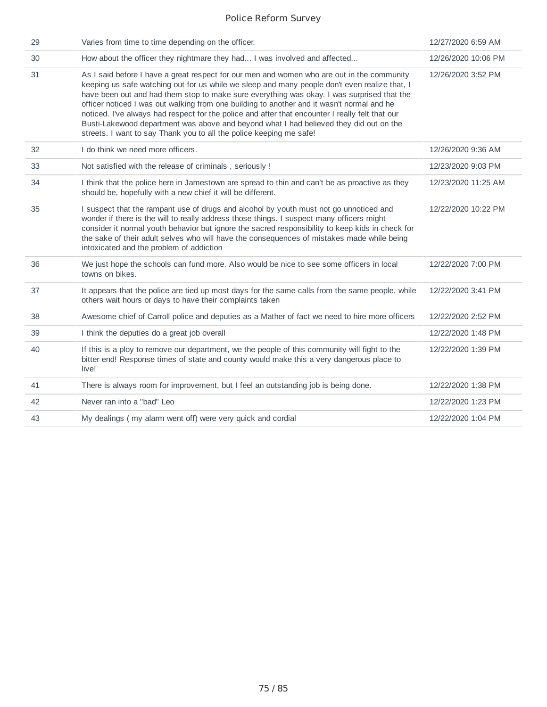| 29 | Varies from time to time depending on the officer.                                                                                                                                                                                                                                                                                                                                                                                                                                                                                                                                                                                                          | 12/27/2020 6:59 AM  |
|----|-------------------------------------------------------------------------------------------------------------------------------------------------------------------------------------------------------------------------------------------------------------------------------------------------------------------------------------------------------------------------------------------------------------------------------------------------------------------------------------------------------------------------------------------------------------------------------------------------------------------------------------------------------------|---------------------|
| 30 | How about the officer they nightmare they had I was involved and affected                                                                                                                                                                                                                                                                                                                                                                                                                                                                                                                                                                                   | 12/26/2020 10:06 PM |
| 31 | As I said before I have a great respect for our men and women who are out in the community<br>keeping us safe watching out for us while we sleep and many people don't even realize that, I<br>have been out and had them stop to make sure everything was okay. I was surprised that the<br>officer noticed I was out walking from one building to another and it wasn't normal and he<br>noticed. I've always had respect for the police and after that encounter I really felt that our<br>Busti-Lakewood department was above and beyond what I had believed they did out on the<br>streets. I want to say Thank you to all the police keeping me safe! | 12/26/2020 3:52 PM  |
| 32 | I do think we need more officers.                                                                                                                                                                                                                                                                                                                                                                                                                                                                                                                                                                                                                           | 12/26/2020 9:36 AM  |
| 33 | Not satisfied with the release of criminals, seriously !                                                                                                                                                                                                                                                                                                                                                                                                                                                                                                                                                                                                    | 12/23/2020 9:03 PM  |
| 34 | I think that the police here in Jamestown are spread to thin and can't be as proactive as they<br>should be, hopefully with a new chief it will be different.                                                                                                                                                                                                                                                                                                                                                                                                                                                                                               | 12/23/2020 11:25 AM |
| 35 | I suspect that the rampant use of drugs and alcohol by youth must not go unnoticed and<br>wonder if there is the will to really address those things. I suspect many officers might<br>consider it normal youth behavior but ignore the sacred responsibility to keep kids in check for<br>the sake of their adult selves who will have the consequences of mistakes made while being<br>intoxicated and the problem of addiction                                                                                                                                                                                                                           | 12/22/2020 10:22 PM |
| 36 | We just hope the schools can fund more. Also would be nice to see some officers in local<br>towns on bikes.                                                                                                                                                                                                                                                                                                                                                                                                                                                                                                                                                 | 12/22/2020 7:00 PM  |
| 37 | It appears that the police are tied up most days for the same calls from the same people, while<br>others wait hours or days to have their complaints taken                                                                                                                                                                                                                                                                                                                                                                                                                                                                                                 | 12/22/2020 3:41 PM  |
| 38 | Awesome chief of Carroll police and deputies as a Mather of fact we need to hire more officers                                                                                                                                                                                                                                                                                                                                                                                                                                                                                                                                                              | 12/22/2020 2:52 PM  |
| 39 | I think the deputies do a great job overall                                                                                                                                                                                                                                                                                                                                                                                                                                                                                                                                                                                                                 | 12/22/2020 1:48 PM  |
| 40 | If this is a ploy to remove our department, we the people of this community will fight to the<br>bitter end! Response times of state and county would make this a very dangerous place to<br>live!                                                                                                                                                                                                                                                                                                                                                                                                                                                          | 12/22/2020 1:39 PM  |
| 41 | There is always room for improvement, but I feel an outstanding job is being done.                                                                                                                                                                                                                                                                                                                                                                                                                                                                                                                                                                          | 12/22/2020 1:38 PM  |
| 42 | Never ran into a "bad" Leo                                                                                                                                                                                                                                                                                                                                                                                                                                                                                                                                                                                                                                  | 12/22/2020 1:23 PM  |
| 43 | My dealings (my alarm went off) were very quick and cordial                                                                                                                                                                                                                                                                                                                                                                                                                                                                                                                                                                                                 | 12/22/2020 1:04 PM  |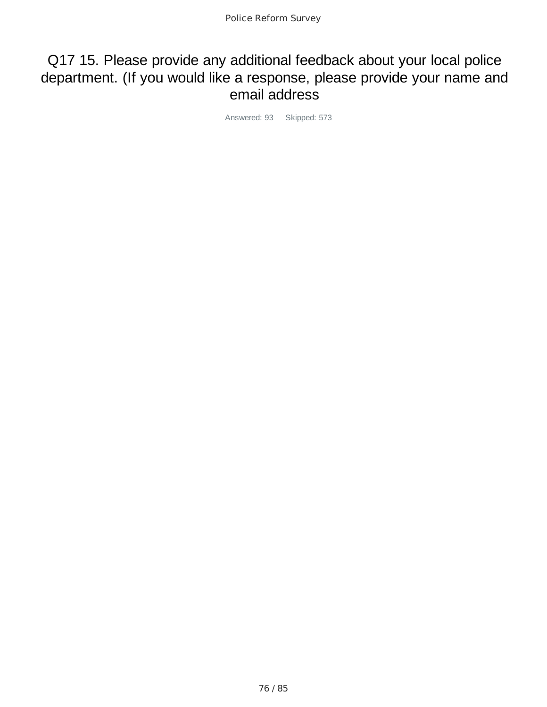### Q17 15. Please provide any additional feedback about your local police department. (If you would like a response, please provide your name and email address

Answered: 93 Skipped: 573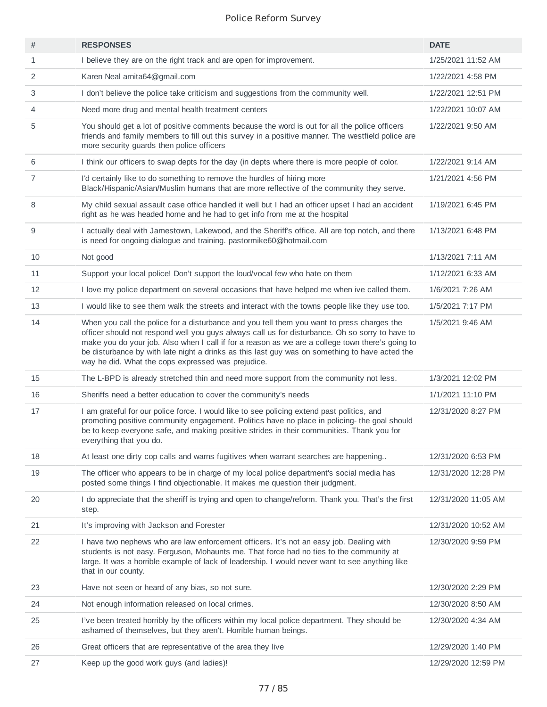| #              | <b>RESPONSES</b>                                                                                                                                                                                                                                                                                                                                                                                                                                          | <b>DATE</b>         |
|----------------|-----------------------------------------------------------------------------------------------------------------------------------------------------------------------------------------------------------------------------------------------------------------------------------------------------------------------------------------------------------------------------------------------------------------------------------------------------------|---------------------|
| $\mathbf{1}$   | I believe they are on the right track and are open for improvement.                                                                                                                                                                                                                                                                                                                                                                                       | 1/25/2021 11:52 AM  |
| 2              | Karen Neal arnita64@gmail.com                                                                                                                                                                                                                                                                                                                                                                                                                             | 1/22/2021 4:58 PM   |
| 3              | I don't believe the police take criticism and suggestions from the community well.                                                                                                                                                                                                                                                                                                                                                                        | 1/22/2021 12:51 PM  |
| 4              | Need more drug and mental health treatment centers                                                                                                                                                                                                                                                                                                                                                                                                        | 1/22/2021 10:07 AM  |
| 5              | You should get a lot of positive comments because the word is out for all the police officers<br>friends and family members to fill out this survey in a positive manner. The westfield police are<br>more security guards then police officers                                                                                                                                                                                                           | 1/22/2021 9:50 AM   |
| 6              | I think our officers to swap depts for the day (in depts where there is more people of color.                                                                                                                                                                                                                                                                                                                                                             | 1/22/2021 9:14 AM   |
| $\overline{7}$ | I'd certainly like to do something to remove the hurdles of hiring more<br>Black/Hispanic/Asian/Muslim humans that are more reflective of the community they serve.                                                                                                                                                                                                                                                                                       | 1/21/2021 4:56 PM   |
| 8              | My child sexual assault case office handled it well but I had an officer upset I had an accident<br>right as he was headed home and he had to get info from me at the hospital                                                                                                                                                                                                                                                                            | 1/19/2021 6:45 PM   |
| 9              | I actually deal with Jamestown, Lakewood, and the Sheriff's office. All are top notch, and there<br>is need for ongoing dialogue and training. pastormike60@hotmail.com                                                                                                                                                                                                                                                                                   | 1/13/2021 6:48 PM   |
| 10             | Not good                                                                                                                                                                                                                                                                                                                                                                                                                                                  | 1/13/2021 7:11 AM   |
| 11             | Support your local police! Don't support the loud/vocal few who hate on them                                                                                                                                                                                                                                                                                                                                                                              | 1/12/2021 6:33 AM   |
| 12             | I love my police department on several occasions that have helped me when ive called them.                                                                                                                                                                                                                                                                                                                                                                | 1/6/2021 7:26 AM    |
| 13             | I would like to see them walk the streets and interact with the towns people like they use too.                                                                                                                                                                                                                                                                                                                                                           | 1/5/2021 7:17 PM    |
| 14             | When you call the police for a disturbance and you tell them you want to press charges the<br>officer should not respond well you guys always call us for disturbance. Oh so sorry to have to<br>make you do your job. Also when I call if for a reason as we are a college town there's going to<br>be disturbance by with late night a drinks as this last guy was on something to have acted the<br>way he did. What the cops expressed was prejudice. | 1/5/2021 9:46 AM    |
| 15             | The L-BPD is already stretched thin and need more support from the community not less.                                                                                                                                                                                                                                                                                                                                                                    | 1/3/2021 12:02 PM   |
| 16             | Sheriffs need a better education to cover the community's needs                                                                                                                                                                                                                                                                                                                                                                                           | 1/1/2021 11:10 PM   |
| 17             | I am grateful for our police force. I would like to see policing extend past politics, and<br>promoting positive community engagement. Politics have no place in policing- the goal should<br>be to keep everyone safe, and making positive strides in their communities. Thank you for<br>everything that you do.                                                                                                                                        | 12/31/2020 8:27 PM  |
| 18             | At least one dirty cop calls and warns fugitives when warrant searches are happening                                                                                                                                                                                                                                                                                                                                                                      | 12/31/2020 6:53 PM  |
| 19             | The officer who appears to be in charge of my local police department's social media has<br>posted some things I find objectionable. It makes me question their judgment.                                                                                                                                                                                                                                                                                 | 12/31/2020 12:28 PM |
| 20             | I do appreciate that the sheriff is trying and open to change/reform. Thank you. That's the first<br>step.                                                                                                                                                                                                                                                                                                                                                | 12/31/2020 11:05 AM |
| 21             | It's improving with Jackson and Forester                                                                                                                                                                                                                                                                                                                                                                                                                  | 12/31/2020 10:52 AM |
| 22             | I have two nephews who are law enforcement officers. It's not an easy job. Dealing with<br>students is not easy. Ferguson, Mohaunts me. That force had no ties to the community at<br>large. It was a horrible example of lack of leadership. I would never want to see anything like<br>that in our county.                                                                                                                                              | 12/30/2020 9:59 PM  |
| 23             | Have not seen or heard of any bias, so not sure.                                                                                                                                                                                                                                                                                                                                                                                                          | 12/30/2020 2:29 PM  |
| 24             | Not enough information released on local crimes.                                                                                                                                                                                                                                                                                                                                                                                                          | 12/30/2020 8:50 AM  |
| 25             | I've been treated horribly by the officers within my local police department. They should be<br>ashamed of themselves, but they aren't. Horrible human beings.                                                                                                                                                                                                                                                                                            | 12/30/2020 4:34 AM  |
| 26             | Great officers that are representative of the area they live                                                                                                                                                                                                                                                                                                                                                                                              | 12/29/2020 1:40 PM  |
| 27             | Keep up the good work guys (and ladies)!                                                                                                                                                                                                                                                                                                                                                                                                                  | 12/29/2020 12:59 PM |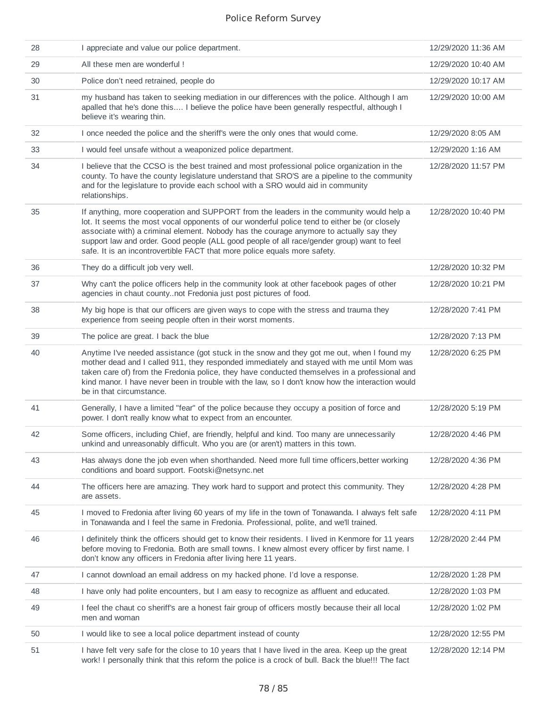| 28 | I appreciate and value our police department.                                                                                                                                                                                                                                                                                                                                                                                                                  | 12/29/2020 11:36 AM |
|----|----------------------------------------------------------------------------------------------------------------------------------------------------------------------------------------------------------------------------------------------------------------------------------------------------------------------------------------------------------------------------------------------------------------------------------------------------------------|---------------------|
| 29 | All these men are wonderful !                                                                                                                                                                                                                                                                                                                                                                                                                                  | 12/29/2020 10:40 AM |
| 30 | Police don't need retrained, people do                                                                                                                                                                                                                                                                                                                                                                                                                         | 12/29/2020 10:17 AM |
| 31 | my husband has taken to seeking mediation in our differences with the police. Although I am<br>apalled that he's done this I believe the police have been generally respectful, although I<br>believe it's wearing thin.                                                                                                                                                                                                                                       | 12/29/2020 10:00 AM |
| 32 | I once needed the police and the sheriff's were the only ones that would come.                                                                                                                                                                                                                                                                                                                                                                                 | 12/29/2020 8:05 AM  |
| 33 | I would feel unsafe without a weaponized police department.                                                                                                                                                                                                                                                                                                                                                                                                    | 12/29/2020 1:16 AM  |
| 34 | I believe that the CCSO is the best trained and most professional police organization in the<br>county. To have the county legislature understand that SRO'S are a pipeline to the community<br>and for the legislature to provide each school with a SRO would aid in community<br>relationships.                                                                                                                                                             | 12/28/2020 11:57 PM |
| 35 | If anything, more cooperation and SUPPORT from the leaders in the community would help a<br>lot. It seems the most vocal opponents of our wonderful police tend to either be (or closely<br>associate with) a criminal element. Nobody has the courage anymore to actually say they<br>support law and order. Good people (ALL good people of all race/gender group) want to feel<br>safe. It is an incontrovertible FACT that more police equals more safety. | 12/28/2020 10:40 PM |
| 36 | They do a difficult job very well.                                                                                                                                                                                                                                                                                                                                                                                                                             | 12/28/2020 10:32 PM |
| 37 | Why can't the police officers help in the community look at other facebook pages of other<br>agencies in chaut countynot Fredonia just post pictures of food.                                                                                                                                                                                                                                                                                                  | 12/28/2020 10:21 PM |
| 38 | My big hope is that our officers are given ways to cope with the stress and trauma they<br>experience from seeing people often in their worst moments.                                                                                                                                                                                                                                                                                                         | 12/28/2020 7:41 PM  |
| 39 | The police are great. I back the blue                                                                                                                                                                                                                                                                                                                                                                                                                          | 12/28/2020 7:13 PM  |
| 40 | Anytime I've needed assistance (got stuck in the snow and they got me out, when I found my<br>mother dead and I called 911, they responded immediately and stayed with me until Mom was<br>taken care of) from the Fredonia police, they have conducted themselves in a professional and<br>kind manor. I have never been in trouble with the law, so I don't know how the interaction would<br>be in that circumstance.                                       | 12/28/2020 6:25 PM  |
| 41 | Generally, I have a limited "fear" of the police because they occupy a position of force and<br>power. I don't really know what to expect from an encounter.                                                                                                                                                                                                                                                                                                   | 12/28/2020 5:19 PM  |
| 42 | Some officers, including Chief, are friendly, helpful and kind. Too many are unnecessarily<br>unkind and unreasonably difficult. Who you are (or aren't) matters in this town.                                                                                                                                                                                                                                                                                 | 12/28/2020 4:46 PM  |
| 43 | Has always done the job even when shorthanded. Need more full time officers, better working<br>conditions and board support. Footski@netsync.net                                                                                                                                                                                                                                                                                                               | 12/28/2020 4:36 PM  |
| 44 | The officers here are amazing. They work hard to support and protect this community. They<br>are assets.                                                                                                                                                                                                                                                                                                                                                       | 12/28/2020 4:28 PM  |
| 45 | I moved to Fredonia after living 60 years of my life in the town of Tonawanda. I always felt safe<br>in Tonawanda and I feel the same in Fredonia. Professional, polite, and we'll trained.                                                                                                                                                                                                                                                                    | 12/28/2020 4:11 PM  |
| 46 | I definitely think the officers should get to know their residents. I lived in Kenmore for 11 years<br>before moving to Fredonia. Both are small towns. I knew almost every officer by first name. I<br>don't know any officers in Fredonia after living here 11 years.                                                                                                                                                                                        | 12/28/2020 2:44 PM  |
| 47 | I cannot download an email address on my hacked phone. I'd love a response.                                                                                                                                                                                                                                                                                                                                                                                    | 12/28/2020 1:28 PM  |
| 48 | I have only had polite encounters, but I am easy to recognize as affluent and educated.                                                                                                                                                                                                                                                                                                                                                                        | 12/28/2020 1:03 PM  |
| 49 | I feel the chaut co sheriff's are a honest fair group of officers mostly because their all local<br>men and woman                                                                                                                                                                                                                                                                                                                                              | 12/28/2020 1:02 PM  |
| 50 | I would like to see a local police department instead of county                                                                                                                                                                                                                                                                                                                                                                                                | 12/28/2020 12:55 PM |
| 51 | I have felt very safe for the close to 10 years that I have lived in the area. Keep up the great<br>work! I personally think that this reform the police is a crock of bull. Back the blue!!! The fact                                                                                                                                                                                                                                                         | 12/28/2020 12:14 PM |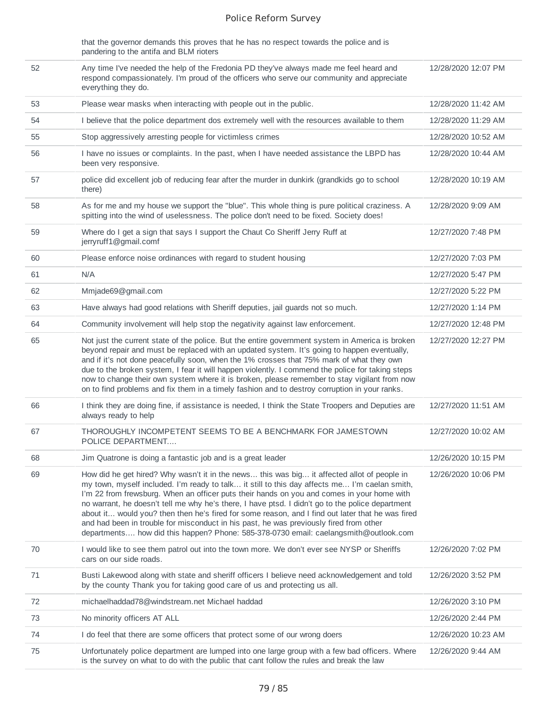that the governor demands this proves that he has no respect towards the police and is pandering to the antifa and BLM rioters

| 52 | Any time I've needed the help of the Fredonia PD they've always made me feel heard and<br>respond compassionately. I'm proud of the officers who serve our community and appreciate<br>everything they do.                                                                                                                                                                                                                                                                                                                                                                                                                                                                           | 12/28/2020 12:07 PM |
|----|--------------------------------------------------------------------------------------------------------------------------------------------------------------------------------------------------------------------------------------------------------------------------------------------------------------------------------------------------------------------------------------------------------------------------------------------------------------------------------------------------------------------------------------------------------------------------------------------------------------------------------------------------------------------------------------|---------------------|
| 53 | Please wear masks when interacting with people out in the public.                                                                                                                                                                                                                                                                                                                                                                                                                                                                                                                                                                                                                    | 12/28/2020 11:42 AM |
| 54 | I believe that the police department dos extremely well with the resources available to them                                                                                                                                                                                                                                                                                                                                                                                                                                                                                                                                                                                         | 12/28/2020 11:29 AM |
| 55 | Stop aggressively arresting people for victimless crimes                                                                                                                                                                                                                                                                                                                                                                                                                                                                                                                                                                                                                             | 12/28/2020 10:52 AM |
| 56 | I have no issues or complaints. In the past, when I have needed assistance the LBPD has<br>been very responsive.                                                                                                                                                                                                                                                                                                                                                                                                                                                                                                                                                                     | 12/28/2020 10:44 AM |
| 57 | police did excellent job of reducing fear after the murder in dunkirk (grandkids go to school<br>there)                                                                                                                                                                                                                                                                                                                                                                                                                                                                                                                                                                              | 12/28/2020 10:19 AM |
| 58 | As for me and my house we support the "blue". This whole thing is pure political craziness. A<br>spitting into the wind of uselessness. The police don't need to be fixed. Society does!                                                                                                                                                                                                                                                                                                                                                                                                                                                                                             | 12/28/2020 9:09 AM  |
| 59 | Where do I get a sign that says I support the Chaut Co Sheriff Jerry Ruff at<br>jerryruff1@gmail.comf                                                                                                                                                                                                                                                                                                                                                                                                                                                                                                                                                                                | 12/27/2020 7:48 PM  |
| 60 | Please enforce noise ordinances with regard to student housing                                                                                                                                                                                                                                                                                                                                                                                                                                                                                                                                                                                                                       | 12/27/2020 7:03 PM  |
| 61 | N/A                                                                                                                                                                                                                                                                                                                                                                                                                                                                                                                                                                                                                                                                                  | 12/27/2020 5:47 PM  |
| 62 | Mmjade69@gmail.com                                                                                                                                                                                                                                                                                                                                                                                                                                                                                                                                                                                                                                                                   | 12/27/2020 5:22 PM  |
| 63 | Have always had good relations with Sheriff deputies, jail guards not so much.                                                                                                                                                                                                                                                                                                                                                                                                                                                                                                                                                                                                       | 12/27/2020 1:14 PM  |
| 64 | Community involvement will help stop the negativity against law enforcement.                                                                                                                                                                                                                                                                                                                                                                                                                                                                                                                                                                                                         | 12/27/2020 12:48 PM |
| 65 | Not just the current state of the police. But the entire government system in America is broken<br>beyond repair and must be replaced with an updated system. It's going to happen eventually,<br>and if it's not done peacefully soon, when the 1% crosses that 75% mark of what they own<br>due to the broken system, I fear it will happen violently. I commend the police for taking steps<br>now to change their own system where it is broken, please remember to stay vigilant from now<br>on to find problems and fix them in a timely fashion and to destroy corruption in your ranks.                                                                                      | 12/27/2020 12:27 PM |
| 66 | I think they are doing fine, if assistance is needed, I think the State Troopers and Deputies are<br>always ready to help                                                                                                                                                                                                                                                                                                                                                                                                                                                                                                                                                            | 12/27/2020 11:51 AM |
| 67 | THOROUGHLY INCOMPETENT SEEMS TO BE A BENCHMARK FOR JAMESTOWN<br>POLICE DEPARTMENT                                                                                                                                                                                                                                                                                                                                                                                                                                                                                                                                                                                                    | 12/27/2020 10:02 AM |
| 68 | Jim Quatrone is doing a fantastic job and is a great leader                                                                                                                                                                                                                                                                                                                                                                                                                                                                                                                                                                                                                          | 12/26/2020 10:15 PM |
| 69 | How did he get hired? Why wasn't it in the news this was big it affected allot of people in<br>my town, myself included. I'm ready to talk it still to this day affects me I'm caelan smith,<br>I'm 22 from frewsburg. When an officer puts their hands on you and comes in your home with<br>no warrant, he doesn't tell me why he's there, I have ptsd. I didn't go to the police department<br>about it would you? then then he's fired for some reason, and I find out later that he was fired<br>and had been in trouble for misconduct in his past, he was previously fired from other<br>departments how did this happen? Phone: 585-378-0730 email: caelangsmith@outlook.com | 12/26/2020 10:06 PM |
| 70 | I would like to see them patrol out into the town more. We don't ever see NYSP or Sheriffs<br>cars on our side roads.                                                                                                                                                                                                                                                                                                                                                                                                                                                                                                                                                                | 12/26/2020 7:02 PM  |
| 71 | Busti Lakewood along with state and sheriff officers I believe need acknowledgement and told<br>by the county Thank you for taking good care of us and protecting us all.                                                                                                                                                                                                                                                                                                                                                                                                                                                                                                            | 12/26/2020 3:52 PM  |
| 72 | michaelhaddad78@windstream.net Michael haddad                                                                                                                                                                                                                                                                                                                                                                                                                                                                                                                                                                                                                                        | 12/26/2020 3:10 PM  |
| 73 | No minority officers AT ALL                                                                                                                                                                                                                                                                                                                                                                                                                                                                                                                                                                                                                                                          | 12/26/2020 2:44 PM  |
| 74 | I do feel that there are some officers that protect some of our wrong doers                                                                                                                                                                                                                                                                                                                                                                                                                                                                                                                                                                                                          | 12/26/2020 10:23 AM |
| 75 | Unfortunately police department are lumped into one large group with a few bad officers. Where<br>is the survey on what to do with the public that cant follow the rules and break the law                                                                                                                                                                                                                                                                                                                                                                                                                                                                                           | 12/26/2020 9:44 AM  |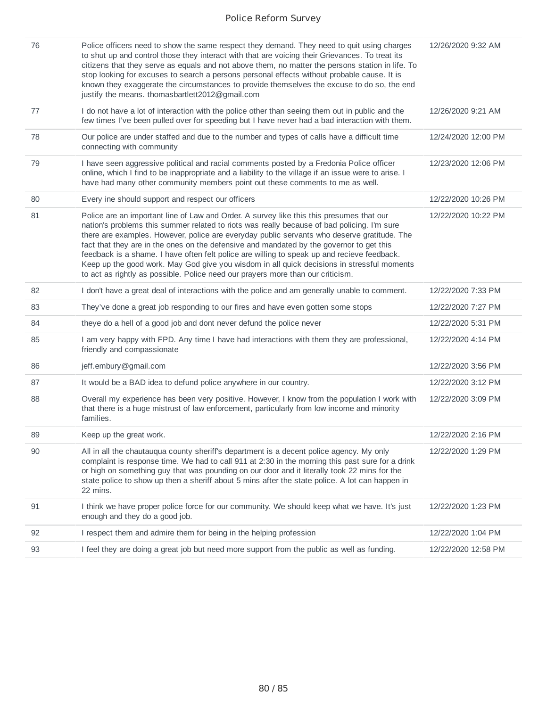| 76 | Police officers need to show the same respect they demand. They need to quit using charges<br>to shut up and control those they interact with that are voicing their Grievances. To treat its<br>citizens that they serve as equals and not above them, no matter the persons station in life. To<br>stop looking for excuses to search a persons personal effects without probable cause. It is<br>known they exaggerate the circumstances to provide themselves the excuse to do so, the end<br>justify the means. thomasbartlett2012@gmail.com                                                                                                                  | 12/26/2020 9:32 AM  |
|----|--------------------------------------------------------------------------------------------------------------------------------------------------------------------------------------------------------------------------------------------------------------------------------------------------------------------------------------------------------------------------------------------------------------------------------------------------------------------------------------------------------------------------------------------------------------------------------------------------------------------------------------------------------------------|---------------------|
| 77 | I do not have a lot of interaction with the police other than seeing them out in public and the<br>few times I've been pulled over for speeding but I have never had a bad interaction with them.                                                                                                                                                                                                                                                                                                                                                                                                                                                                  | 12/26/2020 9:21 AM  |
| 78 | Our police are under staffed and due to the number and types of calls have a difficult time<br>connecting with community                                                                                                                                                                                                                                                                                                                                                                                                                                                                                                                                           | 12/24/2020 12:00 PM |
| 79 | I have seen aggressive political and racial comments posted by a Fredonia Police officer<br>online, which I find to be inappropriate and a liability to the village if an issue were to arise. I<br>have had many other community members point out these comments to me as well.                                                                                                                                                                                                                                                                                                                                                                                  | 12/23/2020 12:06 PM |
| 80 | Every ine should support and respect our officers                                                                                                                                                                                                                                                                                                                                                                                                                                                                                                                                                                                                                  | 12/22/2020 10:26 PM |
| 81 | Police are an important line of Law and Order. A survey like this this presumes that our<br>nation's problems this summer related to riots was really because of bad policing. I'm sure<br>there are examples. However, police are everyday public servants who deserve gratitude. The<br>fact that they are in the ones on the defensive and mandated by the governor to get this<br>feedback is a shame. I have often felt police are willing to speak up and recieve feedback.<br>Keep up the good work. May God give you wisdom in all quick decisions in stressful moments<br>to act as rightly as possible. Police need our prayers more than our criticism. | 12/22/2020 10:22 PM |
| 82 | I don't have a great deal of interactions with the police and am generally unable to comment.                                                                                                                                                                                                                                                                                                                                                                                                                                                                                                                                                                      | 12/22/2020 7:33 PM  |
| 83 | They've done a great job responding to our fires and have even gotten some stops                                                                                                                                                                                                                                                                                                                                                                                                                                                                                                                                                                                   | 12/22/2020 7:27 PM  |
| 84 | theye do a hell of a good job and dont never defund the police never                                                                                                                                                                                                                                                                                                                                                                                                                                                                                                                                                                                               | 12/22/2020 5:31 PM  |
| 85 | I am very happy with FPD. Any time I have had interactions with them they are professional,<br>friendly and compassionate                                                                                                                                                                                                                                                                                                                                                                                                                                                                                                                                          | 12/22/2020 4:14 PM  |
| 86 | jeff.embury@gmail.com                                                                                                                                                                                                                                                                                                                                                                                                                                                                                                                                                                                                                                              | 12/22/2020 3:56 PM  |
| 87 | It would be a BAD idea to defund police anywhere in our country.                                                                                                                                                                                                                                                                                                                                                                                                                                                                                                                                                                                                   | 12/22/2020 3:12 PM  |
| 88 | Overall my experience has been very positive. However, I know from the population I work with<br>that there is a huge mistrust of law enforcement, particularly from low income and minority<br>families.                                                                                                                                                                                                                                                                                                                                                                                                                                                          | 12/22/2020 3:09 PM  |
| 89 | Keep up the great work.                                                                                                                                                                                                                                                                                                                                                                                                                                                                                                                                                                                                                                            | 12/22/2020 2:16 PM  |
| 90 | All in all the chautauqua county sheriff's department is a decent police agency. My only<br>complaint is response time. We had to call 911 at 2:30 in the morning this past sure for a drink<br>or high on something guy that was pounding on our door and it literally took 22 mins for the<br>state police to show up then a sheriff about 5 mins after the state police. A lot can happen in<br>22 mins.                                                                                                                                                                                                                                                        | 12/22/2020 1:29 PM  |
| 91 | I think we have proper police force for our community. We should keep what we have. It's just<br>enough and they do a good job.                                                                                                                                                                                                                                                                                                                                                                                                                                                                                                                                    | 12/22/2020 1:23 PM  |
| 92 | I respect them and admire them for being in the helping profession                                                                                                                                                                                                                                                                                                                                                                                                                                                                                                                                                                                                 | 12/22/2020 1:04 PM  |
| 93 | I feel they are doing a great job but need more support from the public as well as funding.                                                                                                                                                                                                                                                                                                                                                                                                                                                                                                                                                                        | 12/22/2020 12:58 PM |
|    |                                                                                                                                                                                                                                                                                                                                                                                                                                                                                                                                                                                                                                                                    |                     |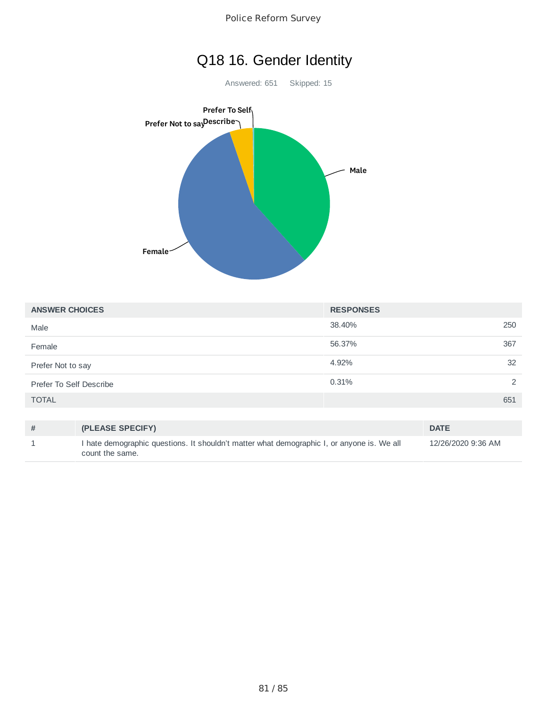

| <b>ANSWER CHOICES</b>   | <b>RESPONSES</b> |               |
|-------------------------|------------------|---------------|
| Male                    | 38.40%           | 250           |
| Female                  | 56.37%           | 367           |
| Prefer Not to say       | 4.92%            | 32            |
| Prefer To Self Describe | 0.31%            | $\mathcal{P}$ |
| <b>TOTAL</b>            |                  | 651           |

| (PLEASE SPECIFY)                                                                                              | <b>DATE</b>        |
|---------------------------------------------------------------------------------------------------------------|--------------------|
| I hate demographic questions. It shouldn't matter what demographic I, or anyone is. We all<br>count the same. | 12/26/2020 9:36 AM |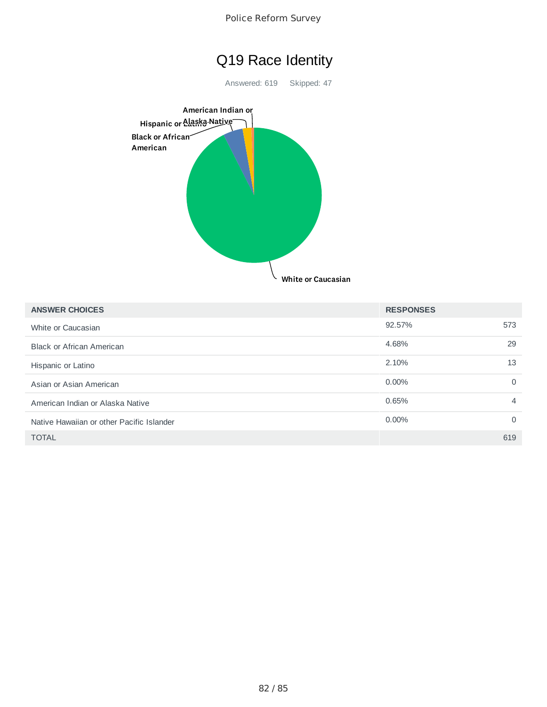



Answered: 619 Skipped: 47



| <b>ANSWER CHOICES</b>                     | <b>RESPONSES</b> |          |
|-------------------------------------------|------------------|----------|
| White or Caucasian                        | 92.57%           | 573      |
| <b>Black or African American</b>          | 4.68%            | 29       |
| Hispanic or Latino                        | 2.10%            | 13       |
| Asian or Asian American                   | $0.00\%$         | $\Omega$ |
| American Indian or Alaska Native          | 0.65%            | 4        |
| Native Hawaiian or other Pacific Islander | $0.00\%$         | $\Omega$ |
| <b>TOTAL</b>                              |                  | 619      |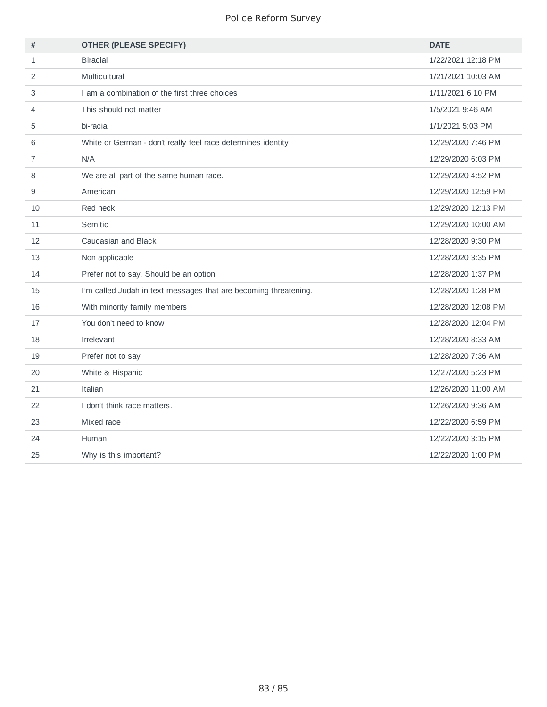| #              | <b>OTHER (PLEASE SPECIFY)</b>                                    | <b>DATE</b>         |
|----------------|------------------------------------------------------------------|---------------------|
| $\mathbf{1}$   | <b>Biracial</b>                                                  | 1/22/2021 12:18 PM  |
| $\overline{2}$ | Multicultural                                                    | 1/21/2021 10:03 AM  |
| 3              | I am a combination of the first three choices                    | 1/11/2021 6:10 PM   |
| 4              | This should not matter                                           | 1/5/2021 9:46 AM    |
| 5              | bi-racial                                                        | 1/1/2021 5:03 PM    |
| 6              | White or German - don't really feel race determines identity     | 12/29/2020 7:46 PM  |
| $\overline{7}$ | N/A                                                              | 12/29/2020 6:03 PM  |
| 8              | We are all part of the same human race.                          | 12/29/2020 4:52 PM  |
| 9              | American                                                         | 12/29/2020 12:59 PM |
| 10             | Red neck                                                         | 12/29/2020 12:13 PM |
| 11             | Semitic                                                          | 12/29/2020 10:00 AM |
| 12             | Caucasian and Black                                              | 12/28/2020 9:30 PM  |
| 13             | Non applicable                                                   | 12/28/2020 3:35 PM  |
| 14             | Prefer not to say. Should be an option                           | 12/28/2020 1:37 PM  |
| 15             | I'm called Judah in text messages that are becoming threatening. | 12/28/2020 1:28 PM  |
| 16             | With minority family members                                     | 12/28/2020 12:08 PM |
| 17             | You don't need to know                                           | 12/28/2020 12:04 PM |
| 18             | Irrelevant                                                       | 12/28/2020 8:33 AM  |
| 19             | Prefer not to say                                                | 12/28/2020 7:36 AM  |
| 20             | White & Hispanic                                                 | 12/27/2020 5:23 PM  |
| 21             | Italian                                                          | 12/26/2020 11:00 AM |
| 22             | I don't think race matters.                                      | 12/26/2020 9:36 AM  |
| 23             | Mixed race                                                       | 12/22/2020 6:59 PM  |
| 24             | Human                                                            | 12/22/2020 3:15 PM  |
| 25             | Why is this important?                                           | 12/22/2020 1:00 PM  |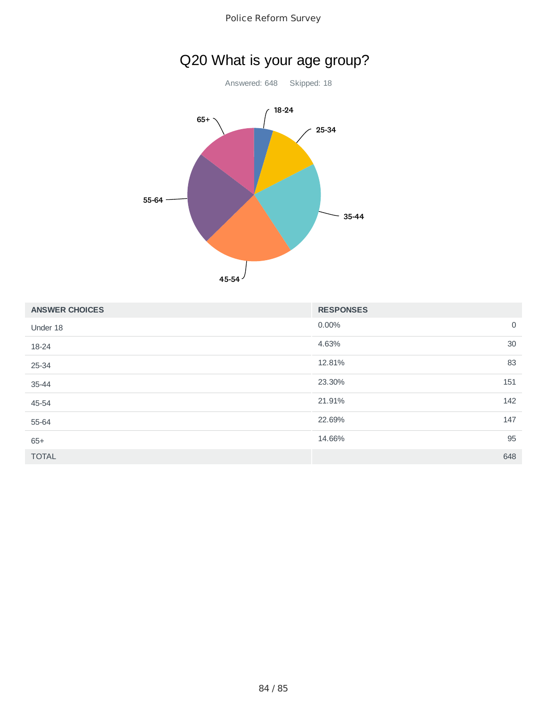

## Q20 What is your age group?

Answered: 648 Skipped: 18



| <b>ANSWER CHOICES</b> | <b>RESPONSES</b> |                |
|-----------------------|------------------|----------------|
| Under 18              | 0.00%            | $\overline{0}$ |
| 18-24                 | 4.63%            | 30             |
| 25-34                 | 12.81%           | 83             |
| $35 - 44$             | 23.30%           | 151            |
| 45-54                 | 21.91%           | 142            |
| 55-64                 | 22.69%           | 147            |
| $65+$                 | 14.66%           | 95             |
| <b>TOTAL</b>          | 648              |                |